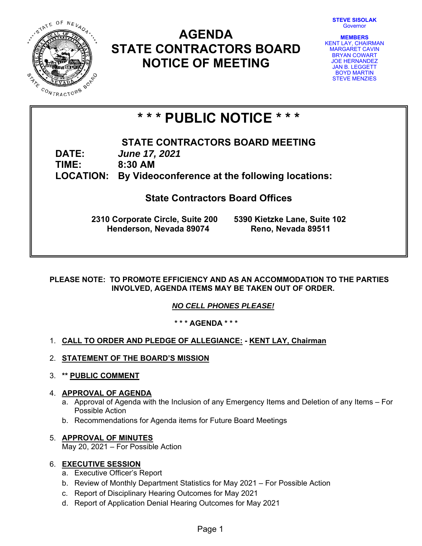**STEVE SISOLAK**  Governor



# **AGENDA STATE CONTRACTORS BOARD NOTICE OF MEETING**



# **\* \* \* PUBLIC NOTICE \* \* \***

**STATE CONTRACTORS BOARD MEETING DATE:** *June 17, 2021*  **TIME: 8:30 AM LOCATION: By Videoconference at the following locations:** 

# **State Contractors Board Offices**

**2310 Corporate Circle, Suite 200 5390 Kietzke Lane, Suite 102 Henderson, Nevada 89074 Reno, Nevada 89511**

# **PLEASE NOTE: TO PROMOTE EFFICIENCY AND AS AN ACCOMMODATION TO THE PARTIES INVOLVED, AGENDA ITEMS MAY BE TAKEN OUT OF ORDER.**

*NO CELL PHONES PLEASE!* 

**\* \* \* AGENDA \* \* \*** 

# 1. **CALL TO ORDER AND PLEDGE OF ALLEGIANCE: - KENT LAY, Chairman**

- 2. **STATEMENT OF THE BOARD'S MISSION**
- 3. **\*\* PUBLIC COMMENT**

# 4. **APPROVAL OF AGENDA**

- a. Approval of Agenda with the Inclusion of any Emergency Items and Deletion of any Items For Possible Action
- b. Recommendations for Agenda items for Future Board Meetings

# 5. **APPROVAL OF MINUTES** May 20, 2021 – For Possible Action

# 6. **EXECUTIVE SESSION**

- a. Executive Officer's Report
- b. Review of Monthly Department Statistics for May 2021 For Possible Action
- c. Report of Disciplinary Hearing Outcomes for May 2021
- d. Report of Application Denial Hearing Outcomes for May 2021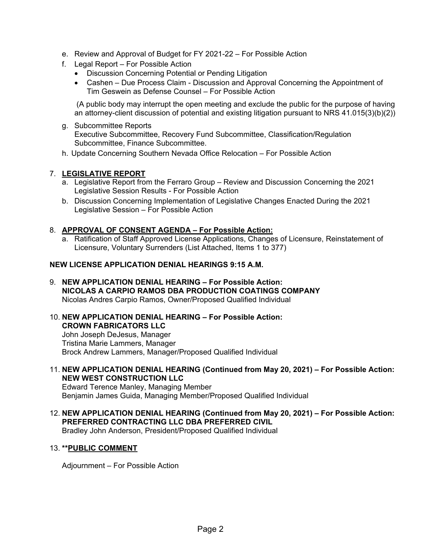- e. Review and Approval of Budget for FY 2021-22 For Possible Action
- f. Legal Report For Possible Action
	- Discussion Concerning Potential or Pending Litigation
	- Cashen Due Process Claim Discussion and Approval Concerning the Appointment of Tim Geswein as Defense Counsel – For Possible Action

 (A public body may interrupt the open meeting and exclude the public for the purpose of having an attorney-client discussion of potential and existing litigation pursuant to NRS 41.015(3)(b)(2))

- g. Subcommittee Reports Executive Subcommittee, Recovery Fund Subcommittee, Classification/Regulation Subcommittee, Finance Subcommittee.
- h. Update Concerning Southern Nevada Office Relocation For Possible Action

# 7. **LEGISLATIVE REPORT**

- a. Legislative Report from the Ferraro Group Review and Discussion Concerning the 2021 Legislative Session Results - For Possible Action
- b. Discussion Concerning Implementation of Legislative Changes Enacted During the 2021 Legislative Session – For Possible Action

# 8. **APPROVAL OF CONSENT AGENDA – For Possible Action:**

a. Ratification of Staff Approved License Applications, Changes of Licensure, Reinstatement of Licensure, Voluntary Surrenders (List Attached, Items 1 to 377)

# **NEW LICENSE APPLICATION DENIAL HEARINGS 9:15 A.M.**

- 9. **NEW APPLICATION DENIAL HEARING For Possible Action: NICOLAS A CARPIO RAMOS DBA PRODUCTION COATINGS COMPANY**  Nicolas Andres Carpio Ramos, Owner/Proposed Qualified Individual
- 10. **NEW APPLICATION DENIAL HEARING For Possible Action: CROWN FABRICATORS LLC**  John Joseph DeJesus, Manager Tristina Marie Lammers, Manager Brock Andrew Lammers, Manager/Proposed Qualified Individual
- 11. **NEW APPLICATION DENIAL HEARING (Continued from May 20, 2021) For Possible Action: NEW WEST CONSTRUCTION LLC**

Edward Terence Manley, Managing Member Benjamin James Guida, Managing Member/Proposed Qualified Individual

12. **NEW APPLICATION DENIAL HEARING (Continued from May 20, 2021) – For Possible Action: PREFERRED CONTRACTING LLC DBA PREFERRED CIVIL** 

Bradley John Anderson, President/Proposed Qualified Individual

### 13. **\*\*PUBLIC COMMENT**

Adjournment – For Possible Action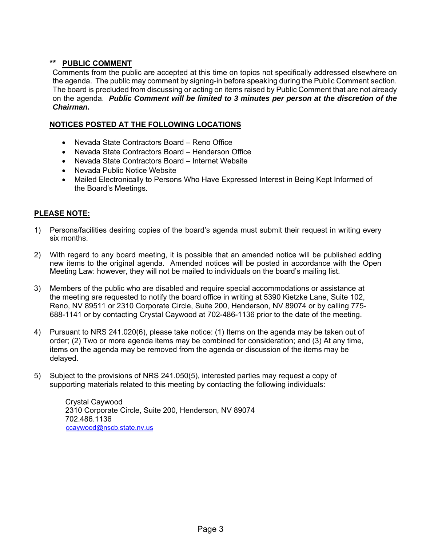# **\*\* PUBLIC COMMENT**

Comments from the public are accepted at this time on topics not specifically addressed elsewhere on the agenda. The public may comment by signing-in before speaking during the Public Comment section. The board is precluded from discussing or acting on items raised by Public Comment that are not already on the agenda. *Public Comment will be limited to 3 minutes per person at the discretion of the Chairman.* 

# **NOTICES POSTED AT THE FOLLOWING LOCATIONS**

- Nevada State Contractors Board Reno Office
- Nevada State Contractors Board Henderson Office
- Nevada State Contractors Board Internet Website
- Nevada Public Notice Website
- Mailed Electronically to Persons Who Have Expressed Interest in Being Kept Informed of the Board's Meetings.

# **PLEASE NOTE:**

- 1) Persons/facilities desiring copies of the board's agenda must submit their request in writing every six months.
- 2) With regard to any board meeting, it is possible that an amended notice will be published adding new items to the original agenda. Amended notices will be posted in accordance with the Open Meeting Law: however, they will not be mailed to individuals on the board's mailing list.
- 3) Members of the public who are disabled and require special accommodations or assistance at the meeting are requested to notify the board office in writing at 5390 Kietzke Lane, Suite 102, Reno, NV 89511 or 2310 Corporate Circle, Suite 200, Henderson, NV 89074 or by calling 775- 688-1141 or by contacting Crystal Caywood at 702-486-1136 prior to the date of the meeting.
- 4) Pursuant to NRS 241.020(6), please take notice: (1) Items on the agenda may be taken out of order; (2) Two or more agenda items may be combined for consideration; and (3) At any time, items on the agenda may be removed from the agenda or discussion of the items may be delayed.
- 5) Subject to the provisions of NRS 241.050(5), interested parties may request a copy of supporting materials related to this meeting by contacting the following individuals:

Crystal Caywood 2310 Corporate Circle, Suite 200, Henderson, NV 89074 702.486.1136 ccaywood@nscb.state.nv.us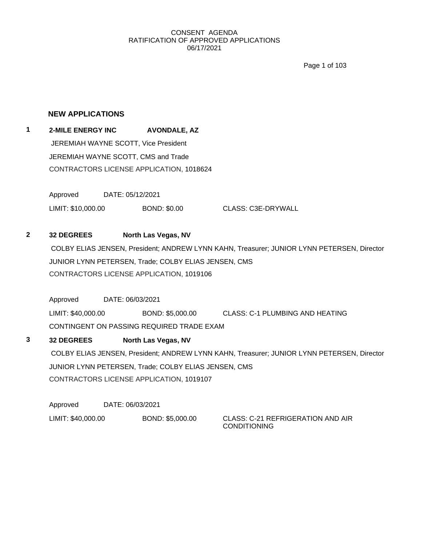Page 1 of 103

## **NEW APPLICATIONS**

**1 2-MILE ENERGY INC AVONDALE, AZ** JEREMIAH WAYNE SCOTT, Vice President JEREMIAH WAYNE SCOTT, CMS and Trade CONTRACTORS LICENSE APPLICATION, 1018624

> Approved DATE: 05/12/2021 LIMIT: \$10,000.00 BOND: \$0.00 CLASS: C3E-DRYWALL

# **2 32 DEGREES North Las Vegas, NV**

COLBY ELIAS JENSEN, President; ANDREW LYNN KAHN, Treasurer; JUNIOR LYNN PETERSEN, Director JUNIOR LYNN PETERSEN, Trade; COLBY ELIAS JENSEN, CMS CONTRACTORS LICENSE APPLICATION, 1019106

Approved DATE: 06/03/2021 LIMIT: \$40,000.00 BOND: \$5,000.00 CLASS: C-1 PLUMBING AND HEATING CONTINGENT ON PASSING REQUIRED TRADE EXAM

**3 32 DEGREES North Las Vegas, NV** COLBY ELIAS JENSEN, President; ANDREW LYNN KAHN, Treasurer; JUNIOR LYNN PETERSEN, Director JUNIOR LYNN PETERSEN, Trade; COLBY ELIAS JENSEN, CMS CONTRACTORS LICENSE APPLICATION, 1019107

Approved DATE: 06/03/2021 LIMIT: \$40,000.00 BOND: \$5,000.00 CLASS: C-21 REFRIGERATION AND AIR

CONDITIONING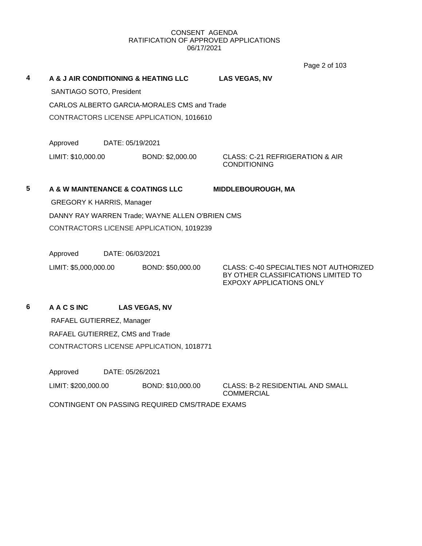Page 2 of 103

**4 A & J AIR CONDITIONING & HEATING LLC LAS VEGAS, NV** SANTIAGO SOTO, President CARLOS ALBERTO GARCIA-MORALES CMS and Trade CONTRACTORS LICENSE APPLICATION, 1016610 Approved DATE: 05/19/2021 LIMIT: \$10,000.00 BOND: \$2,000.00 CLASS: C-21 REFRIGERATION & AIR CONDITIONING

# **5 A & W MAINTENANCE & COATINGS LLC MIDDLEBOUROUGH, MA**

GREGORY K HARRIS, Manager DANNY RAY WARREN Trade; WAYNE ALLEN O'BRIEN CMS CONTRACTORS LICENSE APPLICATION, 1019239

Approved DATE: 06/03/2021

LIMIT: \$5,000,000.00 BOND: \$50,000.00 CLASS: C-40 SPECIALTIES NOT AUTHORIZED

BY OTHER CLASSIFICATIONS LIMITED TO EXPOXY APPLICATIONS ONLY

# **6 A A C S INC LAS VEGAS, NV**

RAFAEL GUTIERREZ, Manager RAFAEL GUTIERREZ, CMS and Trade CONTRACTORS LICENSE APPLICATION, 1018771

Approved DATE: 05/26/2021

LIMIT: \$200,000.00 BOND: \$10,000.00 CLASS: B-2 RESIDENTIAL AND SMALL

COMMERCIAL

CONTINGENT ON PASSING REQUIRED CMS/TRADE EXAMS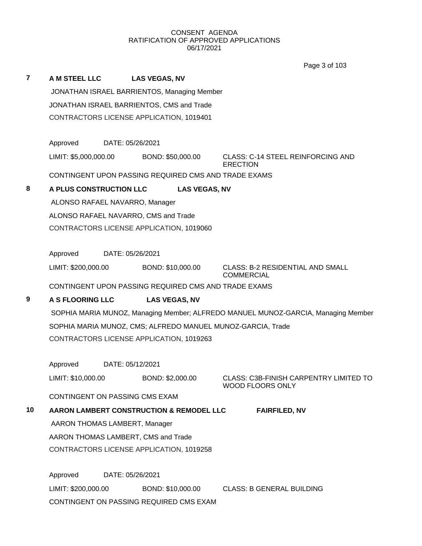|                |                                           |                                                             | Page 3 of 103                                                                     |  |  |  |  |
|----------------|-------------------------------------------|-------------------------------------------------------------|-----------------------------------------------------------------------------------|--|--|--|--|
| $\overline{7}$ | A M STEEL LLC                             | <b>LAS VEGAS, NV</b>                                        |                                                                                   |  |  |  |  |
|                |                                           | JONATHAN ISRAEL BARRIENTOS, Managing Member                 |                                                                                   |  |  |  |  |
|                | JONATHAN ISRAEL BARRIENTOS, CMS and Trade |                                                             |                                                                                   |  |  |  |  |
|                | CONTRACTORS LICENSE APPLICATION, 1019401  |                                                             |                                                                                   |  |  |  |  |
|                |                                           |                                                             |                                                                                   |  |  |  |  |
|                | Approved                                  | DATE: 05/26/2021                                            |                                                                                   |  |  |  |  |
|                | LIMIT: \$5,000,000.00                     | BOND: \$50,000.00                                           | CLASS: C-14 STEEL REINFORCING AND<br><b>ERECTION</b>                              |  |  |  |  |
|                |                                           | CONTINGENT UPON PASSING REQUIRED CMS AND TRADE EXAMS        |                                                                                   |  |  |  |  |
| 8              | A PLUS CONSTRUCTION LLC                   | <b>LAS VEGAS, NV</b>                                        |                                                                                   |  |  |  |  |
|                | ALONSO RAFAEL NAVARRO, Manager            |                                                             |                                                                                   |  |  |  |  |
|                |                                           | ALONSO RAFAEL NAVARRO, CMS and Trade                        |                                                                                   |  |  |  |  |
|                |                                           | CONTRACTORS LICENSE APPLICATION, 1019060                    |                                                                                   |  |  |  |  |
|                |                                           |                                                             |                                                                                   |  |  |  |  |
|                | Approved                                  | DATE: 05/26/2021                                            |                                                                                   |  |  |  |  |
|                | LIMIT: \$200,000.00                       | BOND: \$10,000.00                                           | <b>CLASS: B-2 RESIDENTIAL AND SMALL</b><br><b>COMMERCIAL</b>                      |  |  |  |  |
|                |                                           | CONTINGENT UPON PASSING REQUIRED CMS AND TRADE EXAMS        |                                                                                   |  |  |  |  |
| 9              | A S FLOORING LLC                          | <b>LAS VEGAS, NV</b>                                        |                                                                                   |  |  |  |  |
|                |                                           |                                                             | SOPHIA MARIA MUNOZ, Managing Member; ALFREDO MANUEL MUNOZ-GARCIA, Managing Member |  |  |  |  |
|                |                                           | SOPHIA MARIA MUNOZ, CMS; ALFREDO MANUEL MUNOZ-GARCIA, Trade |                                                                                   |  |  |  |  |
|                |                                           | CONTRACTORS LICENSE APPLICATION, 1019263                    |                                                                                   |  |  |  |  |
|                |                                           |                                                             |                                                                                   |  |  |  |  |
|                | Approved                                  | DATE: 05/12/2021                                            |                                                                                   |  |  |  |  |
|                | LIMIT: \$10,000.00                        | BOND: \$2,000.00                                            | CLASS: C3B-FINISH CARPENTRY LIMITED TO<br>WOOD FLOORS ONLY                        |  |  |  |  |
|                | CONTINGENT ON PASSING CMS EXAM            |                                                             |                                                                                   |  |  |  |  |
| 10             |                                           | AARON LAMBERT CONSTRUCTION & REMODEL LLC                    | <b>FAIRFILED, NV</b>                                                              |  |  |  |  |
|                | AARON THOMAS LAMBERT, Manager             |                                                             |                                                                                   |  |  |  |  |
|                |                                           | AARON THOMAS LAMBERT, CMS and Trade                         |                                                                                   |  |  |  |  |
|                |                                           | CONTRACTORS LICENSE APPLICATION, 1019258                    |                                                                                   |  |  |  |  |
|                | Approved                                  | DATE: 05/26/2021                                            |                                                                                   |  |  |  |  |
|                | LIMIT: \$200,000.00                       | BOND: \$10,000.00                                           | <b>CLASS: B GENERAL BUILDING</b>                                                  |  |  |  |  |
|                |                                           | CONTINGENT ON PASSING REQUIRED CMS EXAM                     |                                                                                   |  |  |  |  |
|                |                                           |                                                             |                                                                                   |  |  |  |  |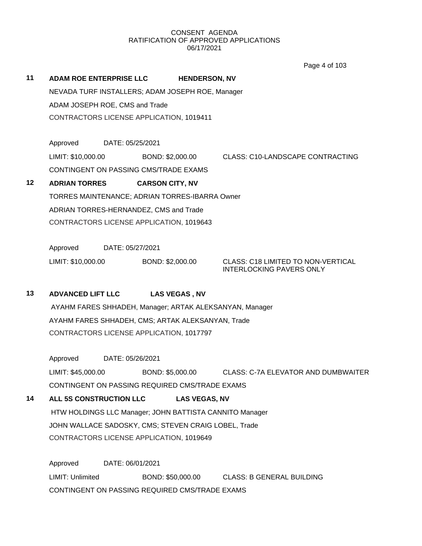Page 4 of 103

| 11 |                                                   | <b>ADAM ROE ENTERPRISE LLC</b>                          | <b>HENDERSON, NV</b>                             |                                                                       |  |  |  |
|----|---------------------------------------------------|---------------------------------------------------------|--------------------------------------------------|-----------------------------------------------------------------------|--|--|--|
|    |                                                   |                                                         | NEVADA TURF INSTALLERS; ADAM JOSEPH ROE, Manager |                                                                       |  |  |  |
|    |                                                   | ADAM JOSEPH ROE, CMS and Trade                          |                                                  |                                                                       |  |  |  |
|    |                                                   |                                                         | CONTRACTORS LICENSE APPLICATION, 1019411         |                                                                       |  |  |  |
|    | Approved                                          | DATE: 05/25/2021                                        |                                                  |                                                                       |  |  |  |
|    | LIMIT: \$10,000.00                                |                                                         | BOND: \$2,000.00                                 | <b>CLASS: C10-LANDSCAPE CONTRACTING</b>                               |  |  |  |
|    |                                                   |                                                         | CONTINGENT ON PASSING CMS/TRADE EXAMS            |                                                                       |  |  |  |
| 12 | <b>ADRIAN TORRES</b>                              |                                                         | <b>CARSON CITY, NV</b>                           |                                                                       |  |  |  |
|    |                                                   |                                                         | TORRES MAINTENANCE; ADRIAN TORRES-IBARRA Owner   |                                                                       |  |  |  |
|    |                                                   |                                                         | ADRIAN TORRES-HERNANDEZ, CMS and Trade           |                                                                       |  |  |  |
|    |                                                   |                                                         | CONTRACTORS LICENSE APPLICATION, 1019643         |                                                                       |  |  |  |
|    | Approved                                          | DATE: 05/27/2021                                        |                                                  |                                                                       |  |  |  |
|    | LIMIT: \$10,000.00                                |                                                         | BOND: \$2,000.00                                 | CLASS: C18 LIMITED TO NON-VERTICAL<br><b>INTERLOCKING PAVERS ONLY</b> |  |  |  |
| 13 | <b>ADVANCED LIFT LLC</b>                          |                                                         | <b>LAS VEGAS, NV</b>                             |                                                                       |  |  |  |
|    |                                                   | AYAHM FARES SHHADEH, Manager; ARTAK ALEKSANYAN, Manager |                                                  |                                                                       |  |  |  |
|    | AYAHM FARES SHHADEH, CMS; ARTAK ALEKSANYAN, Trade |                                                         |                                                  |                                                                       |  |  |  |
|    |                                                   |                                                         | CONTRACTORS LICENSE APPLICATION, 1017797         |                                                                       |  |  |  |
|    | Approved                                          | DATE: 05/26/2021                                        |                                                  |                                                                       |  |  |  |
|    | LIMIT: \$45,000.00                                |                                                         | BOND: \$5,000.00                                 | <b>CLASS: C-7A ELEVATOR AND DUMBWAITER</b>                            |  |  |  |

CONTINGENT ON PASSING REQUIRED CMS/TRADE EXAMS

# **14 ALL 5S CONSTRUCTION LLC LAS VEGAS, NV**

HTW HOLDINGS LLC Manager; JOHN BATTISTA CANNITO Manager JOHN WALLACE SADOSKY, CMS; STEVEN CRAIG LOBEL, Trade CONTRACTORS LICENSE APPLICATION, 1019649

Approved DATE: 06/01/2021 LIMIT: Unlimited BOND: \$50,000.00 CLASS: B GENERAL BUILDING CONTINGENT ON PASSING REQUIRED CMS/TRADE EXAMS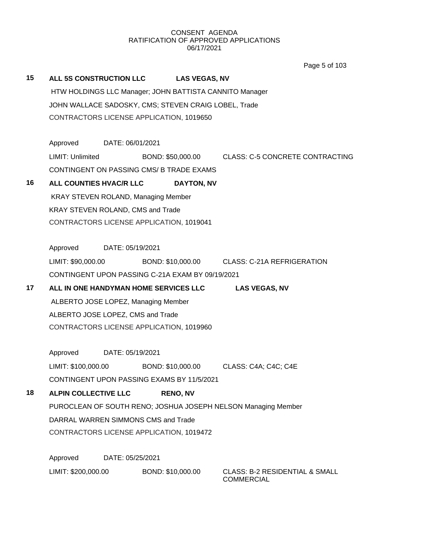Page 5 of 103

| 15                                       | ALL 5S CONSTRUCTION LLC LAS VEGAS, NV                |                  |  |                                                         |                                                                 |
|------------------------------------------|------------------------------------------------------|------------------|--|---------------------------------------------------------|-----------------------------------------------------------------|
|                                          |                                                      |                  |  | HTW HOLDINGS LLC Manager; JOHN BATTISTA CANNITO Manager |                                                                 |
|                                          | JOHN WALLACE SADOSKY, CMS; STEVEN CRAIG LOBEL, Trade |                  |  |                                                         |                                                                 |
|                                          | CONTRACTORS LICENSE APPLICATION, 1019650             |                  |  |                                                         |                                                                 |
|                                          |                                                      |                  |  |                                                         |                                                                 |
|                                          | Approved                                             | DATE: 06/01/2021 |  |                                                         |                                                                 |
|                                          | LIMIT: Unlimited                                     |                  |  |                                                         | BOND: \$50,000.00 CLASS: C-5 CONCRETE CONTRACTING               |
|                                          | CONTINGENT ON PASSING CMS/ B TRADE EXAMS             |                  |  |                                                         |                                                                 |
| 16                                       | ALL COUNTIES HVAC/R LLC                              |                  |  | DAYTON, NV                                              |                                                                 |
|                                          | KRAY STEVEN ROLAND, Managing Member                  |                  |  |                                                         |                                                                 |
|                                          | KRAY STEVEN ROLAND, CMS and Trade                    |                  |  |                                                         |                                                                 |
| CONTRACTORS LICENSE APPLICATION, 1019041 |                                                      |                  |  |                                                         |                                                                 |
|                                          |                                                      |                  |  |                                                         |                                                                 |
|                                          | Approved                                             | DATE: 05/19/2021 |  |                                                         |                                                                 |
|                                          |                                                      |                  |  |                                                         | LIMIT: \$90,000.00 BOND: \$10,000.00 CLASS: C-21A REFRIGERATION |
|                                          | CONTINGENT UPON PASSING C-21A EXAM BY 09/19/2021     |                  |  |                                                         |                                                                 |
| 17                                       | ALL IN ONE HANDYMAN HOME SERVICES LLC                |                  |  |                                                         | <b>LAS VEGAS, NV</b>                                            |
|                                          | ALBERTO JOSE LOPEZ, Managing Member                  |                  |  |                                                         |                                                                 |
|                                          | ALBERTO JOSE LOPEZ, CMS and Trade                    |                  |  |                                                         |                                                                 |
|                                          | CONTRACTORS LICENSE APPLICATION, 1019960             |                  |  |                                                         |                                                                 |
|                                          |                                                      |                  |  |                                                         |                                                                 |
|                                          | Approved                                             | DATE: 05/19/2021 |  |                                                         |                                                                 |
|                                          | LIMIT: \$100,000.00                                  |                  |  |                                                         |                                                                 |
|                                          | CONTINGENT UPON PASSING EXAMS BY 11/5/2021           |                  |  |                                                         |                                                                 |
| 18                                       | <b>ALPIN COLLECTIVE LLC</b>                          |                  |  | <b>RENO, NV</b>                                         |                                                                 |
|                                          |                                                      |                  |  |                                                         | PUROCLEAN OF SOUTH RENO; JOSHUA JOSEPH NELSON Managing Member   |
|                                          | DARRAL WARREN SIMMONS CMS and Trade                  |                  |  |                                                         |                                                                 |
|                                          | CONTRACTORS LICENSE APPLICATION, 1019472             |                  |  |                                                         |                                                                 |
|                                          |                                                      |                  |  |                                                         |                                                                 |
|                                          | Approved                                             | DATE: 05/25/2021 |  |                                                         |                                                                 |
|                                          | LIMIT: \$200,000.00                                  |                  |  | BOND: \$10,000.00                                       | <b>CLASS: B-2 RESIDENTIAL &amp; SMALL</b><br><b>COMMERCIAL</b>  |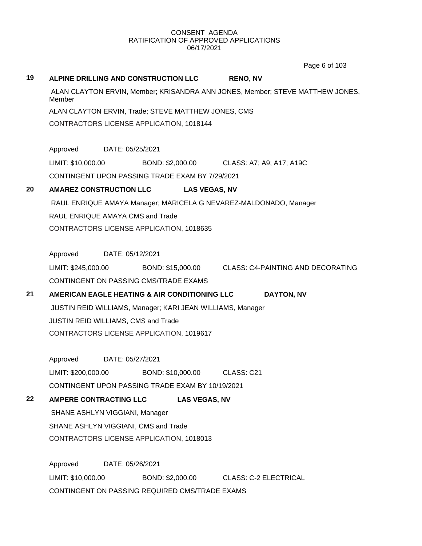Page 6 of 103

# **19 ALPINE DRILLING AND CONSTRUCTION LLC RENO, NV** ALAN CLAYTON ERVIN, Member; KRISANDRA ANN JONES, Member; STEVE MATTHEW JONES, Member ALAN CLAYTON ERVIN, Trade; STEVE MATTHEW JONES, CMS CONTRACTORS LICENSE APPLICATION, 1018144 Approved DATE: 05/25/2021 LIMIT: \$10,000.00 BOND: \$2,000.00 CLASS: A7; A9; A17; A19C CONTINGENT UPON PASSING TRADE EXAM BY 7/29/2021 **20 AMAREZ CONSTRUCTION LLC LAS VEGAS, NV** RAUL ENRIQUE AMAYA Manager; MARICELA G NEVAREZ-MALDONADO, Manager RAUL ENRIQUE AMAYA CMS and Trade CONTRACTORS LICENSE APPLICATION, 1018635 Approved DATE: 05/12/2021 LIMIT: \$245,000.00 BOND: \$15,000.00 CLASS: C4-PAINTING AND DECORATING CONTINGENT ON PASSING CMS/TRADE EXAMS **21 AMERICAN EAGLE HEATING & AIR CONDITIONING LLC DAYTON, NV** JUSTIN REID WILLIAMS, Manager; KARI JEAN WILLIAMS, Manager JUSTIN REID WILLIAMS, CMS and Trade CONTRACTORS LICENSE APPLICATION, 1019617 Approved DATE: 05/27/2021 LIMIT: \$200,000.00 BOND: \$10,000.00 CLASS: C21 CONTINGENT UPON PASSING TRADE EXAM BY 10/19/2021 **22 AMPERE CONTRACTING LLC LAS VEGAS, NV** SHANE ASHLYN VIGGIANI, Manager SHANE ASHLYN VIGGIANI, CMS and Trade CONTRACTORS LICENSE APPLICATION, 1018013 Approved DATE: 05/26/2021 LIMIT: \$10,000.00 BOND: \$2,000.00 CLASS: C-2 ELECTRICAL CONTINGENT ON PASSING REQUIRED CMS/TRADE EXAMS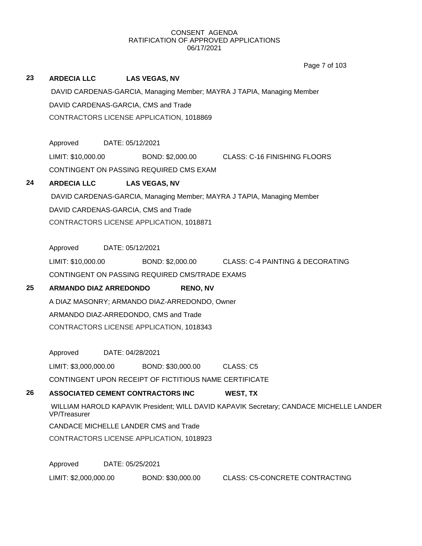|    |                                      |                                                                        |                                                                             | Page 7 of 103                                                                           |  |  |  |  |
|----|--------------------------------------|------------------------------------------------------------------------|-----------------------------------------------------------------------------|-----------------------------------------------------------------------------------------|--|--|--|--|
| 23 | <b>ARDECIA LLC</b>                   |                                                                        | <b>LAS VEGAS, NV</b>                                                        |                                                                                         |  |  |  |  |
|    |                                      | DAVID CARDENAS-GARCIA, Managing Member; MAYRA J TAPIA, Managing Member |                                                                             |                                                                                         |  |  |  |  |
|    | DAVID CARDENAS-GARCIA, CMS and Trade |                                                                        |                                                                             |                                                                                         |  |  |  |  |
|    |                                      |                                                                        | CONTRACTORS LICENSE APPLICATION, 1018869                                    |                                                                                         |  |  |  |  |
|    |                                      |                                                                        |                                                                             |                                                                                         |  |  |  |  |
|    | Approved                             | DATE: 05/12/2021                                                       |                                                                             |                                                                                         |  |  |  |  |
|    | LIMIT: \$10,000.00                   |                                                                        | BOND: \$2,000.00                                                            | <b>CLASS: C-16 FINISHING FLOORS</b>                                                     |  |  |  |  |
|    |                                      |                                                                        | CONTINGENT ON PASSING REQUIRED CMS EXAM                                     |                                                                                         |  |  |  |  |
| 24 | <b>ARDECIA LLC</b>                   |                                                                        | <b>LAS VEGAS, NV</b>                                                        |                                                                                         |  |  |  |  |
|    |                                      |                                                                        |                                                                             | DAVID CARDENAS-GARCIA, Managing Member; MAYRA J TAPIA, Managing Member                  |  |  |  |  |
|    |                                      |                                                                        | DAVID CARDENAS-GARCIA, CMS and Trade                                        |                                                                                         |  |  |  |  |
|    |                                      |                                                                        | CONTRACTORS LICENSE APPLICATION, 1018871                                    |                                                                                         |  |  |  |  |
|    |                                      |                                                                        |                                                                             |                                                                                         |  |  |  |  |
|    | Approved                             | DATE: 05/12/2021                                                       |                                                                             |                                                                                         |  |  |  |  |
|    | LIMIT: \$10,000.00                   |                                                                        |                                                                             | BOND: \$2,000.00 CLASS: C-4 PAINTING & DECORATING                                       |  |  |  |  |
|    |                                      |                                                                        | CONTINGENT ON PASSING REQUIRED CMS/TRADE EXAMS                              |                                                                                         |  |  |  |  |
| 25 | <b>ARMANDO DIAZ ARREDONDO</b>        |                                                                        | <b>RENO, NV</b>                                                             |                                                                                         |  |  |  |  |
|    |                                      |                                                                        | A DIAZ MASONRY; ARMANDO DIAZ-ARREDONDO, Owner                               |                                                                                         |  |  |  |  |
|    |                                      |                                                                        | ARMANDO DIAZ-ARREDONDO, CMS and Trade                                       |                                                                                         |  |  |  |  |
|    |                                      |                                                                        | CONTRACTORS LICENSE APPLICATION, 1018343                                    |                                                                                         |  |  |  |  |
|    |                                      |                                                                        |                                                                             |                                                                                         |  |  |  |  |
|    | Approved                             | DATE: 04/28/2021                                                       |                                                                             |                                                                                         |  |  |  |  |
|    | LIMIT: \$3,000,000.00                |                                                                        | BOND: \$30,000.00<br>CONTINGENT UPON RECEIPT OF FICTITIOUS NAME CERTIFICATE | CLASS: C5                                                                               |  |  |  |  |
|    |                                      |                                                                        |                                                                             |                                                                                         |  |  |  |  |
| 26 |                                      |                                                                        | ASSOCIATED CEMENT CONTRACTORS INC                                           | WEST, TX                                                                                |  |  |  |  |
|    | VP/Treasurer                         |                                                                        |                                                                             | WILLIAM HAROLD KAPAVIK President; WILL DAVID KAPAVIK Secretary; CANDACE MICHELLE LANDER |  |  |  |  |
|    |                                      |                                                                        | CANDACE MICHELLE LANDER CMS and Trade                                       |                                                                                         |  |  |  |  |
|    |                                      |                                                                        | CONTRACTORS LICENSE APPLICATION, 1018923                                    |                                                                                         |  |  |  |  |
|    |                                      |                                                                        |                                                                             |                                                                                         |  |  |  |  |
|    | Approved                             | DATE: 05/25/2021                                                       |                                                                             |                                                                                         |  |  |  |  |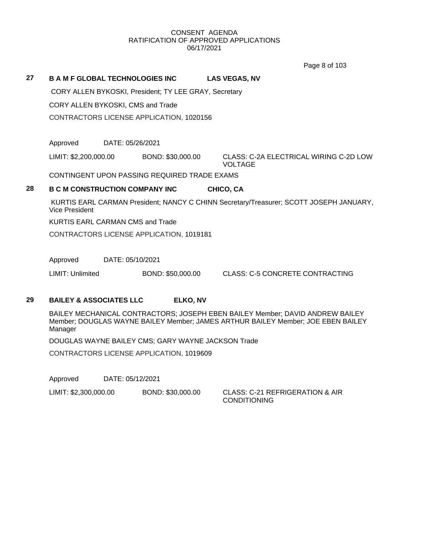Page 8 of 103

# **27 B A M F GLOBAL TECHNOLOGIES INC LAS VEGAS, NV** CORY ALLEN BYKOSKI, President; TY LEE GRAY, Secretary CORY ALLEN BYKOSKI, CMS and Trade CONTRACTORS LICENSE APPLICATION, 1020156 Approved DATE: 05/26/2021 LIMIT: \$2,200,000.00 BOND: \$30,000.00 CLASS: C-2A ELECTRICAL WIRING C-2D LOW VOLTAGE CONTINGENT UPON PASSING REQUIRED TRADE EXAMS **28 B C M CONSTRUCTION COMPANY INC CHICO, CA** KURTIS EARL CARMAN President; NANCY C CHINN Secretary/Treasurer; SCOTT JOSEPH JANUARY, Vice President KURTIS EARL CARMAN CMS and Trade

CONTRACTORS LICENSE APPLICATION, 1019181

Approved DATE: 05/10/2021

LIMIT: Unlimited BOND: \$50,000.00 CLASS: C-5 CONCRETE CONTRACTING

# **29 BAILEY & ASSOCIATES LLC ELKO, NV**

BAILEY MECHANICAL CONTRACTORS; JOSEPH EBEN BAILEY Member; DAVID ANDREW BAILEY Member; DOUGLAS WAYNE BAILEY Member; JAMES ARTHUR BAILEY Member; JOE EBEN BAILEY Manager

DOUGLAS WAYNE BAILEY CMS; GARY WAYNE JACKSON Trade

CONTRACTORS LICENSE APPLICATION, 1019609

Approved DATE: 05/12/2021

LIMIT: \$2,300,000.00 BOND: \$30,000.00 CLASS: C-21 REFRIGERATION & AIR

CONDITIONING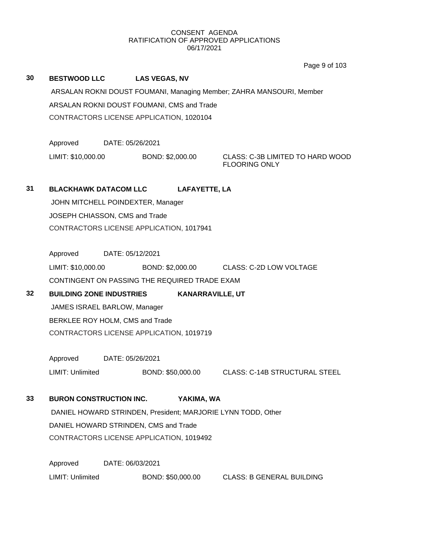Page 9 of 103

|    |                                   |                                                              | Page 9 or 103                                                        |  |  |  |  |
|----|-----------------------------------|--------------------------------------------------------------|----------------------------------------------------------------------|--|--|--|--|
| 30 | <b>BESTWOOD LLC</b>               | <b>LAS VEGAS, NV</b>                                         |                                                                      |  |  |  |  |
|    |                                   |                                                              | ARSALAN ROKNI DOUST FOUMANI, Managing Member; ZAHRA MANSOURI, Member |  |  |  |  |
|    |                                   | ARSALAN ROKNI DOUST FOUMANI, CMS and Trade                   |                                                                      |  |  |  |  |
|    |                                   | CONTRACTORS LICENSE APPLICATION, 1020104                     |                                                                      |  |  |  |  |
|    |                                   |                                                              |                                                                      |  |  |  |  |
|    | Approved                          | DATE: 05/26/2021                                             |                                                                      |  |  |  |  |
|    | LIMIT: \$10,000.00                | BOND: \$2,000.00                                             | CLASS: C-3B LIMITED TO HARD WOOD<br><b>FLOORING ONLY</b>             |  |  |  |  |
| 31 | <b>BLACKHAWK DATACOM LLC</b>      | LAFAYETTE, LA                                                |                                                                      |  |  |  |  |
|    | JOHN MITCHELL POINDEXTER, Manager |                                                              |                                                                      |  |  |  |  |
|    | JOSEPH CHIASSON, CMS and Trade    |                                                              |                                                                      |  |  |  |  |
|    |                                   | CONTRACTORS LICENSE APPLICATION, 1017941                     |                                                                      |  |  |  |  |
|    |                                   |                                                              |                                                                      |  |  |  |  |
|    | Approved                          | DATE: 05/12/2021                                             |                                                                      |  |  |  |  |
|    | LIMIT: \$10,000.00                |                                                              | BOND: \$2,000.00 CLASS: C-2D LOW VOLTAGE                             |  |  |  |  |
|    |                                   | CONTINGENT ON PASSING THE REQUIRED TRADE EXAM                |                                                                      |  |  |  |  |
| 32 | <b>BUILDING ZONE INDUSTRIES</b>   |                                                              | <b>KANARRAVILLE, UT</b>                                              |  |  |  |  |
|    | JAMES ISRAEL BARLOW, Manager      |                                                              |                                                                      |  |  |  |  |
|    | BERKLEE ROY HOLM, CMS and Trade   |                                                              |                                                                      |  |  |  |  |
|    |                                   |                                                              |                                                                      |  |  |  |  |
|    |                                   | CONTRACTORS LICENSE APPLICATION, 1019719                     |                                                                      |  |  |  |  |
|    |                                   |                                                              |                                                                      |  |  |  |  |
|    | Approved                          | DATE: 05/26/2021                                             |                                                                      |  |  |  |  |
|    | LIMIT: Unlimited                  | BOND: \$50,000.00                                            | <b>CLASS: C-14B STRUCTURAL STEEL</b>                                 |  |  |  |  |
|    |                                   |                                                              |                                                                      |  |  |  |  |
| 33 | <b>BURON CONSTRUCTION INC.</b>    | YAKIMA, WA                                                   |                                                                      |  |  |  |  |
|    |                                   |                                                              |                                                                      |  |  |  |  |
|    |                                   | DANIEL HOWARD STRINDEN, President; MARJORIE LYNN TODD, Other |                                                                      |  |  |  |  |
|    |                                   | DANIEL HOWARD STRINDEN, CMS and Trade                        |                                                                      |  |  |  |  |
|    |                                   | CONTRACTORS LICENSE APPLICATION, 1019492                     |                                                                      |  |  |  |  |
|    | Approved                          | DATE: 06/03/2021                                             |                                                                      |  |  |  |  |
|    | LIMIT: Unlimited                  | BOND: \$50,000.00                                            | <b>CLASS: B GENERAL BUILDING</b>                                     |  |  |  |  |
|    |                                   |                                                              |                                                                      |  |  |  |  |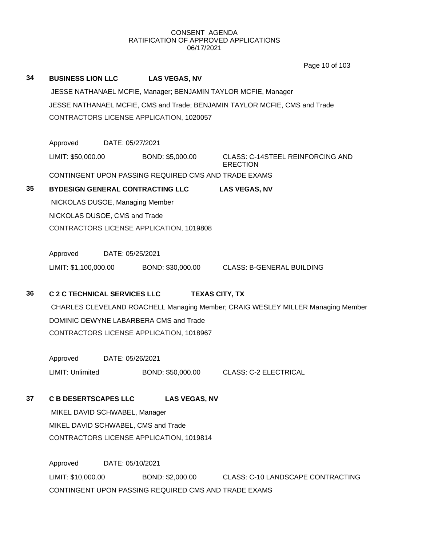Page 10 of 103

# **34 BUSINESS LION LLC LAS VEGAS, NV** JESSE NATHANAEL MCFIE, Manager; BENJAMIN TAYLOR MCFIE, Manager JESSE NATHANAEL MCFIE, CMS and Trade; BENJAMIN TAYLOR MCFIE, CMS and Trade CONTRACTORS LICENSE APPLICATION, 1020057 Approved DATE: 05/27/2021 LIMIT: \$50,000.00 BOND: \$5,000.00 CLASS: C-14STEEL REINFORCING AND **ERECTION** CONTINGENT UPON PASSING REQUIRED CMS AND TRADE EXAMS **35 BYDESIGN GENERAL CONTRACTING LLC LAS VEGAS, NV** NICKOLAS DUSOE, Managing Member NICKOLAS DUSOE, CMS and Trade CONTRACTORS LICENSE APPLICATION, 1019808 Approved DATE: 05/25/2021 LIMIT: \$1,100,000.00 BOND: \$30,000.00 CLASS: B-GENERAL BUILDING **36 C 2 C TECHNICAL SERVICES LLC TEXAS CITY, TX** CHARLES CLEVELAND ROACHELL Managing Member; CRAIG WESLEY MILLER Managing Member DOMINIC DEWYNE LABARBERA CMS and Trade CONTRACTORS LICENSE APPLICATION, 1018967 Approved DATE: 05/26/2021 LIMIT: Unlimited BOND: \$50,000.00 CLASS: C-2 ELECTRICAL **37 C B DESERTSCAPES LLC LAS VEGAS, NV** MIKEL DAVID SCHWABEL, Manager MIKEL DAVID SCHWABEL, CMS and Trade CONTRACTORS LICENSE APPLICATION, 1019814 Approved DATE: 05/10/2021

LIMIT: \$10,000.00 BOND: \$2,000.00 CLASS: C-10 LANDSCAPE CONTRACTING CONTINGENT UPON PASSING REQUIRED CMS AND TRADE EXAMS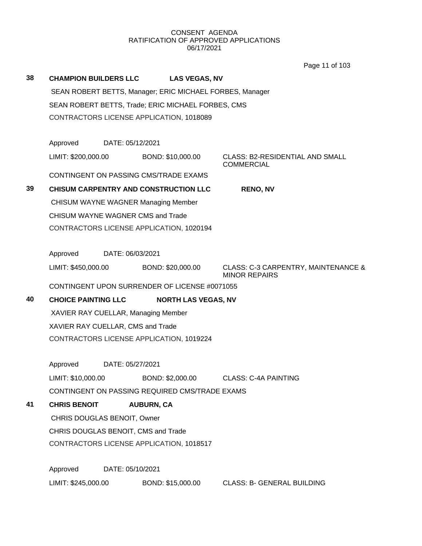Page 11 of 103

|    |                                          |                                          |                                                          | Page 11 or 103                                              |  |  |  |
|----|------------------------------------------|------------------------------------------|----------------------------------------------------------|-------------------------------------------------------------|--|--|--|
| 38 | <b>CHAMPION BUILDERS LLC</b>             |                                          | <b>LAS VEGAS, NV</b>                                     |                                                             |  |  |  |
|    |                                          |                                          | SEAN ROBERT BETTS, Manager; ERIC MICHAEL FORBES, Manager |                                                             |  |  |  |
|    |                                          |                                          | SEAN ROBERT BETTS, Trade; ERIC MICHAEL FORBES, CMS       |                                                             |  |  |  |
|    |                                          |                                          | CONTRACTORS LICENSE APPLICATION, 1018089                 |                                                             |  |  |  |
|    |                                          |                                          |                                                          |                                                             |  |  |  |
|    | Approved                                 | DATE: 05/12/2021                         |                                                          |                                                             |  |  |  |
|    | LIMIT: \$200,000.00                      |                                          | BOND: \$10,000.00                                        | <b>CLASS: B2-RESIDENTIAL AND SMALL</b><br><b>COMMERCIAL</b> |  |  |  |
|    |                                          |                                          | CONTINGENT ON PASSING CMS/TRADE EXAMS                    |                                                             |  |  |  |
| 39 |                                          |                                          | <b>CHISUM CARPENTRY AND CONSTRUCTION LLC</b>             | <b>RENO, NV</b>                                             |  |  |  |
|    |                                          |                                          | <b>CHISUM WAYNE WAGNER Managing Member</b>               |                                                             |  |  |  |
|    | CHISUM WAYNE WAGNER CMS and Trade        |                                          |                                                          |                                                             |  |  |  |
|    | CONTRACTORS LICENSE APPLICATION, 1020194 |                                          |                                                          |                                                             |  |  |  |
|    |                                          |                                          |                                                          |                                                             |  |  |  |
|    | Approved                                 | DATE: 06/03/2021                         |                                                          |                                                             |  |  |  |
|    | LIMIT: \$450,000.00                      |                                          | BOND: \$20,000.00                                        | CLASS: C-3 CARPENTRY, MAINTENANCE &<br><b>MINOR REPAIRS</b> |  |  |  |
|    |                                          |                                          | CONTINGENT UPON SURRENDER OF LICENSE #0071055            |                                                             |  |  |  |
| 40 | <b>CHOICE PAINTING LLC</b>               |                                          | <b>NORTH LAS VEGAS, NV</b>                               |                                                             |  |  |  |
|    | XAVIER RAY CUELLAR, Managing Member      |                                          |                                                          |                                                             |  |  |  |
|    | XAVIER RAY CUELLAR, CMS and Trade        |                                          |                                                          |                                                             |  |  |  |
|    |                                          | CONTRACTORS LICENSE APPLICATION, 1019224 |                                                          |                                                             |  |  |  |
|    | Approved                                 | DATE: 05/27/2021                         |                                                          |                                                             |  |  |  |
|    | LIMIT: \$10,000.00                       |                                          | BOND: \$2,000.00                                         | <b>CLASS: C-4A PAINTING</b>                                 |  |  |  |
|    |                                          |                                          | CONTINGENT ON PASSING REQUIRED CMS/TRADE EXAMS           |                                                             |  |  |  |
| 41 | <b>CHRIS BENOIT</b>                      |                                          | <b>AUBURN, CA</b>                                        |                                                             |  |  |  |
|    | CHRIS DOUGLAS BENOIT, Owner              |                                          |                                                          |                                                             |  |  |  |
|    | CHRIS DOUGLAS BENOIT, CMS and Trade      |                                          |                                                          |                                                             |  |  |  |
|    | CONTRACTORS LICENSE APPLICATION, 1018517 |                                          |                                                          |                                                             |  |  |  |
|    |                                          |                                          |                                                          |                                                             |  |  |  |
|    |                                          |                                          |                                                          |                                                             |  |  |  |
|    | Approved                                 | DATE: 05/10/2021                         |                                                          |                                                             |  |  |  |
|    | LIMIT: \$245,000.00                      |                                          | BOND: \$15,000.00                                        | <b>CLASS: B- GENERAL BUILDING</b>                           |  |  |  |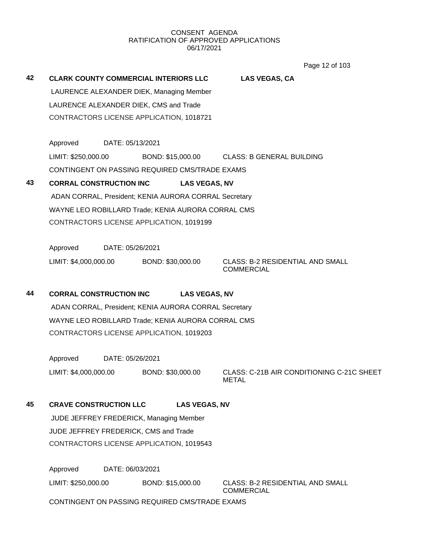Page 12 of 103

| 42 | <b>CLARK COUNTY COMMERCIAL INTERIORS LLC</b>          |                  |                   | <b>LAS VEGAS, CA</b> |                                  |  |
|----|-------------------------------------------------------|------------------|-------------------|----------------------|----------------------------------|--|
|    | LAURENCE ALEXANDER DIEK, Managing Member              |                  |                   |                      |                                  |  |
|    | LAURENCE ALEXANDER DIEK, CMS and Trade                |                  |                   |                      |                                  |  |
|    | CONTRACTORS LICENSE APPLICATION, 1018721              |                  |                   |                      |                                  |  |
|    |                                                       |                  |                   |                      |                                  |  |
|    | Approved                                              | DATE: 05/13/2021 |                   |                      |                                  |  |
|    | LIMIT: \$250,000.00                                   |                  | BOND: \$15,000.00 |                      | <b>CLASS: B GENERAL BUILDING</b> |  |
|    | CONTINGENT ON PASSING REQUIRED CMS/TRADE EXAMS        |                  |                   |                      |                                  |  |
| 43 | <b>CORRAL CONSTRUCTION INC</b>                        |                  |                   | <b>LAS VEGAS, NV</b> |                                  |  |
|    | ADAN CORRAL, President; KENIA AURORA CORRAL Secretary |                  |                   |                      |                                  |  |
|    | WAYNE LEO ROBILLARD Trade; KENIA AURORA CORRAL CMS    |                  |                   |                      |                                  |  |
|    | CONTRACTORS LICENSE APPLICATION, 1019199              |                  |                   |                      |                                  |  |
|    |                                                       |                  |                   |                      |                                  |  |

Approved DATE: 05/26/2021 LIMIT: \$4,000,000.00 BOND: \$30,000.00 CLASS: B-2 RESIDENTIAL AND SMALL

COMMERCIAL

# **44 CORRAL CONSTRUCTION INC LAS VEGAS, NV**

ADAN CORRAL, President; KENIA AURORA CORRAL Secretary WAYNE LEO ROBILLARD Trade; KENIA AURORA CORRAL CMS CONTRACTORS LICENSE APPLICATION, 1019203

Approved DATE: 05/26/2021

LIMIT: \$4,000,000.00 BOND: \$30,000.00 CLASS: C-21B AIR CONDITIONING C-21C SHEET METAL

# **45 CRAVE CONSTRUCTION LLC LAS VEGAS, NV**

JUDE JEFFREY FREDERICK, Managing Member JUDE JEFFREY FREDERICK, CMS and Trade CONTRACTORS LICENSE APPLICATION, 1019543

Approved DATE: 06/03/2021

LIMIT: \$250,000.00 BOND: \$15,000.00 CLASS: B-2 RESIDENTIAL AND SMALL

COMMERCIAL

CONTINGENT ON PASSING REQUIRED CMS/TRADE EXAMS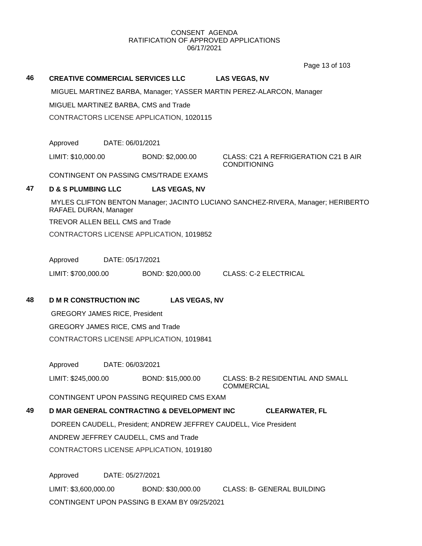Page 13 of 103

### **46 CREATIVE COMMERCIAL SERVICES LLC LAS VEGAS, NV**

MIGUEL MARTINEZ BARBA, Manager; YASSER MARTIN PEREZ-ALARCON, Manager

MIGUEL MARTINEZ BARBA, CMS and Trade

CONTRACTORS LICENSE APPLICATION, 1020115

Approved DATE: 06/01/2021

LIMIT: \$10,000.00 BOND: \$2,000.00 CLASS: C21 A REFRIGERATION C21 B AIR

CONDITIONING

CONTINGENT ON PASSING CMS/TRADE EXAMS

# **47 D & S PLUMBING LLC LAS VEGAS, NV**

MYLES CLIFTON BENTON Manager; JACINTO LUCIANO SANCHEZ-RIVERA, Manager; HERIBERTO RAFAEL DURAN, Manager

TREVOR ALLEN BELL CMS and Trade

CONTRACTORS LICENSE APPLICATION, 1019852

Approved DATE: 05/17/2021

LIMIT: \$700,000.00 BOND: \$20,000.00 CLASS: C-2 ELECTRICAL

**48 D M R CONSTRUCTION INC LAS VEGAS, NV**

GREGORY JAMES RICE, President GREGORY JAMES RICE, CMS and Trade CONTRACTORS LICENSE APPLICATION, 1019841

Approved DATE: 06/03/2021

LIMIT: \$245,000.00 BOND: \$15,000.00 CLASS: B-2 RESIDENTIAL AND SMALL

**COMMERCIAL** 

CONTINGENT UPON PASSING REQUIRED CMS EXAM

# **49 D MAR GENERAL CONTRACTING & DEVELOPMENT INC CLEARWATER, FL** DOREEN CAUDELL, President; ANDREW JEFFREY CAUDELL, Vice President

ANDREW JEFFREY CAUDELL, CMS and Trade

CONTRACTORS LICENSE APPLICATION, 1019180

Approved DATE: 05/27/2021 LIMIT: \$3,600,000.00 BOND: \$30,000.00 CLASS: B- GENERAL BUILDING CONTINGENT UPON PASSING B EXAM BY 09/25/2021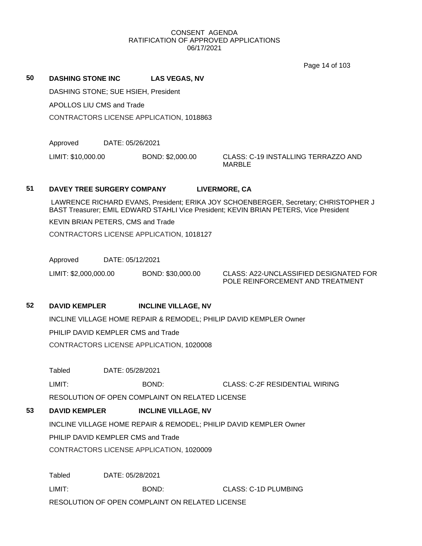Page 14 of 103

| 50 | <b>DASHING STONE INC.</b>                |  | <b>LAS VEGAS, NV</b> |                                               |
|----|------------------------------------------|--|----------------------|-----------------------------------------------|
|    | DASHING STONE; SUE HSIEH, President      |  |                      |                                               |
|    | APOLLOS LIU CMS and Trade                |  |                      |                                               |
|    | CONTRACTORS LICENSE APPLICATION, 1018863 |  |                      |                                               |
|    |                                          |  |                      |                                               |
|    | DATE: 05/26/2021<br>Approved             |  |                      |                                               |
|    | LIMIT: \$10,000.00                       |  | BOND: \$2,000.00     | CLASS: C-19 INSTALLING TERRAZZO AND<br>MARBLE |

# **51 DAVEY TREE SURGERY COMPANY LIVERMORE, CA**

LAWRENCE RICHARD EVANS, President; ERIKA JOY SCHOENBERGER, Secretary; CHRISTOPHER J BAST Treasurer; EMIL EDWARD STAHLI Vice President; KEVIN BRIAN PETERS, Vice President

KEVIN BRIAN PETERS, CMS and Trade

CONTRACTORS LICENSE APPLICATION, 1018127

Approved DATE: 05/12/2021

LIMIT: \$2,000,000.00 BOND: \$30,000.00 CLASS: A22-UNCLASSIFIED DESIGNATED FOR

POLE REINFORCEMENT AND TREATMENT

**52 DAVID KEMPLER INCLINE VILLAGE, NV**

INCLINE VILLAGE HOME REPAIR & REMODEL; PHILIP DAVID KEMPLER Owner PHILIP DAVID KEMPLER CMS and Trade CONTRACTORS LICENSE APPLICATION, 1020008

Tabled DATE: 05/28/2021

LIMIT: BOND: CLASS: C-2F RESIDENTIAL WIRING

RESOLUTION OF OPEN COMPLAINT ON RELATED LICENSE

# **53 DAVID KEMPLER INCLINE VILLAGE, NV**

INCLINE VILLAGE HOME REPAIR & REMODEL; PHILIP DAVID KEMPLER Owner

PHILIP DAVID KEMPLER CMS and Trade

CONTRACTORS LICENSE APPLICATION, 1020009

Tabled DATE: 05/28/2021 LIMIT: BOND: CLASS: C-1D PLUMBING RESOLUTION OF OPEN COMPLAINT ON RELATED LICENSE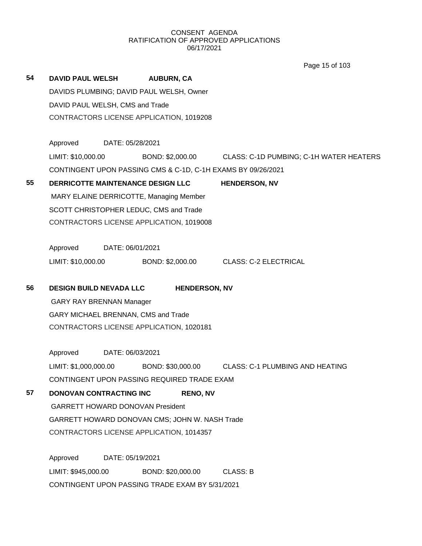Page 15 of 103

| 54 | <b>DAVID PAUL WELSH</b>                         |                                          | <b>AUBURN, CA</b> |                      |                                                              |  |  |  |
|----|-------------------------------------------------|------------------------------------------|-------------------|----------------------|--------------------------------------------------------------|--|--|--|
|    | DAVIDS PLUMBING; DAVID PAUL WELSH, Owner        |                                          |                   |                      |                                                              |  |  |  |
|    | DAVID PAUL WELSH, CMS and Trade                 |                                          |                   |                      |                                                              |  |  |  |
|    |                                                 | CONTRACTORS LICENSE APPLICATION, 1019208 |                   |                      |                                                              |  |  |  |
|    | Approved                                        | DATE: 05/28/2021                         |                   |                      |                                                              |  |  |  |
|    | LIMIT: \$10,000.00                              |                                          |                   |                      | BOND: \$2,000.00 CLASS: C-1D PUMBING; C-1H WATER HEATERS     |  |  |  |
|    |                                                 |                                          |                   |                      | CONTINGENT UPON PASSING CMS & C-1D, C-1H EXAMS BY 09/26/2021 |  |  |  |
| 55 | DERRICOTTE MAINTENANCE DESIGN LLC               |                                          |                   |                      | <b>HENDERSON, NV</b>                                         |  |  |  |
|    | MARY ELAINE DERRICOTTE, Managing Member         |                                          |                   |                      |                                                              |  |  |  |
|    | SCOTT CHRISTOPHER LEDUC, CMS and Trade          |                                          |                   |                      |                                                              |  |  |  |
|    |                                                 | CONTRACTORS LICENSE APPLICATION, 1019008 |                   |                      |                                                              |  |  |  |
|    | Approved                                        | DATE: 06/01/2021                         |                   |                      |                                                              |  |  |  |
|    | LIMIT: \$10,000.00                              |                                          |                   |                      | BOND: \$2,000.00 CLASS: C-2 ELECTRICAL                       |  |  |  |
| 56 | <b>DESIGN BUILD NEVADA LLC</b>                  |                                          |                   | <b>HENDERSON, NV</b> |                                                              |  |  |  |
|    | <b>GARY RAY BRENNAN Manager</b>                 |                                          |                   |                      |                                                              |  |  |  |
|    | GARY MICHAEL BRENNAN, CMS and Trade             |                                          |                   |                      |                                                              |  |  |  |
|    | CONTRACTORS LICENSE APPLICATION, 1020181        |                                          |                   |                      |                                                              |  |  |  |
|    | Approved                                        | DATE: 06/03/2021                         |                   |                      |                                                              |  |  |  |
|    | LIMIT: \$1,000,000.00                           |                                          |                   |                      | BOND: \$30,000.00 CLASS: C-1 PLUMBING AND HEATING            |  |  |  |
|    | CONTINGENT UPON PASSING REQUIRED TRADE EXAM     |                                          |                   |                      |                                                              |  |  |  |
| 57 | <b>DONOVAN CONTRACTING INC</b>                  |                                          |                   | <b>RENO, NV</b>      |                                                              |  |  |  |
|    | <b>GARRETT HOWARD DONOVAN President</b>         |                                          |                   |                      |                                                              |  |  |  |
|    | GARRETT HOWARD DONOVAN CMS; JOHN W. NASH Trade  |                                          |                   |                      |                                                              |  |  |  |
|    | CONTRACTORS LICENSE APPLICATION, 1014357        |                                          |                   |                      |                                                              |  |  |  |
|    | Approved                                        | DATE: 05/19/2021                         |                   |                      |                                                              |  |  |  |
|    | LIMIT: \$945,000.00                             |                                          | BOND: \$20,000.00 |                      | <b>CLASS: B</b>                                              |  |  |  |
|    | CONTINGENT UPON PASSING TRADE EXAM BY 5/31/2021 |                                          |                   |                      |                                                              |  |  |  |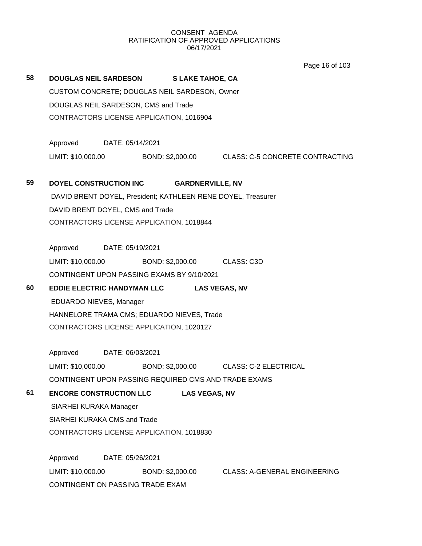Page 16 of 103

**58 DOUGLAS NEIL SARDESON S LAKE TAHOE, CA** CUSTOM CONCRETE; DOUGLAS NEIL SARDESON, Owner DOUGLAS NEIL SARDESON, CMS and Trade CONTRACTORS LICENSE APPLICATION, 1016904 Approved DATE: 05/14/2021 LIMIT: \$10,000.00 BOND: \$2,000.00 CLASS: C-5 CONCRETE CONTRACTING **59 DOYEL CONSTRUCTION INC GARDNERVILLE, NV** DAVID BRENT DOYEL, President; KATHLEEN RENE DOYEL, Treasurer DAVID BRENT DOYEL, CMS and Trade CONTRACTORS LICENSE APPLICATION, 1018844 Approved DATE: 05/19/2021 LIMIT: \$10,000.00 BOND: \$2,000.00 CLASS: C3D CONTINGENT UPON PASSING EXAMS BY 9/10/2021 **60 EDDIE ELECTRIC HANDYMAN LLC LAS VEGAS, NV** EDUARDO NIEVES, Manager HANNELORE TRAMA CMS; EDUARDO NIEVES, Trade CONTRACTORS LICENSE APPLICATION, 1020127 Approved DATE: 06/03/2021 LIMIT: \$10,000.00 BOND: \$2,000.00 CLASS: C-2 ELECTRICAL CONTINGENT UPON PASSING REQUIRED CMS AND TRADE EXAMS **61 ENCORE CONSTRUCTION LLC LAS VEGAS, NV** SIARHEI KURAKA Manager SIARHEI KURAKA CMS and Trade CONTRACTORS LICENSE APPLICATION, 1018830 Approved DATE: 05/26/2021 LIMIT: \$10,000.00 BOND: \$2,000.00 CLASS: A-GENERAL ENGINEERING CONTINGENT ON PASSING TRADE EXAM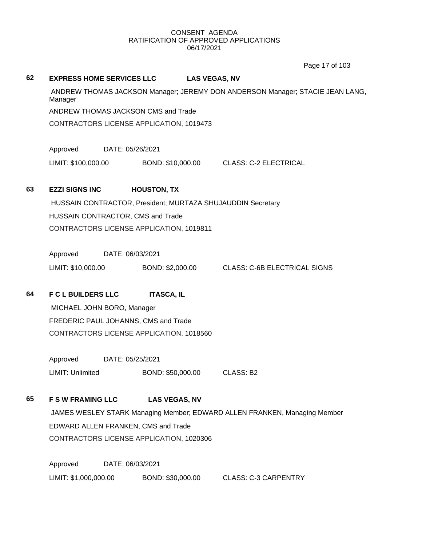Page 17 of 103

| 62 | <b>EXPRESS HOME SERVICES LLC</b>                                                         |                  |                                                             | <b>LAS VEGAS, NV</b>                                                      |  |
|----|------------------------------------------------------------------------------------------|------------------|-------------------------------------------------------------|---------------------------------------------------------------------------|--|
|    | ANDREW THOMAS JACKSON Manager; JEREMY DON ANDERSON Manager; STACIE JEAN LANG,<br>Manager |                  |                                                             |                                                                           |  |
|    |                                                                                          |                  | ANDREW THOMAS JACKSON CMS and Trade                         |                                                                           |  |
|    |                                                                                          |                  | CONTRACTORS LICENSE APPLICATION, 1019473                    |                                                                           |  |
|    | Approved                                                                                 | DATE: 05/26/2021 |                                                             |                                                                           |  |
|    | LIMIT: \$100,000.00                                                                      |                  | BOND: \$10,000.00                                           | <b>CLASS: C-2 ELECTRICAL</b>                                              |  |
| 63 | <b>EZZI SIGNS INC</b>                                                                    |                  | <b>HOUSTON, TX</b>                                          |                                                                           |  |
|    |                                                                                          |                  | HUSSAIN CONTRACTOR, President; MURTAZA SHUJAUDDIN Secretary |                                                                           |  |
|    | HUSSAIN CONTRACTOR, CMS and Trade                                                        |                  |                                                             |                                                                           |  |
|    |                                                                                          |                  | CONTRACTORS LICENSE APPLICATION, 1019811                    |                                                                           |  |
|    |                                                                                          |                  |                                                             |                                                                           |  |
|    | Approved                                                                                 | DATE: 06/03/2021 |                                                             |                                                                           |  |
|    | LIMIT: \$10,000.00                                                                       |                  | BOND: \$2,000.00                                            | <b>CLASS: C-6B ELECTRICAL SIGNS</b>                                       |  |
| 64 | <b>F C L BUILDERS LLC</b>                                                                |                  | <b>ITASCA, IL</b>                                           |                                                                           |  |
|    | MICHAEL JOHN BORO, Manager                                                               |                  |                                                             |                                                                           |  |
|    |                                                                                          |                  | FREDERIC PAUL JOHANNS, CMS and Trade                        |                                                                           |  |
|    |                                                                                          |                  | CONTRACTORS LICENSE APPLICATION, 1018560                    |                                                                           |  |
|    |                                                                                          |                  |                                                             |                                                                           |  |
|    | Approved                                                                                 | DATE: 05/25/2021 |                                                             |                                                                           |  |
|    | LIMIT: Unlimited                                                                         |                  | BOND: \$50,000.00                                           | CLASS: B2                                                                 |  |
| 65 | <b>F S W FRAMING LLC</b>                                                                 |                  | <b>LAS VEGAS, NV</b>                                        |                                                                           |  |
|    |                                                                                          |                  |                                                             | JAMES WESLEY STARK Managing Member; EDWARD ALLEN FRANKEN, Managing Member |  |
|    |                                                                                          |                  | EDWARD ALLEN FRANKEN, CMS and Trade                         |                                                                           |  |
|    |                                                                                          |                  | CONTRACTORS LICENSE APPLICATION, 1020306                    |                                                                           |  |
|    |                                                                                          |                  |                                                             |                                                                           |  |
|    | Approved                                                                                 | DATE: 06/03/2021 |                                                             |                                                                           |  |

LIMIT: \$1,000,000.00 BOND: \$30,000.00 CLASS: C-3 CARPENTRY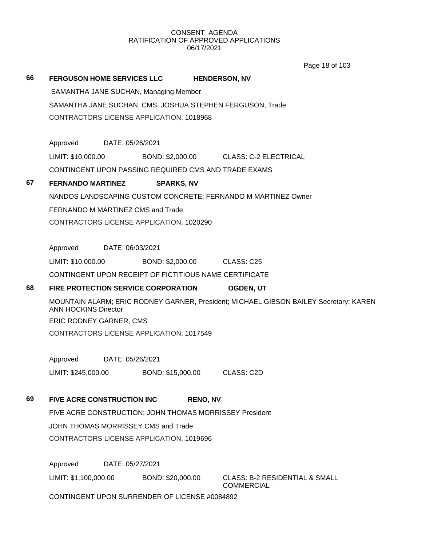Page 18 of 103

|    |                                          |                  |                                                         | Page 18 01 103                                                                        |  |
|----|------------------------------------------|------------------|---------------------------------------------------------|---------------------------------------------------------------------------------------|--|
| 66 | <b>FERGUSON HOME SERVICES LLC</b>        |                  |                                                         | <b>HENDERSON, NV</b>                                                                  |  |
|    |                                          |                  | SAMANTHA JANE SUCHAN, Managing Member                   |                                                                                       |  |
|    |                                          |                  |                                                         | SAMANTHA JANE SUCHAN, CMS; JOSHUA STEPHEN FERGUSON, Trade                             |  |
|    |                                          |                  | CONTRACTORS LICENSE APPLICATION, 1018968                |                                                                                       |  |
|    |                                          |                  |                                                         |                                                                                       |  |
|    | Approved                                 | DATE: 05/26/2021 |                                                         |                                                                                       |  |
|    | LIMIT: \$10,000.00                       |                  | BOND: \$2,000.00                                        | <b>CLASS: C-2 ELECTRICAL</b>                                                          |  |
|    |                                          |                  | CONTINGENT UPON PASSING REQUIRED CMS AND TRADE EXAMS    |                                                                                       |  |
| 67 | <b>FERNANDO MARTINEZ</b>                 |                  | <b>SPARKS, NV</b>                                       |                                                                                       |  |
|    |                                          |                  |                                                         | NANDOS LANDSCAPING CUSTOM CONCRETE; FERNANDO M MARTINEZ Owner                         |  |
|    | FERNANDO M MARTINEZ CMS and Trade        |                  |                                                         |                                                                                       |  |
|    | CONTRACTORS LICENSE APPLICATION, 1020290 |                  |                                                         |                                                                                       |  |
|    |                                          |                  |                                                         |                                                                                       |  |
|    | Approved                                 | DATE: 06/03/2021 |                                                         |                                                                                       |  |
|    | LIMIT: \$10,000.00                       |                  | BOND: \$2,000.00                                        | CLASS: C25                                                                            |  |
|    |                                          |                  | CONTINGENT UPON RECEIPT OF FICTITIOUS NAME CERTIFICATE  |                                                                                       |  |
| 68 |                                          |                  | <b>FIRE PROTECTION SERVICE CORPORATION</b>              | <b>OGDEN, UT</b>                                                                      |  |
|    | <b>ANN HOCKINS Director</b>              |                  |                                                         | MOUNTAIN ALARM; ERIC RODNEY GARNER, President; MICHAEL GIBSON BAILEY Secretary; KAREN |  |
|    | ERIC RODNEY GARNER, CMS                  |                  |                                                         |                                                                                       |  |
|    |                                          |                  | CONTRACTORS LICENSE APPLICATION, 1017549                |                                                                                       |  |
|    | Approved                                 | DATE: 05/26/2021 |                                                         |                                                                                       |  |
|    | LIMIT: \$245,000.00                      |                  | BOND: \$15,000.00                                       | CLASS: C2D                                                                            |  |
|    |                                          |                  |                                                         |                                                                                       |  |
| 69 | FIVE ACRE CONSTRUCTION INC               |                  | <b>RENO, NV</b>                                         |                                                                                       |  |
|    |                                          |                  | FIVE ACRE CONSTRUCTION; JOHN THOMAS MORRISSEY President |                                                                                       |  |
|    | JOHN THOMAS MORRISSEY CMS and Trade      |                  |                                                         |                                                                                       |  |
|    |                                          |                  | CONTRACTORS LICENSE APPLICATION, 1019696                |                                                                                       |  |
|    |                                          |                  |                                                         |                                                                                       |  |
|    | Approved                                 | DATE: 05/27/2021 |                                                         |                                                                                       |  |
|    | LIMIT: \$1,100,000.00                    |                  | BOND: \$20,000.00                                       | <b>CLASS: B-2 RESIDENTIAL &amp; SMALL</b><br><b>COMMERCIAL</b>                        |  |
|    |                                          |                  | CONTINGENT UPON SURRENDER OF LICENSE #0084892           |                                                                                       |  |
|    |                                          |                  |                                                         |                                                                                       |  |
|    |                                          |                  |                                                         |                                                                                       |  |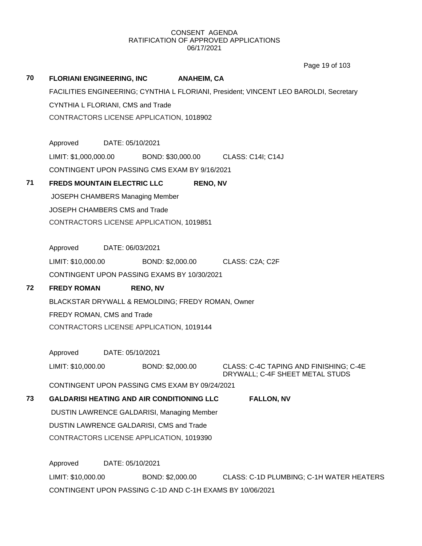Page 19 of 103

|    |                                                   |                  |                    | Page 19 01 103                                                                        |
|----|---------------------------------------------------|------------------|--------------------|---------------------------------------------------------------------------------------|
| 70 | <b>FLORIANI ENGINEERING, INC</b>                  |                  | <b>ANAHEIM, CA</b> |                                                                                       |
|    |                                                   |                  |                    | FACILITIES ENGINEERING; CYNTHIA L FLORIANI, President; VINCENT LEO BAROLDI, Secretary |
|    | CYNTHIA L FLORIANI, CMS and Trade                 |                  |                    |                                                                                       |
|    | CONTRACTORS LICENSE APPLICATION, 1018902          |                  |                    |                                                                                       |
|    | Approved                                          | DATE: 05/10/2021 |                    |                                                                                       |
|    | LIMIT: \$1,000,000.00                             |                  |                    | BOND: \$30,000.00 CLASS: C14I; C14J                                                   |
|    | CONTINGENT UPON PASSING CMS EXAM BY 9/16/2021     |                  |                    |                                                                                       |
| 71 | <b>FREDS MOUNTAIN ELECTRIC LLC</b>                |                  | <b>RENO, NV</b>    |                                                                                       |
|    | JOSEPH CHAMBERS Managing Member                   |                  |                    |                                                                                       |
|    | JOSEPH CHAMBERS CMS and Trade                     |                  |                    |                                                                                       |
|    | CONTRACTORS LICENSE APPLICATION, 1019851          |                  |                    |                                                                                       |
|    |                                                   |                  |                    |                                                                                       |
|    | Approved                                          | DATE: 06/03/2021 |                    |                                                                                       |
|    | LIMIT: \$10,000.00                                |                  | BOND: \$2,000.00   | CLASS: C2A; C2F                                                                       |
|    | CONTINGENT UPON PASSING EXAMS BY 10/30/2021       |                  |                    |                                                                                       |
| 72 | <b>FREDY ROMAN</b>                                | <b>RENO, NV</b>  |                    |                                                                                       |
|    | BLACKSTAR DRYWALL & REMOLDING; FREDY ROMAN, Owner |                  |                    |                                                                                       |
|    | FREDY ROMAN, CMS and Trade                        |                  |                    |                                                                                       |
|    | CONTRACTORS LICENSE APPLICATION, 1019144          |                  |                    |                                                                                       |
|    | Approved                                          | DATE: 05/10/2021 |                    |                                                                                       |
|    | LIMIT: \$10,000.00                                |                  | BOND: \$2,000.00   | CLASS: C-4C TAPING AND FINISHING; C-4E<br>DRYWALL; C-4F SHEET METAL STUDS             |
|    | CONTINGENT UPON PASSING CMS EXAM BY 09/24/2021    |                  |                    |                                                                                       |
| 73 | <b>GALDARISI HEATING AND AIR CONDITIONING LLC</b> |                  |                    | <b>FALLON, NV</b>                                                                     |
|    | DUSTIN LAWRENCE GALDARISI, Managing Member        |                  |                    |                                                                                       |
|    | DUSTIN LAWRENCE GALDARISI, CMS and Trade          |                  |                    |                                                                                       |
|    | CONTRACTORS LICENSE APPLICATION, 1019390          |                  |                    |                                                                                       |
|    | Approved                                          | DATE: 05/10/2021 |                    |                                                                                       |
|    | LIMIT: \$10,000.00                                |                  | BOND: \$2,000.00   | CLASS: C-1D PLUMBING; C-1H WATER HEATERS                                              |
|    |                                                   |                  |                    |                                                                                       |

CONTINGENT UPON PASSING C-1D AND C-1H EXAMS BY 10/06/2021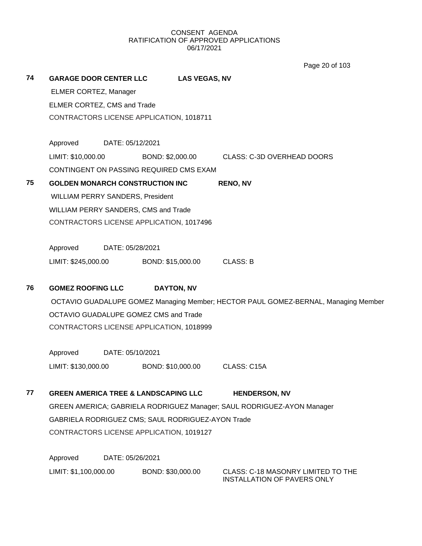Page 20 of 103

| 74 |                                          | <b>GARAGE DOOR CENTER LLC</b>                   | <b>LAS VEGAS, NV</b>                              |                                                                                    |
|----|------------------------------------------|-------------------------------------------------|---------------------------------------------------|------------------------------------------------------------------------------------|
|    | ELMER CORTEZ, Manager                    |                                                 |                                                   |                                                                                    |
|    | ELMER CORTEZ, CMS and Trade              |                                                 |                                                   |                                                                                    |
|    |                                          | CONTRACTORS LICENSE APPLICATION, 1018711        |                                                   |                                                                                    |
|    |                                          |                                                 |                                                   |                                                                                    |
|    | Approved                                 | DATE: 05/12/2021                                |                                                   |                                                                                    |
|    | LIMIT: \$10,000.00                       |                                                 |                                                   | BOND: \$2,000.00 CLASS: C-3D OVERHEAD DOORS                                        |
|    |                                          | CONTINGENT ON PASSING REQUIRED CMS EXAM         |                                                   |                                                                                    |
| 75 |                                          | <b>GOLDEN MONARCH CONSTRUCTION INC</b>          |                                                   | <b>RENO, NV</b>                                                                    |
|    |                                          | WILLIAM PERRY SANDERS, President                |                                                   |                                                                                    |
|    |                                          | WILLIAM PERRY SANDERS, CMS and Trade            |                                                   |                                                                                    |
|    |                                          | CONTRACTORS LICENSE APPLICATION, 1017496        |                                                   |                                                                                    |
|    |                                          |                                                 |                                                   |                                                                                    |
|    |                                          | Approved DATE: 05/28/2021                       |                                                   |                                                                                    |
|    |                                          |                                                 | LIMIT: \$245,000.00 BOND: \$15,000.00             | <b>CLASS: B</b>                                                                    |
|    |                                          |                                                 |                                                   |                                                                                    |
| 76 | <b>GOMEZ ROOFING LLC</b>                 |                                                 | <b>DAYTON, NV</b>                                 |                                                                                    |
|    |                                          |                                                 |                                                   | OCTAVIO GUADALUPE GOMEZ Managing Member; HECTOR PAUL GOMEZ-BERNAL, Managing Member |
|    | OCTAVIO GUADALUPE GOMEZ CMS and Trade    |                                                 |                                                   |                                                                                    |
|    | CONTRACTORS LICENSE APPLICATION, 1018999 |                                                 |                                                   |                                                                                    |
|    | Approved<br>DATE: 05/10/2021             |                                                 |                                                   |                                                                                    |
|    | LIMIT: \$130,000.00                      |                                                 | BOND: \$10,000.00                                 | CLASS: C15A                                                                        |
|    |                                          |                                                 |                                                   |                                                                                    |
| 77 |                                          | <b>GREEN AMERICA TREE &amp; LANDSCAPING LLC</b> |                                                   | <b>HENDERSON, NV</b>                                                               |
|    |                                          |                                                 |                                                   | GREEN AMERICA; GABRIELA RODRIGUEZ Manager; SAUL RODRIGUEZ-AYON Manager             |
|    |                                          |                                                 | GABRIELA RODRIGUEZ CMS; SAUL RODRIGUEZ-AYON Trade |                                                                                    |
|    | CONTRACTORS LICENSE APPLICATION, 1019127 |                                                 |                                                   |                                                                                    |
|    |                                          |                                                 |                                                   |                                                                                    |
|    | Approved                                 | DATE: 05/26/2021                                |                                                   |                                                                                    |
|    | LIMIT: \$1,100,000.00                    |                                                 | BOND: \$30,000.00                                 | <b>CLASS: C-18 MASONRY LIMITED TO THE</b><br>INSTALLATION OF PAVERS ONLY           |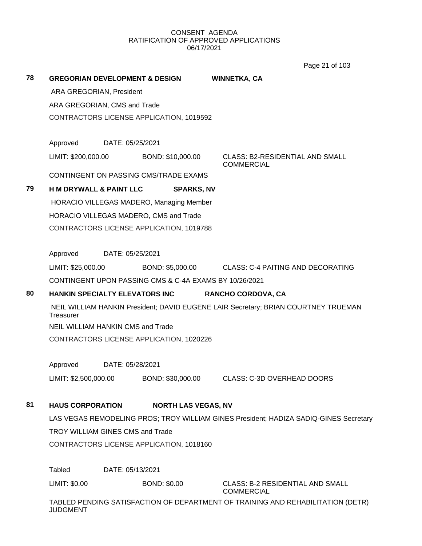Page 21 of 103

| 78                                                                       | <b>GREGORIAN DEVELOPMENT &amp; DESIGN</b>                                                       |                                    |                                          | <b>WINNETKA, CA</b>                                                                   |  |
|--------------------------------------------------------------------------|-------------------------------------------------------------------------------------------------|------------------------------------|------------------------------------------|---------------------------------------------------------------------------------------|--|
|                                                                          | ARA GREGORIAN, President                                                                        |                                    |                                          |                                                                                       |  |
|                                                                          | ARA GREGORIAN, CMS and Trade                                                                    |                                    |                                          |                                                                                       |  |
|                                                                          |                                                                                                 |                                    | CONTRACTORS LICENSE APPLICATION, 1019592 |                                                                                       |  |
|                                                                          | Approved                                                                                        | DATE: 05/25/2021                   |                                          |                                                                                       |  |
|                                                                          | LIMIT: \$200,000.00                                                                             |                                    | BOND: \$10,000.00                        | <b>CLASS: B2-RESIDENTIAL AND SMALL</b><br><b>COMMERCIAL</b>                           |  |
|                                                                          |                                                                                                 |                                    | CONTINGENT ON PASSING CMS/TRADE EXAMS    |                                                                                       |  |
| 79                                                                       |                                                                                                 | <b>H M DRYWALL &amp; PAINT LLC</b> | <b>SPARKS, NV</b>                        |                                                                                       |  |
|                                                                          |                                                                                                 |                                    | HORACIO VILLEGAS MADERO, Managing Member |                                                                                       |  |
|                                                                          |                                                                                                 |                                    | HORACIO VILLEGAS MADERO, CMS and Trade   |                                                                                       |  |
|                                                                          |                                                                                                 |                                    | CONTRACTORS LICENSE APPLICATION, 1019788 |                                                                                       |  |
|                                                                          | Approved                                                                                        | DATE: 05/25/2021                   |                                          |                                                                                       |  |
|                                                                          | LIMIT: \$25,000.00                                                                              |                                    |                                          | BOND: \$5,000.00 CLASS: C-4 PAITING AND DECORATING                                    |  |
|                                                                          | CONTINGENT UPON PASSING CMS & C-4A EXAMS BY 10/26/2021                                          |                                    |                                          |                                                                                       |  |
| 80<br><b>HANKIN SPECIALTY ELEVATORS INC</b><br><b>RANCHO CORDOVA, CA</b> |                                                                                                 |                                    |                                          |                                                                                       |  |
|                                                                          | NEIL WILLIAM HANKIN President; DAVID EUGENE LAIR Secretary; BRIAN COURTNEY TRUEMAN<br>Treasurer |                                    |                                          |                                                                                       |  |
|                                                                          | <b>NEIL WILLIAM HANKIN CMS and Trade</b>                                                        |                                    |                                          |                                                                                       |  |
|                                                                          | CONTRACTORS LICENSE APPLICATION, 1020226                                                        |                                    |                                          |                                                                                       |  |
|                                                                          | Approved<br>DATE: 05/28/2021                                                                    |                                    |                                          |                                                                                       |  |
|                                                                          |                                                                                                 |                                    |                                          | LIMIT: \$2,500,000.00 BOND: \$30,000.00 CLASS: C-3D OVERHEAD DOORS                    |  |
| 81                                                                       | <b>HAUS CORPORATION</b>                                                                         |                                    | <b>NORTH LAS VEGAS, NV</b>               |                                                                                       |  |
|                                                                          |                                                                                                 |                                    |                                          | LAS VEGAS REMODELING PROS; TROY WILLIAM GINES President; HADIZA SADIQ-GINES Secretary |  |
|                                                                          | TROY WILLIAM GINES CMS and Trade<br>CONTRACTORS LICENSE APPLICATION, 1018160                    |                                    |                                          |                                                                                       |  |
|                                                                          |                                                                                                 |                                    |                                          |                                                                                       |  |
|                                                                          | Tabled                                                                                          | DATE: 05/13/2021                   |                                          |                                                                                       |  |
|                                                                          |                                                                                                 |                                    |                                          |                                                                                       |  |
|                                                                          | LIMIT: \$0.00                                                                                   |                                    | <b>BOND: \$0.00</b>                      | <b>CLASS: B-2 RESIDENTIAL AND SMALL</b><br><b>COMMERCIAL</b>                          |  |

JUDGMENT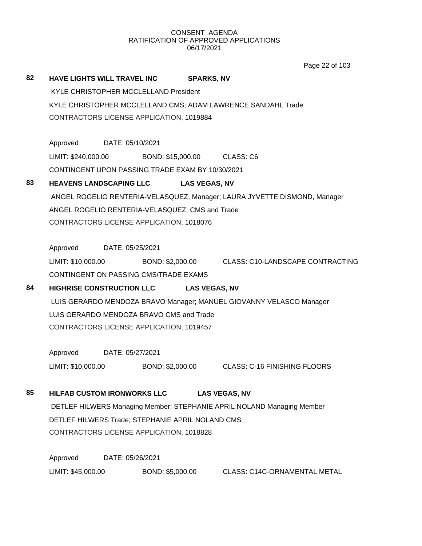Page 22 of 103

# **82 HAVE LIGHTS WILL TRAVEL INC SPARKS, NV** KYLE CHRISTOPHER MCCLELLAND President KYLE CHRISTOPHER MCCLELLAND CMS; ADAM LAWRENCE SANDAHL Trade CONTRACTORS LICENSE APPLICATION, 1019884

Approved DATE: 05/10/2021 LIMIT: \$240,000.00 BOND: \$15,000.00 CLASS: C6 CONTINGENT UPON PASSING TRADE EXAM BY 10/30/2021

# **83 HEAVENS LANDSCAPING LLC LAS VEGAS, NV**

ANGEL ROGELIO RENTERIA-VELASQUEZ, Manager; LAURA JYVETTE DISMOND, Manager ANGEL ROGELIO RENTERIA-VELASQUEZ, CMS and Trade CONTRACTORS LICENSE APPLICATION, 1018076

Approved DATE: 05/25/2021

LIMIT: \$10,000.00 BOND: \$2,000.00 CLASS: C10-LANDSCAPE CONTRACTING CONTINGENT ON PASSING CMS/TRADE EXAMS

# **84 HIGHRISE CONSTRUCTION LLC LAS VEGAS, NV**

LUIS GERARDO MENDOZA BRAVO Manager; MANUEL GIOVANNY VELASCO Manager LUIS GERARDO MENDOZA BRAVO CMS and Trade CONTRACTORS LICENSE APPLICATION, 1019457

Approved DATE: 05/27/2021 LIMIT: \$10,000.00 BOND: \$2,000.00 CLASS: C-16 FINISHING FLOORS

# **85 HILFAB CUSTOM IRONWORKS LLC LAS VEGAS, NV**

DETLEF HILWERS Managing Member; STEPHANIE APRIL NOLAND Managing Member DETLEF HILWERS Trade; STEPHANIE APRIL NOLAND CMS CONTRACTORS LICENSE APPLICATION, 1018828

Approved DATE: 05/26/2021 LIMIT: \$45,000.00 BOND: \$5,000.00 CLASS: C14C-ORNAMENTAL METAL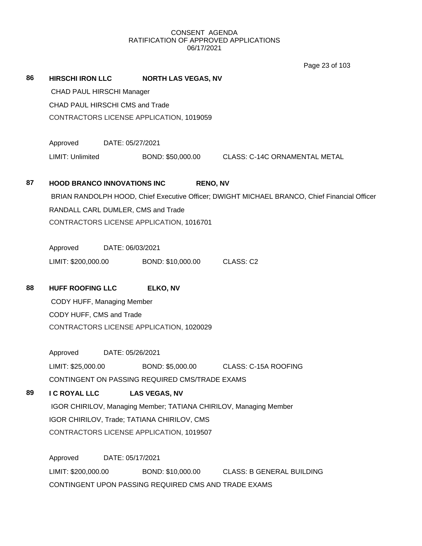Page 23 of 103

| 86 | <b>HIRSCHI IRON LLC</b>                                                                                                                                      | <b>NORTH LAS VEGAS, NV</b> |                                                                                              |  |  |
|----|--------------------------------------------------------------------------------------------------------------------------------------------------------------|----------------------------|----------------------------------------------------------------------------------------------|--|--|
|    | CHAD PAUL HIRSCHI Manager                                                                                                                                    |                            |                                                                                              |  |  |
|    | CHAD PAUL HIRSCHI CMS and Trade                                                                                                                              |                            |                                                                                              |  |  |
|    | CONTRACTORS LICENSE APPLICATION, 1019059                                                                                                                     |                            |                                                                                              |  |  |
|    |                                                                                                                                                              |                            |                                                                                              |  |  |
|    | Approved<br>DATE: 05/27/2021                                                                                                                                 |                            |                                                                                              |  |  |
|    | LIMIT: Unlimited                                                                                                                                             |                            | BOND: \$50,000.00 CLASS: C-14C ORNAMENTAL METAL                                              |  |  |
|    |                                                                                                                                                              |                            |                                                                                              |  |  |
| 87 | <b>HOOD BRANCO INNOVATIONS INC</b>                                                                                                                           | <b>RENO, NV</b>            |                                                                                              |  |  |
|    |                                                                                                                                                              |                            | BRIAN RANDOLPH HOOD, Chief Executive Officer; DWIGHT MICHAEL BRANCO, Chief Financial Officer |  |  |
|    | RANDALL CARL DUMLER, CMS and Trade                                                                                                                           |                            |                                                                                              |  |  |
|    | CONTRACTORS LICENSE APPLICATION, 1016701                                                                                                                     |                            |                                                                                              |  |  |
|    | Approved<br>DATE: 06/03/2021                                                                                                                                 |                            |                                                                                              |  |  |
|    | LIMIT: \$200,000.00 BOND: \$10,000.00 CLASS: C2                                                                                                              |                            |                                                                                              |  |  |
|    |                                                                                                                                                              |                            |                                                                                              |  |  |
| 88 | <b>HUFF ROOFING LLC</b>                                                                                                                                      | ELKO, NV                   |                                                                                              |  |  |
|    | CODY HUFF, Managing Member                                                                                                                                   |                            |                                                                                              |  |  |
|    | CODY HUFF, CMS and Trade                                                                                                                                     |                            |                                                                                              |  |  |
|    | CONTRACTORS LICENSE APPLICATION, 1020029                                                                                                                     |                            |                                                                                              |  |  |
|    |                                                                                                                                                              |                            |                                                                                              |  |  |
|    | Approved<br>DATE: 05/26/2021                                                                                                                                 |                            |                                                                                              |  |  |
|    | LIMIT: \$25,000.00                                                                                                                                           | BOND: \$5,000.00           | CLASS: C-15A ROOFING                                                                         |  |  |
|    | CONTINGENT ON PASSING REQUIRED CMS/TRADE EXAMS                                                                                                               |                            |                                                                                              |  |  |
| 89 | I C ROYAL LLC                                                                                                                                                | <b>LAS VEGAS, NV</b>       |                                                                                              |  |  |
|    | IGOR CHIRILOV, Managing Member; TATIANA CHIRILOV, Managing Member<br>IGOR CHIRILOV, Trade; TATIANA CHIRILOV, CMS<br>CONTRACTORS LICENSE APPLICATION, 1019507 |                            |                                                                                              |  |  |
|    |                                                                                                                                                              |                            |                                                                                              |  |  |
|    |                                                                                                                                                              |                            |                                                                                              |  |  |
|    | Approved<br>DATE: 05/17/2021                                                                                                                                 |                            |                                                                                              |  |  |
|    | LIMIT: \$200,000.00                                                                                                                                          | BOND: \$10,000.00          | <b>CLASS: B GENERAL BUILDING</b>                                                             |  |  |
|    | CONTINGENT UPON PASSING REQUIRED CMS AND TRADE EXAMS                                                                                                         |                            |                                                                                              |  |  |
|    |                                                                                                                                                              |                            |                                                                                              |  |  |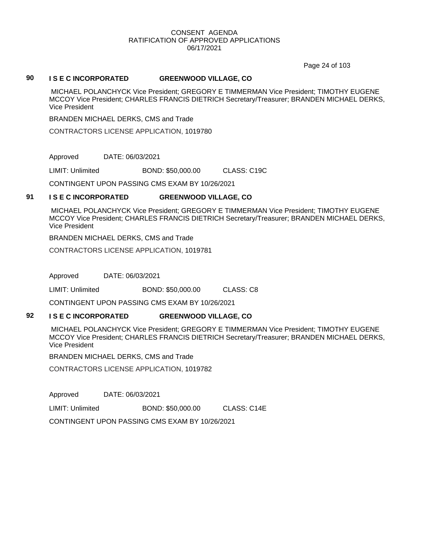Page 24 of 103

#### **90 I S E C INCORPORATED GREENWOOD VILLAGE, CO**

MICHAEL POLANCHYCK Vice President; GREGORY E TIMMERMAN Vice President; TIMOTHY EUGENE MCCOY Vice President; CHARLES FRANCIS DIETRICH Secretary/Treasurer; BRANDEN MICHAEL DERKS, Vice President

BRANDEN MICHAEL DERKS, CMS and Trade

CONTRACTORS LICENSE APPLICATION, 1019780

Approved DATE: 06/03/2021

LIMIT: Unlimited BOND: \$50,000.00 CLASS: C19C

CONTINGENT UPON PASSING CMS EXAM BY 10/26/2021

#### **91 I S E C INCORPORATED GREENWOOD VILLAGE, CO**

MICHAEL POLANCHYCK Vice President; GREGORY E TIMMERMAN Vice President; TIMOTHY EUGENE MCCOY Vice President; CHARLES FRANCIS DIETRICH Secretary/Treasurer; BRANDEN MICHAEL DERKS, Vice President

BRANDEN MICHAEL DERKS, CMS and Trade

CONTRACTORS LICENSE APPLICATION, 1019781

Approved DATE: 06/03/2021

LIMIT: Unlimited BOND: \$50,000.00 CLASS: C8

CONTINGENT UPON PASSING CMS EXAM BY 10/26/2021

#### **92 I S E C INCORPORATED GREENWOOD VILLAGE, CO**

MICHAEL POLANCHYCK Vice President; GREGORY E TIMMERMAN Vice President; TIMOTHY EUGENE MCCOY Vice President; CHARLES FRANCIS DIETRICH Secretary/Treasurer; BRANDEN MICHAEL DERKS, Vice President

BRANDEN MICHAEL DERKS, CMS and Trade

CONTRACTORS LICENSE APPLICATION, 1019782

Approved DATE: 06/03/2021

LIMIT: Unlimited BOND: \$50,000.00 CLASS: C14E

CONTINGENT UPON PASSING CMS EXAM BY 10/26/2021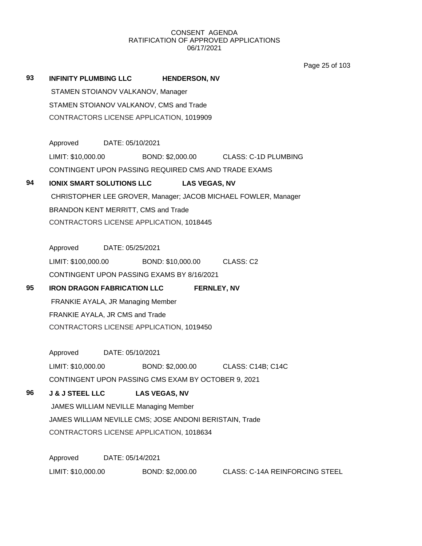Page 25 of 103

| 93                                       | <b>INFINITY PLUMBING LLC</b>                             | <b>HENDERSON, NV</b>                                           |  |  |  |
|------------------------------------------|----------------------------------------------------------|----------------------------------------------------------------|--|--|--|
|                                          | STAMEN STOIANOV VALKANOV, Manager                        |                                                                |  |  |  |
|                                          | STAMEN STOIANOV VALKANOV, CMS and Trade                  |                                                                |  |  |  |
|                                          | CONTRACTORS LICENSE APPLICATION, 1019909                 |                                                                |  |  |  |
|                                          |                                                          |                                                                |  |  |  |
|                                          | Approved DATE: 05/10/2021                                |                                                                |  |  |  |
|                                          | LIMIT: \$10,000.00                                       | BOND: \$2,000.00 CLASS: C-1D PLUMBING                          |  |  |  |
|                                          | CONTINGENT UPON PASSING REQUIRED CMS AND TRADE EXAMS     |                                                                |  |  |  |
| 94                                       | <b>IONIX SMART SOLUTIONS LLC</b>                         | <b>LAS VEGAS, NV</b>                                           |  |  |  |
|                                          |                                                          | CHRISTOPHER LEE GROVER, Manager; JACOB MICHAEL FOWLER, Manager |  |  |  |
|                                          | BRANDON KENT MERRITT, CMS and Trade                      |                                                                |  |  |  |
|                                          | CONTRACTORS LICENSE APPLICATION, 1018445                 |                                                                |  |  |  |
|                                          | Approved DATE: 05/25/2021                                |                                                                |  |  |  |
|                                          |                                                          |                                                                |  |  |  |
|                                          | LIMIT: \$100,000.00 BOND: \$10,000.00 CLASS: C2          |                                                                |  |  |  |
|                                          | CONTINGENT UPON PASSING EXAMS BY 8/16/2021               |                                                                |  |  |  |
| 95                                       | <b>IRON DRAGON FABRICATION LLC</b><br><b>FERNLEY, NV</b> |                                                                |  |  |  |
|                                          | FRANKIE AYALA, JR Managing Member                        |                                                                |  |  |  |
|                                          | FRANKIE AYALA, JR CMS and Trade                          |                                                                |  |  |  |
|                                          | CONTRACTORS LICENSE APPLICATION, 1019450                 |                                                                |  |  |  |
|                                          | Approved DATE: 05/10/2021                                |                                                                |  |  |  |
|                                          | LIMIT: \$10,000.00                                       | BOND: \$2,000.00 CLASS: C14B; C14C                             |  |  |  |
|                                          | CONTINGENT UPON PASSING CMS EXAM BY OCTOBER 9, 2021      |                                                                |  |  |  |
| 96                                       | <b>J &amp; J STEEL LLC</b><br><b>LAS VEGAS, NV</b>       |                                                                |  |  |  |
| JAMES WILLIAM NEVILLE Managing Member    |                                                          |                                                                |  |  |  |
|                                          | JAMES WILLIAM NEVILLE CMS; JOSE ANDONI BERISTAIN, Trade  |                                                                |  |  |  |
| CONTRACTORS LICENSE APPLICATION, 1018634 |                                                          |                                                                |  |  |  |
|                                          | Approved<br>DATE: 05/14/2021                             |                                                                |  |  |  |
|                                          |                                                          |                                                                |  |  |  |
|                                          | LIMIT: \$10,000.00                                       | BOND: \$2,000.00<br><b>CLASS: C-14A REINFORCING STEEL</b>      |  |  |  |
|                                          |                                                          |                                                                |  |  |  |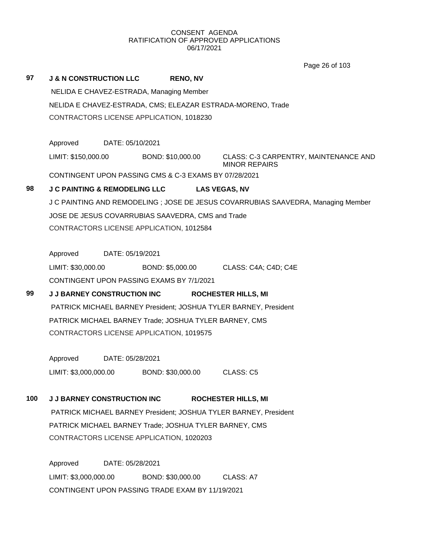Page 26 of 103

|     |                                                                  |                                          |                                                       |                                                                                   | Page 20 01 103 |
|-----|------------------------------------------------------------------|------------------------------------------|-------------------------------------------------------|-----------------------------------------------------------------------------------|----------------|
| 97  | <b>J &amp; N CONSTRUCTION LLC</b>                                |                                          | <b>RENO, NV</b>                                       |                                                                                   |                |
|     | NELIDA E CHAVEZ-ESTRADA, Managing Member                         |                                          |                                                       |                                                                                   |                |
|     |                                                                  |                                          |                                                       | NELIDA E CHAVEZ-ESTRADA, CMS; ELEAZAR ESTRADA-MORENO, Trade                       |                |
|     |                                                                  | CONTRACTORS LICENSE APPLICATION, 1018230 |                                                       |                                                                                   |                |
|     |                                                                  |                                          |                                                       |                                                                                   |                |
|     | Approved                                                         | DATE: 05/10/2021                         |                                                       |                                                                                   |                |
|     | LIMIT: \$150,000.00                                              |                                          | BOND: \$10,000.00                                     | CLASS: C-3 CARPENTRY, MAINTENANCE AND<br><b>MINOR REPAIRS</b>                     |                |
|     |                                                                  |                                          | CONTINGENT UPON PASSING CMS & C-3 EXAMS BY 07/28/2021 |                                                                                   |                |
| 98  |                                                                  |                                          | J C PAINTING & REMODELING LLC LAS VEGAS, NV           |                                                                                   |                |
|     |                                                                  |                                          |                                                       | J C PAINTING AND REMODELING ; JOSE DE JESUS COVARRUBIAS SAAVEDRA, Managing Member |                |
|     |                                                                  |                                          | JOSE DE JESUS COVARRUBIAS SAAVEDRA, CMS and Trade     |                                                                                   |                |
|     |                                                                  | CONTRACTORS LICENSE APPLICATION, 1012584 |                                                       |                                                                                   |                |
|     |                                                                  |                                          |                                                       |                                                                                   |                |
|     | Approved                                                         | DATE: 05/19/2021                         |                                                       |                                                                                   |                |
|     | LIMIT: \$30,000.00                                               |                                          |                                                       | BOND: \$5,000.00 CLASS: C4A; C4D; C4E                                             |                |
|     |                                                                  |                                          | CONTINGENT UPON PASSING EXAMS BY 7/1/2021             |                                                                                   |                |
| 99  |                                                                  | <b>J J BARNEY CONSTRUCTION INC</b>       |                                                       | <b>ROCHESTER HILLS, MI</b>                                                        |                |
|     | PATRICK MICHAEL BARNEY President; JOSHUA TYLER BARNEY, President |                                          |                                                       |                                                                                   |                |
|     | PATRICK MICHAEL BARNEY Trade; JOSHUA TYLER BARNEY, CMS           |                                          |                                                       |                                                                                   |                |
|     | CONTRACTORS LICENSE APPLICATION, 1019575                         |                                          |                                                       |                                                                                   |                |
|     |                                                                  |                                          |                                                       |                                                                                   |                |
|     | Approved                                                         | DATE: 05/28/2021                         |                                                       |                                                                                   |                |
|     | LIMIT: \$3,000,000.00                                            |                                          | BOND: \$30,000.00                                     | CLASS: C5                                                                         |                |
|     |                                                                  |                                          |                                                       |                                                                                   |                |
| 100 |                                                                  | <b>J J BARNEY CONSTRUCTION INC</b>       |                                                       | <b>ROCHESTER HILLS, MI</b>                                                        |                |
|     |                                                                  |                                          |                                                       | PATRICK MICHAEL BARNEY President; JOSHUA TYLER BARNEY, President                  |                |
|     | PATRICK MICHAEL BARNEY Trade; JOSHUA TYLER BARNEY, CMS           |                                          |                                                       |                                                                                   |                |
|     | CONTRACTORS LICENSE APPLICATION, 1020203                         |                                          |                                                       |                                                                                   |                |
|     |                                                                  |                                          |                                                       |                                                                                   |                |
|     | Approved                                                         | DATE: 05/28/2021                         |                                                       |                                                                                   |                |
|     | LIMIT: \$3,000,000.00                                            |                                          | BOND: \$30,000.00                                     | CLASS: A7                                                                         |                |
|     | CONTINGENT UPON PASSING TRADE EXAM BY 11/19/2021                 |                                          |                                                       |                                                                                   |                |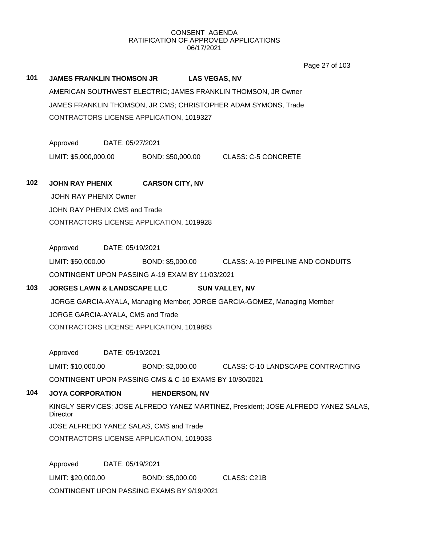Page 27 of 103

# **101 JAMES FRANKLIN THOMSON JR LAS VEGAS, NV** AMERICAN SOUTHWEST ELECTRIC; JAMES FRANKLIN THOMSON, JR Owner JAMES FRANKLIN THOMSON, JR CMS; CHRISTOPHER ADAM SYMONS, Trade CONTRACTORS LICENSE APPLICATION, 1019327 Approved DATE: 05/27/2021 LIMIT: \$5,000,000.00 BOND: \$50,000.00 CLASS: C-5 CONCRETE **102 JOHN RAY PHENIX CARSON CITY, NV**

JOHN RAY PHENIX Owner JOHN RAY PHENIX CMS and Trade CONTRACTORS LICENSE APPLICATION, 1019928

Approved DATE: 05/19/2021

LIMIT: \$50,000.00 BOND: \$5,000.00 CLASS: A-19 PIPELINE AND CONDUITS CONTINGENT UPON PASSING A-19 EXAM BY 11/03/2021

# **103 JORGES LAWN & LANDSCAPE LLC SUN VALLEY, NV**

JORGE GARCIA-AYALA, Managing Member; JORGE GARCIA-GOMEZ, Managing Member JORGE GARCIA-AYALA, CMS and Trade CONTRACTORS LICENSE APPLICATION, 1019883

Approved DATE: 05/19/2021

LIMIT: \$10,000.00 BOND: \$2,000.00 CLASS: C-10 LANDSCAPE CONTRACTING

CONTINGENT UPON PASSING CMS & C-10 EXAMS BY 10/30/2021

### **104 JOYA CORPORATION HENDERSON, NV**

KINGLY SERVICES; JOSE ALFREDO YANEZ MARTINEZ, President; JOSE ALFREDO YANEZ SALAS, **Director** JOSE ALFREDO YANEZ SALAS, CMS and Trade

CONTRACTORS LICENSE APPLICATION, 1019033

Approved DATE: 05/19/2021 LIMIT: \$20,000.00 BOND: \$5,000.00 CLASS: C21B CONTINGENT UPON PASSING EXAMS BY 9/19/2021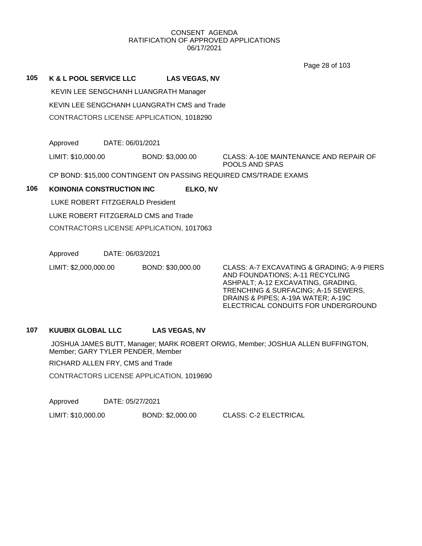Page 28 of 103

## **105 K & L POOL SERVICE LLC LAS VEGAS, NV**

KEVIN LEE SENGCHANH LUANGRATH Manager KEVIN LEE SENGCHANH LUANGRATH CMS and Trade

CONTRACTORS LICENSE APPLICATION, 1018290

Approved DATE: 06/01/2021

LIMIT: \$10,000.00 BOND: \$3,000.00 CLASS: A-10E MAINTENANCE AND REPAIR OF POOLS AND SPAS

CP BOND: \$15,000 CONTINGENT ON PASSING REQUIRED CMS/TRADE EXAMS

# **106 KOINONIA CONSTRUCTION INC ELKO, NV**

LUKE ROBERT FITZGERALD President

LUKE ROBERT FITZGERALD CMS and Trade

CONTRACTORS LICENSE APPLICATION, 1017063

Approved DATE: 06/03/2021

LIMIT: \$2,000,000.00 BOND: \$30,000.00 CLASS: A-7 EXCAVATING & GRADING; A-9 PIERS

AND FOUNDATIONS; A-11 RECYCLING ASHPALT; A-12 EXCAVATING, GRADING, TRENCHING & SURFACING; A-15 SEWERS, DRAINS & PIPES; A-19A WATER; A-19C ELECTRICAL CONDUITS FOR UNDERGROUND

# **107 KUUBIX GLOBAL LLC LAS VEGAS, NV**

JOSHUA JAMES BUTT, Manager; MARK ROBERT ORWIG, Member; JOSHUA ALLEN BUFFINGTON, Member; GARY TYLER PENDER, Member

RICHARD ALLEN FRY, CMS and Trade

CONTRACTORS LICENSE APPLICATION, 1019690

Approved DATE: 05/27/2021

LIMIT: \$10,000.00 BOND: \$2,000.00 CLASS: C-2 ELECTRICAL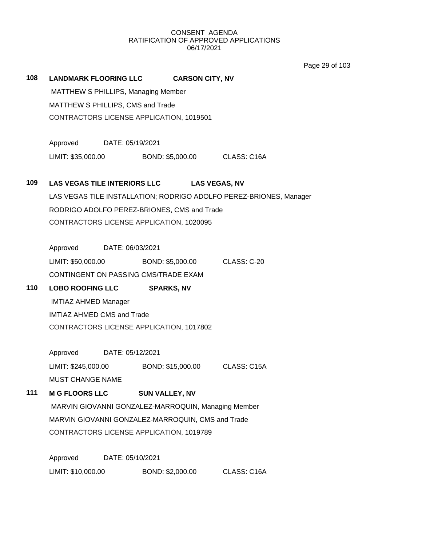Page 29 of 103

**108 LANDMARK FLOORING LLC CARSON CITY, NV** MATTHEW S PHILLIPS, Managing Member MATTHEW S PHILLIPS, CMS and Trade CONTRACTORS LICENSE APPLICATION, 1019501 Approved DATE: 05/19/2021 LIMIT: \$35,000.00 BOND: \$5,000.00 CLASS: C16A **109 LAS VEGAS TILE INTERIORS LLC LAS VEGAS, NV** LAS VEGAS TILE INSTALLATION; RODRIGO ADOLFO PEREZ-BRIONES, Manager RODRIGO ADOLFO PEREZ-BRIONES, CMS and Trade CONTRACTORS LICENSE APPLICATION, 1020095 Approved DATE: 06/03/2021 LIMIT: \$50,000.00 BOND: \$5,000.00 CLASS: C-20 CONTINGENT ON PASSING CMS/TRADE EXAM **110 LOBO ROOFING LLC SPARKS, NV** IMTIAZ AHMED Manager IMTIAZ AHMED CMS and Trade CONTRACTORS LICENSE APPLICATION, 1017802 Approved DATE: 05/12/2021 LIMIT: \$245,000.00 BOND: \$15,000.00 CLASS: C15A MUST CHANGE NAME **111 M G FLOORS LLC SUN VALLEY, NV** MARVIN GIOVANNI GONZALEZ-MARROQUIN, Managing Member MARVIN GIOVANNI GONZALEZ-MARROQUIN, CMS and Trade CONTRACTORS LICENSE APPLICATION, 1019789 Approved DATE: 05/10/2021 LIMIT: \$10,000.00 BOND: \$2,000.00 CLASS: C16A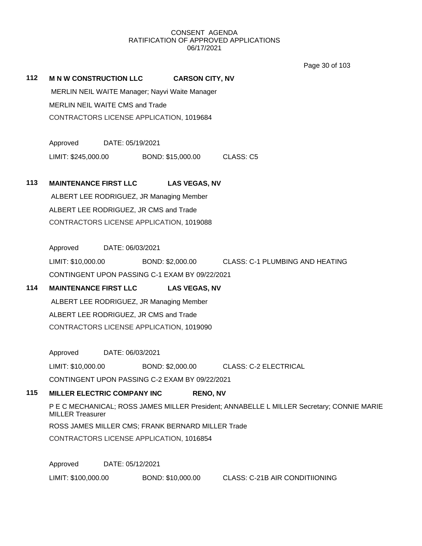Page 30 of 103

#### **112 M N W CONSTRUCTION LLC CARSON CITY, NV**

MERLIN NEIL WAITE Manager; Nayvi Waite Manager MERLIN NEIL WAITE CMS and Trade CONTRACTORS LICENSE APPLICATION, 1019684

Approved DATE: 05/19/2021 LIMIT: \$245,000.00 BOND: \$15,000.00 CLASS: C5

#### **113 MAINTENANCE FIRST LLC LAS VEGAS, NV**

ALBERT LEE RODRIGUEZ, JR Managing Member ALBERT LEE RODRIGUEZ, JR CMS and Trade CONTRACTORS LICENSE APPLICATION, 1019088

Approved DATE: 06/03/2021

LIMIT: \$10,000.00 BOND: \$2,000.00 CLASS: C-1 PLUMBING AND HEATING CONTINGENT UPON PASSING C-1 EXAM BY 09/22/2021

# **114 MAINTENANCE FIRST LLC LAS VEGAS, NV**

ALBERT LEE RODRIGUEZ, JR Managing Member ALBERT LEE RODRIGUEZ, JR CMS and Trade CONTRACTORS LICENSE APPLICATION, 1019090

Approved DATE: 06/03/2021

LIMIT: \$10,000.00 BOND: \$2,000.00 CLASS: C-2 ELECTRICAL

CONTINGENT UPON PASSING C-2 EXAM BY 09/22/2021

## **115 MILLER ELECTRIC COMPANY INC RENO, NV**

P E C MECHANICAL; ROSS JAMES MILLER President; ANNABELLE L MILLER Secretary; CONNIE MARIE MILLER Treasurer

ROSS JAMES MILLER CMS; FRANK BERNARD MILLER Trade

CONTRACTORS LICENSE APPLICATION, 1016854

Approved DATE: 05/12/2021

LIMIT: \$100,000.00 BOND: \$10,000.00 CLASS: C-21B AIR CONDITIIONING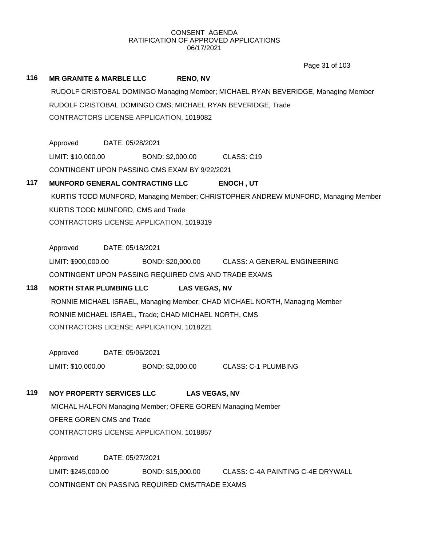Page 31 of 103

#### **116 MR GRANITE & MARBLE LLC RENO, NV**

RUDOLF CRISTOBAL DOMINGO Managing Member; MICHAEL RYAN BEVERIDGE, Managing Member RUDOLF CRISTOBAL DOMINGO CMS; MICHAEL RYAN BEVERIDGE, Trade CONTRACTORS LICENSE APPLICATION, 1019082

Approved DATE: 05/28/2021 LIMIT: \$10,000.00 BOND: \$2,000.00 CLASS: C19 CONTINGENT UPON PASSING CMS EXAM BY 9/22/2021

### **117 MUNFORD GENERAL CONTRACTING LLC ENOCH , UT**

KURTIS TODD MUNFORD, Managing Member; CHRISTOPHER ANDREW MUNFORD, Managing Member KURTIS TODD MUNFORD, CMS and Trade CONTRACTORS LICENSE APPLICATION, 1019319

Approved DATE: 05/18/2021

LIMIT: \$900,000.00 BOND: \$20,000.00 CLASS: A GENERAL ENGINEERING CONTINGENT UPON PASSING REQUIRED CMS AND TRADE EXAMS

# **118 NORTH STAR PLUMBING LLC LAS VEGAS, NV**

RONNIE MICHAEL ISRAEL, Managing Member; CHAD MICHAEL NORTH, Managing Member RONNIE MICHAEL ISRAEL, Trade; CHAD MICHAEL NORTH, CMS CONTRACTORS LICENSE APPLICATION, 1018221

Approved DATE: 05/06/2021 LIMIT: \$10,000.00 BOND: \$2,000.00 CLASS: C-1 PLUMBING

# **119 NOY PROPERTY SERVICES LLC LAS VEGAS, NV**

MICHAL HALFON Managing Member; OFERE GOREN Managing Member OFERE GOREN CMS and Trade CONTRACTORS LICENSE APPLICATION, 1018857

Approved DATE: 05/27/2021 LIMIT: \$245,000.00 BOND: \$15,000.00 CLASS: C-4A PAINTING C-4E DRYWALL CONTINGENT ON PASSING REQUIRED CMS/TRADE EXAMS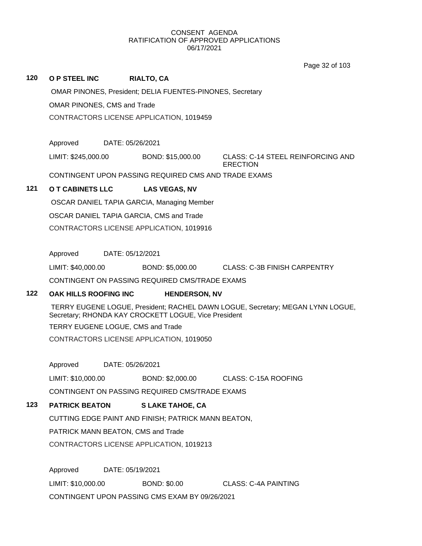Page 32 of 103

| 120 | O P STEEL INC                                                    |                  | <b>RIALTO, CA</b>    |                                               |
|-----|------------------------------------------------------------------|------------------|----------------------|-----------------------------------------------|
|     | <b>OMAR PINONES, President; DELIA FUENTES-PINONES, Secretary</b> |                  |                      |                                               |
|     | <b>OMAR PINONES, CMS and Trade</b>                               |                  |                      |                                               |
|     | CONTRACTORS LICENSE APPLICATION, 1019459                         |                  |                      |                                               |
|     |                                                                  |                  |                      |                                               |
|     | Approved                                                         | DATE: 05/26/2021 |                      |                                               |
|     | LIMIT: \$245,000.00                                              |                  | BOND: \$15,000.00    | CLASS: C-14 STEEL REINFORCING AND<br>ERECTION |
|     | CONTINGENT UPON PASSING REQUIRED CMS AND TRADE EXAMS             |                  |                      |                                               |
| 121 | O T CABINETS LLC                                                 |                  | <b>LAS VEGAS, NV</b> |                                               |
|     | OSCAR DANIEL TAPIA GARCIA, Managing Member                       |                  |                      |                                               |
|     | OSCAR DANIEL TAPIA GARCIA, CMS and Trade                         |                  |                      |                                               |

CONTRACTORS LICENSE APPLICATION, 1019916

Approved DATE: 05/12/2021

LIMIT: \$40,000.00 BOND: \$5,000.00 CLASS: C-3B FINISH CARPENTRY

CONTINGENT ON PASSING REQUIRED CMS/TRADE EXAMS

### **122 OAK HILLS ROOFING INC HENDERSON, NV**

TERRY EUGENE LOGUE, President; RACHEL DAWN LOGUE, Secretary; MEGAN LYNN LOGUE, Secretary; RHONDA KAY CROCKETT LOGUE, Vice President

TERRY EUGENE LOGUE, CMS and Trade

CONTRACTORS LICENSE APPLICATION, 1019050

Approved DATE: 05/26/2021

LIMIT: \$10,000.00 BOND: \$2,000.00 CLASS: C-15A ROOFING

CONTINGENT ON PASSING REQUIRED CMS/TRADE EXAMS

# **123 PATRICK BEATON S LAKE TAHOE, CA**

CUTTING EDGE PAINT AND FINISH; PATRICK MANN BEATON,

PATRICK MANN BEATON, CMS and Trade

CONTRACTORS LICENSE APPLICATION, 1019213

Approved DATE: 05/19/2021 LIMIT: \$10,000.00 BOND: \$0.00 CLASS: C-4A PAINTING CONTINGENT UPON PASSING CMS EXAM BY 09/26/2021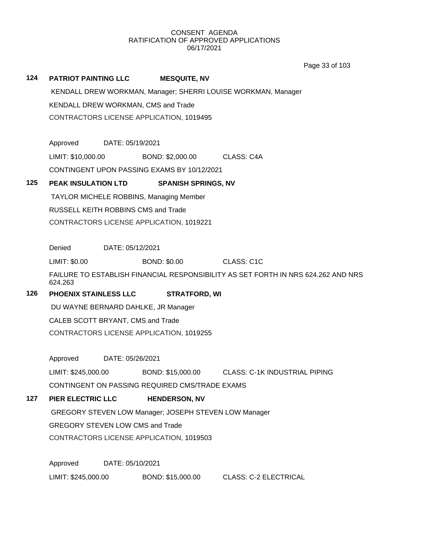Page 33 of 103

# **124 PATRIOT PAINTING LLC MESQUITE, NV** KENDALL DREW WORKMAN, Manager; SHERRI LOUISE WORKMAN, Manager KENDALL DREW WORKMAN, CMS and Trade CONTRACTORS LICENSE APPLICATION, 1019495 Approved DATE: 05/19/2021 LIMIT: \$10,000.00 BOND: \$2,000.00 CLASS: C4A CONTINGENT UPON PASSING EXAMS BY 10/12/2021 **125 PEAK INSULATION LTD SPANISH SPRINGS, NV** TAYLOR MICHELE ROBBINS, Managing Member RUSSELL KEITH ROBBINS CMS and Trade CONTRACTORS LICENSE APPLICATION, 1019221 Denied DATE: 05/12/2021 LIMIT: \$0.00 BOND: \$0.00 CLASS: C1C FAILURE TO ESTABLISH FINANCIAL RESPONSIBILITY AS SET FORTH IN NRS 624.262 AND NRS 624.263 **126 PHOENIX STAINLESS LLC STRATFORD, WI** DU WAYNE BERNARD DAHLKE, JR Manager CALEB SCOTT BRYANT, CMS and Trade CONTRACTORS LICENSE APPLICATION, 1019255 Approved DATE: 05/26/2021 LIMIT: \$245,000.00 BOND: \$15,000.00 CLASS: C-1K INDUSTRIAL PIPING CONTINGENT ON PASSING REQUIRED CMS/TRADE EXAMS **127 PIER ELECTRIC LLC HENDERSON, NV** GREGORY STEVEN LOW Manager; JOSEPH STEVEN LOW Manager GREGORY STEVEN LOW CMS and Trade CONTRACTORS LICENSE APPLICATION, 1019503 Approved DATE: 05/10/2021 LIMIT: \$245,000.00 BOND: \$15,000.00 CLASS: C-2 ELECTRICAL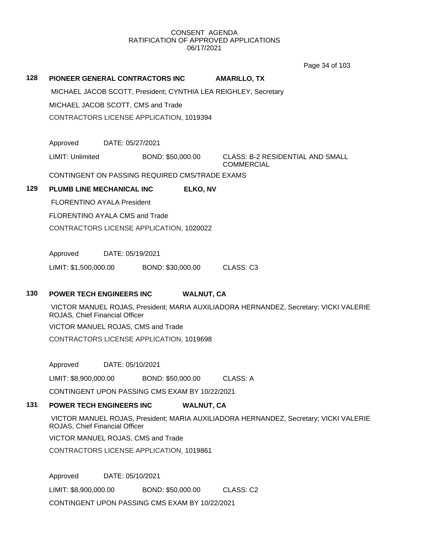Page 34 of 103

# **128 PIONEER GENERAL CONTRACTORS INC AMARILLO, TX** MICHAEL JACOB SCOTT, President; CYNTHIA LEA REIGHLEY, Secretary MICHAEL JACOB SCOTT, CMS and Trade CONTRACTORS LICENSE APPLICATION, 1019394 Approved DATE: 05/27/2021 LIMIT: Unlimited BOND: \$50,000.00 CLASS: B-2 RESIDENTIAL AND SMALL **COMMERCIAL** CONTINGENT ON PASSING REQUIRED CMS/TRADE EXAMS **129 PLUMB LINE MECHANICAL INC ELKO, NV** FLORENTINO AYALA President FLORENTINO AYALA CMS and Trade CONTRACTORS LICENSE APPLICATION, 1020022 Approved DATE: 05/19/2021 LIMIT: \$1,500,000.00 BOND: \$30,000.00 CLASS: C3

## **130 POWER TECH ENGINEERS INC WALNUT, CA**

VICTOR MANUEL ROJAS, President; MARIA AUXILIADORA HERNANDEZ, Secretary; VICKI VALERIE ROJAS, Chief Financial Officer

VICTOR MANUEL ROJAS, CMS and Trade

CONTRACTORS LICENSE APPLICATION, 1019698

Approved DATE: 05/10/2021

LIMIT: \$8,900,000.00 BOND: \$50,000.00 CLASS: A

CONTINGENT UPON PASSING CMS EXAM BY 10/22/2021

#### **131 POWER TECH ENGINEERS INC WALNUT, CA**

VICTOR MANUEL ROJAS, President; MARIA AUXILIADORA HERNANDEZ, Secretary; VICKI VALERIE ROJAS, Chief Financial Officer

VICTOR MANUEL ROJAS, CMS and Trade

CONTRACTORS LICENSE APPLICATION, 1019861

Approved DATE: 05/10/2021

LIMIT: \$8,900,000.00 BOND: \$50,000.00 CLASS: C2

CONTINGENT UPON PASSING CMS EXAM BY 10/22/2021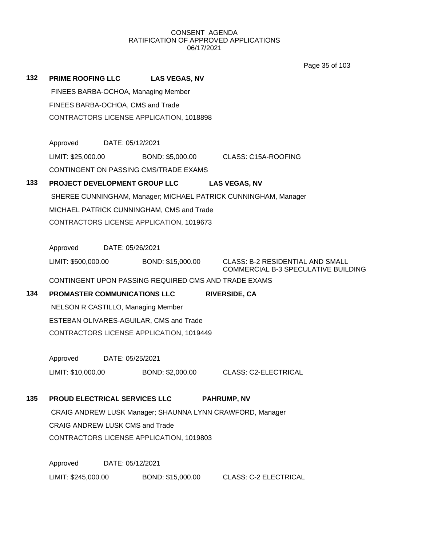Page 35 of 103

| 132 | <b>PRIME ROOFING LLC</b>                  |                  | <b>LAS VEGAS, NV</b>                                      |  |                                                                                |
|-----|-------------------------------------------|------------------|-----------------------------------------------------------|--|--------------------------------------------------------------------------------|
|     |                                           |                  | FINEES BARBA-OCHOA, Managing Member                       |  |                                                                                |
|     | FINEES BARBA-OCHOA, CMS and Trade         |                  |                                                           |  |                                                                                |
|     | CONTRACTORS LICENSE APPLICATION, 1018898  |                  |                                                           |  |                                                                                |
|     |                                           |                  |                                                           |  |                                                                                |
|     | Approved                                  | DATE: 05/12/2021 |                                                           |  |                                                                                |
|     | LIMIT: \$25,000.00                        |                  | BOND: \$5,000.00                                          |  | CLASS: C15A-ROOFING                                                            |
|     |                                           |                  | CONTINGENT ON PASSING CMS/TRADE EXAMS                     |  |                                                                                |
| 133 |                                           |                  | PROJECT DEVELOPMENT GROUP LLC                             |  | <b>LAS VEGAS, NV</b>                                                           |
|     |                                           |                  |                                                           |  | SHEREE CUNNINGHAM, Manager; MICHAEL PATRICK CUNNINGHAM, Manager                |
|     |                                           |                  | MICHAEL PATRICK CUNNINGHAM, CMS and Trade                 |  |                                                                                |
|     |                                           |                  | CONTRACTORS LICENSE APPLICATION, 1019673                  |  |                                                                                |
|     |                                           |                  |                                                           |  |                                                                                |
|     | Approved                                  | DATE: 05/26/2021 |                                                           |  |                                                                                |
|     | LIMIT: \$500,000.00                       |                  | BOND: \$15,000.00                                         |  | <b>CLASS: B-2 RESIDENTIAL AND SMALL</b><br>COMMERCIAL B-3 SPECULATIVE BUILDING |
|     |                                           |                  | CONTINGENT UPON PASSING REQUIRED CMS AND TRADE EXAMS      |  |                                                                                |
| 134 | PROMASTER COMMUNICATIONS LLC              |                  |                                                           |  | <b>RIVERSIDE, CA</b>                                                           |
|     | <b>NELSON R CASTILLO, Managing Member</b> |                  |                                                           |  |                                                                                |
|     | ESTEBAN OLIVARES-AGUILAR, CMS and Trade   |                  |                                                           |  |                                                                                |
|     |                                           |                  | CONTRACTORS LICENSE APPLICATION, 1019449                  |  |                                                                                |
|     |                                           |                  |                                                           |  |                                                                                |
|     | Approved                                  | DATE: 05/25/2021 |                                                           |  |                                                                                |
|     | LIMIT: \$10,000.00                        |                  | BOND: \$2,000.00                                          |  | <b>CLASS: C2-ELECTRICAL</b>                                                    |
| 135 |                                           |                  |                                                           |  |                                                                                |
|     | <b>PROUD ELECTRICAL SERVICES LLC</b>      |                  |                                                           |  | <b>PAHRUMP, NV</b>                                                             |
|     | <b>CRAIG ANDREW LUSK CMS and Trade</b>    |                  | CRAIG ANDREW LUSK Manager; SHAUNNA LYNN CRAWFORD, Manager |  |                                                                                |
|     |                                           |                  | CONTRACTORS LICENSE APPLICATION, 1019803                  |  |                                                                                |
|     |                                           |                  |                                                           |  |                                                                                |
|     | Approved                                  | DATE: 05/12/2021 |                                                           |  |                                                                                |
|     | LIMIT: \$245,000.00                       |                  | BOND: \$15,000.00                                         |  | <b>CLASS: C-2 ELECTRICAL</b>                                                   |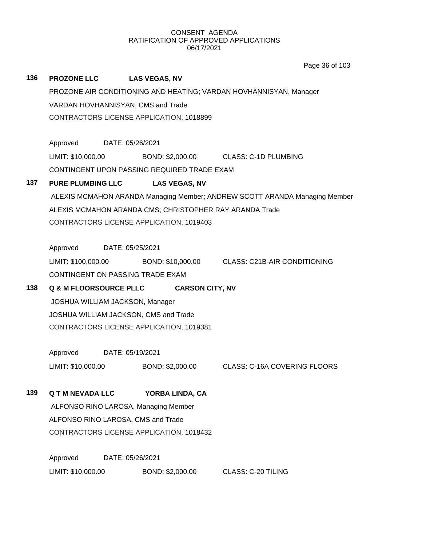|     |                                 |                  |                                                         | Page 36 of 103                                                             |
|-----|---------------------------------|------------------|---------------------------------------------------------|----------------------------------------------------------------------------|
| 136 | <b>PROZONE LLC</b>              |                  | <b>LAS VEGAS, NV</b>                                    |                                                                            |
|     |                                 |                  |                                                         | PROZONE AIR CONDITIONING AND HEATING; VARDAN HOVHANNISYAN, Manager         |
|     |                                 |                  | VARDAN HOVHANNISYAN, CMS and Trade                      |                                                                            |
|     |                                 |                  | CONTRACTORS LICENSE APPLICATION, 1018899                |                                                                            |
|     |                                 |                  |                                                         |                                                                            |
|     | Approved DATE: 05/26/2021       |                  |                                                         |                                                                            |
|     | LIMIT: \$10,000.00              |                  |                                                         | BOND: \$2,000.00 CLASS: C-1D PLUMBING                                      |
|     |                                 |                  | CONTINGENT UPON PASSING REQUIRED TRADE EXAM             |                                                                            |
| 137 | <b>PURE PLUMBING LLC</b>        |                  | <b>LAS VEGAS, NV</b>                                    |                                                                            |
|     |                                 |                  |                                                         | ALEXIS MCMAHON ARANDA Managing Member; ANDREW SCOTT ARANDA Managing Member |
|     |                                 |                  | ALEXIS MCMAHON ARANDA CMS; CHRISTOPHER RAY ARANDA Trade |                                                                            |
|     |                                 |                  | CONTRACTORS LICENSE APPLICATION, 1019403                |                                                                            |
|     | Approved                        | DATE: 05/25/2021 |                                                         |                                                                            |
|     | LIMIT: \$100,000.00             |                  |                                                         | BOND: \$10,000.00 CLASS: C21B-AIR CONDITIONING                             |
|     |                                 |                  | CONTINGENT ON PASSING TRADE EXAM                        |                                                                            |
| 138 | Q & M FLOORSOURCE PLLC          |                  | <b>CARSON CITY, NV</b>                                  |                                                                            |
|     | JOSHUA WILLIAM JACKSON, Manager |                  |                                                         |                                                                            |
|     |                                 |                  | JOSHUA WILLIAM JACKSON, CMS and Trade                   |                                                                            |
|     |                                 |                  | CONTRACTORS LICENSE APPLICATION, 1019381                |                                                                            |
|     |                                 |                  |                                                         |                                                                            |
|     | Approved                        | DATE: 05/19/2021 |                                                         |                                                                            |
|     | LIMIT: \$10,000.00              |                  | BOND: \$2,000.00                                        | <b>CLASS: C-16A COVERING FLOORS</b>                                        |
|     |                                 |                  |                                                         |                                                                            |
| 139 | <b>Q T M NEVADA LLC</b>         |                  | YORBA LINDA, CA                                         |                                                                            |
|     |                                 |                  | ALFONSO RINO LAROSA, Managing Member                    |                                                                            |
|     |                                 |                  | ALFONSO RINO LAROSA, CMS and Trade                      |                                                                            |
|     |                                 |                  | CONTRACTORS LICENSE APPLICATION, 1018432                |                                                                            |
|     | Approved                        | DATE: 05/26/2021 |                                                         |                                                                            |
|     | LIMIT: \$10,000.00              |                  | BOND: \$2,000.00                                        | <b>CLASS: C-20 TILING</b>                                                  |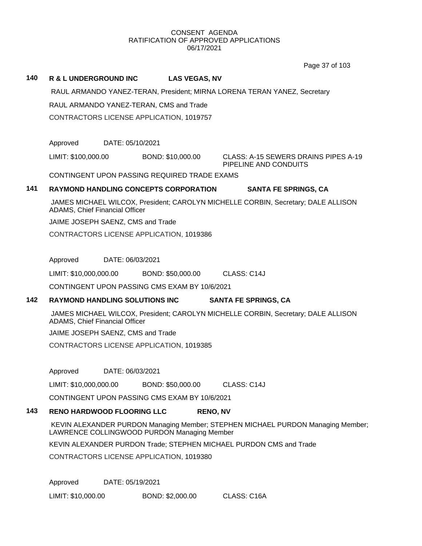Page 37 of 103

### **140 R & L UNDERGROUND INC LAS VEGAS, NV**

RAUL ARMANDO YANEZ-TERAN, President; MIRNA LORENA TERAN YANEZ, Secretary

RAUL ARMANDO YANEZ-TERAN, CMS and Trade

CONTRACTORS LICENSE APPLICATION, 1019757

Approved DATE: 05/10/2021

LIMIT: \$100,000.00 BOND: \$10,000.00 CLASS: A-15 SEWERS DRAINS PIPES A-19

PIPELINE AND CONDUITS

CONTINGENT UPON PASSING REQUIRED TRADE EXAMS

## **141 RAYMOND HANDLING CONCEPTS CORPORATION SANTA FE SPRINGS, CA**

JAMES MICHAEL WILCOX, President; CAROLYN MICHELLE CORBIN, Secretary; DALE ALLISON ADAMS, Chief Financial Officer

JAIME JOSEPH SAENZ, CMS and Trade

CONTRACTORS LICENSE APPLICATION, 1019386

Approved DATE: 06/03/2021

LIMIT: \$10,000,000.00 BOND: \$50,000.00 CLASS: C14J

CONTINGENT UPON PASSING CMS EXAM BY 10/6/2021

## **142 RAYMOND HANDLING SOLUTIONS INC SANTA FE SPRINGS, CA**

JAMES MICHAEL WILCOX, President; CAROLYN MICHELLE CORBIN, Secretary; DALE ALLISON ADAMS, Chief Financial Officer

JAIME JOSEPH SAENZ, CMS and Trade

CONTRACTORS LICENSE APPLICATION, 1019385

Approved DATE: 06/03/2021

LIMIT: \$10,000,000.00 BOND: \$50,000.00 CLASS: C14J

CONTINGENT UPON PASSING CMS EXAM BY 10/6/2021

## **143 RENO HARDWOOD FLOORING LLC RENO, NV**

KEVIN ALEXANDER PURDON Managing Member; STEPHEN MICHAEL PURDON Managing Member; LAWRENCE COLLINGWOOD PURDON Managing Member

KEVIN ALEXANDER PURDON Trade; STEPHEN MICHAEL PURDON CMS and Trade

CONTRACTORS LICENSE APPLICATION, 1019380

Approved DATE: 05/19/2021

LIMIT: \$10,000.00 BOND: \$2,000.00 CLASS: C16A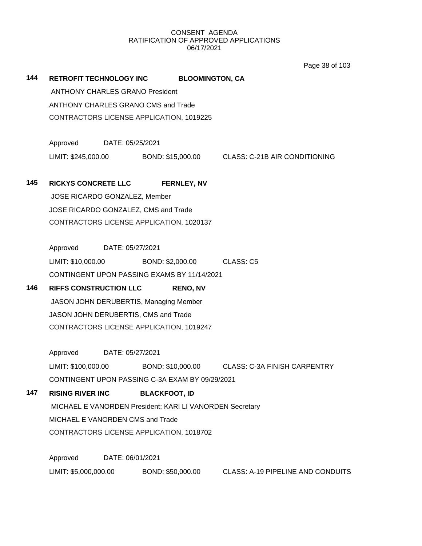Page 38 of 103

| 144 | RETROFIT TECHNOLOGY INC                         |                  |                      | <b>BLOOMINGTON, CA</b> |                                                                     |  |
|-----|-------------------------------------------------|------------------|----------------------|------------------------|---------------------------------------------------------------------|--|
|     | <b>ANTHONY CHARLES GRANO President</b>          |                  |                      |                        |                                                                     |  |
|     | ANTHONY CHARLES GRANO CMS and Trade             |                  |                      |                        |                                                                     |  |
|     | CONTRACTORS LICENSE APPLICATION, 1019225        |                  |                      |                        |                                                                     |  |
|     | Approved DATE: 05/25/2021                       |                  |                      |                        |                                                                     |  |
|     |                                                 |                  |                      |                        | LIMIT: \$245,000.00 BOND: \$15,000.00 CLASS: C-21B AIR CONDITIONING |  |
| 145 | <b>RICKYS CONCRETE LLC</b>                      |                  |                      | <b>FERNLEY, NV</b>     |                                                                     |  |
|     | JOSE RICARDO GONZALEZ, Member                   |                  |                      |                        |                                                                     |  |
|     | JOSE RICARDO GONZALEZ, CMS and Trade            |                  |                      |                        |                                                                     |  |
|     | CONTRACTORS LICENSE APPLICATION, 1020137        |                  |                      |                        |                                                                     |  |
|     | Approved DATE: 05/27/2021                       |                  |                      |                        |                                                                     |  |
|     | LIMIT: \$10,000.00 BOND: \$2,000.00 CLASS: C5   |                  |                      |                        |                                                                     |  |
|     | CONTINGENT UPON PASSING EXAMS BY 11/14/2021     |                  |                      |                        |                                                                     |  |
| 146 | <b>RIFFS CONSTRUCTION LLC</b>                   |                  |                      | <b>RENO, NV</b>        |                                                                     |  |
|     | JASON JOHN DERUBERTIS, Managing Member          |                  |                      |                        |                                                                     |  |
|     | JASON JOHN DERUBERTIS, CMS and Trade            |                  |                      |                        |                                                                     |  |
|     | CONTRACTORS LICENSE APPLICATION, 1019247        |                  |                      |                        |                                                                     |  |
|     | Approved DATE: 05/27/2021                       |                  |                      |                        |                                                                     |  |
|     |                                                 |                  |                      |                        | LIMIT: \$100,000.00 BOND: \$10,000.00 CLASS: C-3A FINISH CARPENTRY  |  |
|     | CONTINGENT UPON PASSING C-3A EXAM BY 09/29/2021 |                  |                      |                        |                                                                     |  |
| 147 | <b>RISING RIVER INC</b>                         |                  | <b>BLACKFOOT, ID</b> |                        |                                                                     |  |
|     |                                                 |                  |                      |                        | MICHAEL E VANORDEN President; KARI LI VANORDEN Secretary            |  |
|     | MICHAEL E VANORDEN CMS and Trade                |                  |                      |                        |                                                                     |  |
|     | CONTRACTORS LICENSE APPLICATION, 1018702        |                  |                      |                        |                                                                     |  |
|     | Approved                                        | DATE: 06/01/2021 |                      |                        |                                                                     |  |
|     | LIMIT: \$5,000,000.00                           |                  | BOND: \$50,000.00    |                        | CLASS: A-19 PIPELINE AND CONDUITS                                   |  |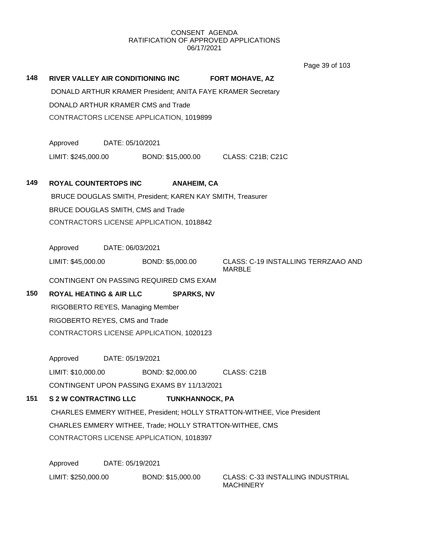Page 39 of 103

|     |                                                             |                  |                                                            |                                                                         | Page 39 or 103                      |  |
|-----|-------------------------------------------------------------|------------------|------------------------------------------------------------|-------------------------------------------------------------------------|-------------------------------------|--|
| 148 | RIVER VALLEY AIR CONDITIONING INC                           |                  |                                                            | <b>FORT MOHAVE, AZ</b>                                                  |                                     |  |
|     | DONALD ARTHUR KRAMER President; ANITA FAYE KRAMER Secretary |                  |                                                            |                                                                         |                                     |  |
|     | DONALD ARTHUR KRAMER CMS and Trade                          |                  |                                                            |                                                                         |                                     |  |
|     |                                                             |                  | CONTRACTORS LICENSE APPLICATION, 1019899                   |                                                                         |                                     |  |
|     | Approved                                                    | DATE: 05/10/2021 |                                                            |                                                                         |                                     |  |
|     | LIMIT: \$245,000.00                                         |                  | BOND: \$15,000.00                                          | CLASS: C21B; C21C                                                       |                                     |  |
| 149 | <b>ROYAL COUNTERTOPS INC</b>                                |                  | <b>ANAHEIM, CA</b>                                         |                                                                         |                                     |  |
|     |                                                             |                  | BRUCE DOUGLAS SMITH, President; KAREN KAY SMITH, Treasurer |                                                                         |                                     |  |
|     | BRUCE DOUGLAS SMITH, CMS and Trade                          |                  |                                                            |                                                                         |                                     |  |
|     |                                                             |                  | CONTRACTORS LICENSE APPLICATION, 1018842                   |                                                                         |                                     |  |
|     | Approved                                                    | DATE: 06/03/2021 |                                                            |                                                                         |                                     |  |
|     | LIMIT: \$45,000.00                                          |                  | BOND: \$5,000.00                                           | <b>MARBLE</b>                                                           | CLASS: C-19 INSTALLING TERRZAAO AND |  |
|     |                                                             |                  | CONTINGENT ON PASSING REQUIRED CMS EXAM                    |                                                                         |                                     |  |
| 150 | <b>ROYAL HEATING &amp; AIR LLC</b>                          |                  | <b>SPARKS, NV</b>                                          |                                                                         |                                     |  |
|     | RIGOBERTO REYES, Managing Member                            |                  |                                                            |                                                                         |                                     |  |
|     | RIGOBERTO REYES, CMS and Trade                              |                  |                                                            |                                                                         |                                     |  |
|     |                                                             |                  | CONTRACTORS LICENSE APPLICATION, 1020123                   |                                                                         |                                     |  |
|     | Approved                                                    | DATE: 05/19/2021 |                                                            |                                                                         |                                     |  |
|     | LIMIT: \$10,000.00                                          |                  | BOND: \$2,000.00                                           | CLASS: C21B                                                             |                                     |  |
|     |                                                             |                  | CONTINGENT UPON PASSING EXAMS BY 11/13/2021                |                                                                         |                                     |  |
| 151 | <b>S 2 W CONTRACTING LLC</b>                                |                  | <b>TUNKHANNOCK, PA</b>                                     |                                                                         |                                     |  |
|     |                                                             |                  |                                                            | CHARLES EMMERY WITHEE, President; HOLLY STRATTON-WITHEE, Vice President |                                     |  |
|     |                                                             |                  |                                                            | CHARLES EMMERY WITHEE, Trade; HOLLY STRATTON-WITHEE, CMS                |                                     |  |
|     |                                                             |                  | CONTRACTORS LICENSE APPLICATION, 1018397                   |                                                                         |                                     |  |
|     | Approved                                                    | DATE: 05/19/2021 |                                                            |                                                                         |                                     |  |
|     | LIMIT: \$250,000.00                                         |                  | BOND: \$15,000.00                                          | <b>MACHINERY</b>                                                        | CLASS: C-33 INSTALLING INDUSTRIAL   |  |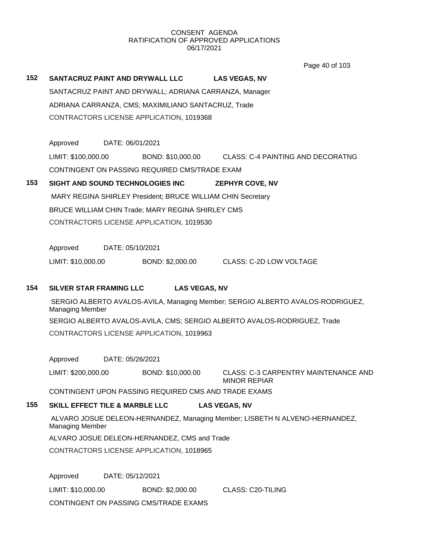Page 40 of 103

**152 SANTACRUZ PAINT AND DRYWALL LLC LAS VEGAS, NV** SANTACRUZ PAINT AND DRYWALL; ADRIANA CARRANZA, Manager ADRIANA CARRANZA, CMS; MAXIMILIANO SANTACRUZ, Trade CONTRACTORS LICENSE APPLICATION, 1019368

Approved DATE: 06/01/2021 LIMIT: \$100,000.00 BOND: \$10,000.00 CLASS: C-4 PAINTING AND DECORATNG CONTINGENT ON PASSING REQUIRED CMS/TRADE EXAM

## **153 SIGHT AND SOUND TECHNOLOGIES INC ZEPHYR COVE, NV** MARY REGINA SHIRLEY President; BRUCE WILLIAM CHIN Secretary BRUCE WILLIAM CHIN Trade; MARY REGINA SHIRLEY CMS CONTRACTORS LICENSE APPLICATION, 1019530

Approved DATE: 05/10/2021

LIMIT: \$10,000.00 BOND: \$2,000.00 CLASS: C-2D LOW VOLTAGE

## **154 SILVER STAR FRAMING LLC LAS VEGAS, NV**

SERGIO ALBERTO AVALOS-AVILA, Managing Member; SERGIO ALBERTO AVALOS-RODRIGUEZ, Managing Member SERGIO ALBERTO AVALOS-AVILA, CMS; SERGIO ALBERTO AVALOS-RODRIGUEZ, Trade CONTRACTORS LICENSE APPLICATION, 1019963

Approved DATE: 05/26/2021

LIMIT: \$200,000.00 BOND: \$10,000.00 CLASS: C-3 CARPENTRY MAINTENANCE AND MINOR REPIAR

CONTINGENT UPON PASSING REQUIRED CMS AND TRADE EXAMS

## **155 SKILL EFFECT TILE & MARBLE LLC LAS VEGAS, NV**

ALVARO JOSUE DELEON-HERNANDEZ, Managing Member; LISBETH N ALVENO-HERNANDEZ, Managing Member

ALVARO JOSUE DELEON-HERNANDEZ, CMS and Trade

CONTRACTORS LICENSE APPLICATION, 1018965

Approved DATE: 05/12/2021

LIMIT: \$10,000.00 BOND: \$2,000.00 CLASS: C20-TILING

CONTINGENT ON PASSING CMS/TRADE EXAMS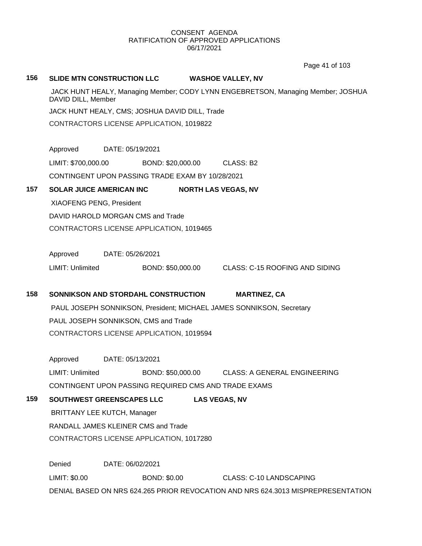Page 41 of 103

#### **156 SLIDE MTN CONSTRUCTION LLC WASHOE VALLEY, NV**

JACK HUNT HEALY, Managing Member; CODY LYNN ENGEBRETSON, Managing Member; JOSHUA DAVID DILL, Member

JACK HUNT HEALY, CMS; JOSHUA DAVID DILL, Trade

CONTRACTORS LICENSE APPLICATION, 1019822

Approved DATE: 05/19/2021

LIMIT: \$700,000.00 BOND: \$20,000.00 CLASS: B2

CONTINGENT UPON PASSING TRADE EXAM BY 10/28/2021

## **157 SOLAR JUICE AMERICAN INC NORTH LAS VEGAS, NV**

XIAOFENG PENG, President

DAVID HAROLD MORGAN CMS and Trade

CONTRACTORS LICENSE APPLICATION, 1019465

Approved DATE: 05/26/2021

LIMIT: Unlimited BOND: \$50,000.00 CLASS: C-15 ROOFING AND SIDING

## **158 SONNIKSON AND STORDAHL CONSTRUCTION MARTINEZ, CA**

PAUL JOSEPH SONNIKSON, President; MICHAEL JAMES SONNIKSON, Secretary PAUL JOSEPH SONNIKSON, CMS and Trade CONTRACTORS LICENSE APPLICATION, 1019594

Approved DATE: 05/13/2021

LIMIT: Unlimited BOND: \$50,000.00 CLASS: A GENERAL ENGINEERING

CONTINGENT UPON PASSING REQUIRED CMS AND TRADE EXAMS

## **159 SOUTHWEST GREENSCAPES LLC LAS VEGAS, NV**

BRITTANY LEE KUTCH, Manager RANDALL JAMES KLEINER CMS and Trade CONTRACTORS LICENSE APPLICATION, 1017280

Denied DATE: 06/02/2021 LIMIT: \$0.00 BOND: \$0.00 CLASS: C-10 LANDSCAPING DENIAL BASED ON NRS 624.265 PRIOR REVOCATION AND NRS 624.3013 MISPREPRESENTATION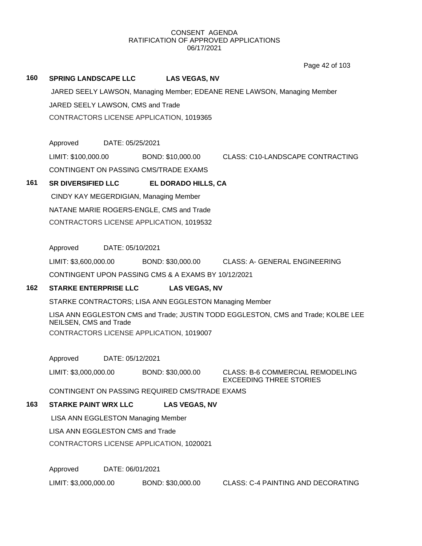Page 42 of 103

#### **160 SPRING LANDSCAPE LLC LAS VEGAS, NV**

JARED SEELY LAWSON, Managing Member; EDEANE RENE LAWSON, Managing Member JARED SEELY LAWSON, CMS and Trade CONTRACTORS LICENSE APPLICATION, 1019365

Approved DATE: 05/25/2021

LIMIT: \$100,000.00 BOND: \$10,000.00 CLASS: C10-LANDSCAPE CONTRACTING CONTINGENT ON PASSING CMS/TRADE EXAMS

## **161 SR DIVERSIFIED LLC EL DORADO HILLS, CA**

CINDY KAY MEGERDIGIAN, Managing Member NATANE MARIE ROGERS-ENGLE, CMS and Trade CONTRACTORS LICENSE APPLICATION, 1019532

Approved DATE: 05/10/2021

LIMIT: \$3,600,000.00 BOND: \$30,000.00 CLASS: A- GENERAL ENGINEERING

CONTINGENT UPON PASSING CMS & A EXAMS BY 10/12/2021

## **162 STARKE ENTERPRISE LLC LAS VEGAS, NV**

STARKE CONTRACTORS; LISA ANN EGGLESTON Managing Member

LISA ANN EGGLESTON CMS and Trade; JUSTIN TODD EGGLESTON, CMS and Trade; KOLBE LEE NEILSEN, CMS and Trade CONTRACTORS LICENSE APPLICATION, 1019007

Approved DATE: 05/12/2021

LIMIT: \$3,000,000.00 BOND: \$30,000.00 CLASS: B-6 COMMERCIAL REMODELING

EXCEEDING THREE STORIES

CONTINGENT ON PASSING REQUIRED CMS/TRADE EXAMS

## **163 STARKE PAINT WRX LLC LAS VEGAS, NV**

LISA ANN EGGLESTON Managing Member

LISA ANN EGGLESTON CMS and Trade

CONTRACTORS LICENSE APPLICATION, 1020021

Approved DATE: 06/01/2021

LIMIT: \$3,000,000.00 BOND: \$30,000.00 CLASS: C-4 PAINTING AND DECORATING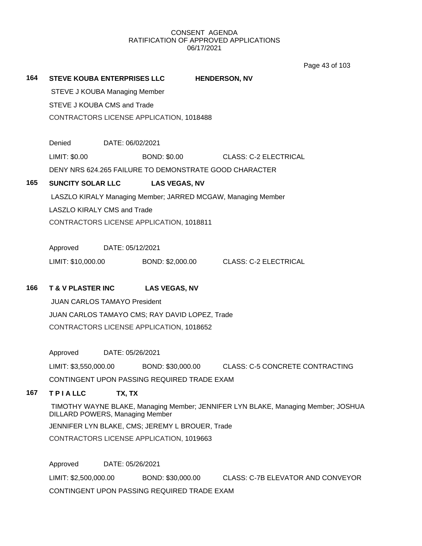Page 43 of 103

| 164 | <b>STEVE KOUBA ENTERPRISES LLC</b>              |                                          |                                                        | <b>HENDERSON, NV</b>                                                              |  |  |  |  |
|-----|-------------------------------------------------|------------------------------------------|--------------------------------------------------------|-----------------------------------------------------------------------------------|--|--|--|--|
|     | <b>STEVE J KOUBA Managing Member</b>            |                                          |                                                        |                                                                                   |  |  |  |  |
|     |                                                 | STEVE J KOUBA CMS and Trade              |                                                        |                                                                                   |  |  |  |  |
|     | CONTRACTORS LICENSE APPLICATION, 1018488        |                                          |                                                        |                                                                                   |  |  |  |  |
|     | Denied                                          |                                          | DATE: 06/02/2021                                       |                                                                                   |  |  |  |  |
|     | LIMIT: \$0.00                                   |                                          | <b>BOND: \$0.00</b>                                    | <b>CLASS: C-2 ELECTRICAL</b>                                                      |  |  |  |  |
|     |                                                 |                                          | DENY NRS 624.265 FAILURE TO DEMONSTRATE GOOD CHARACTER |                                                                                   |  |  |  |  |
| 165 | <b>SUNCITY SOLAR LLC</b>                        |                                          | <b>LAS VEGAS, NV</b>                                   |                                                                                   |  |  |  |  |
|     |                                                 |                                          |                                                        | LASZLO KIRALY Managing Member; JARRED MCGAW, Managing Member                      |  |  |  |  |
|     | <b>LASZLO KIRALY CMS and Trade</b>              |                                          |                                                        |                                                                                   |  |  |  |  |
|     |                                                 |                                          | CONTRACTORS LICENSE APPLICATION, 1018811               |                                                                                   |  |  |  |  |
|     | Approved                                        |                                          | DATE: 05/12/2021                                       |                                                                                   |  |  |  |  |
|     | LIMIT: \$10,000.00                              |                                          | BOND: \$2,000.00                                       | <b>CLASS: C-2 ELECTRICAL</b>                                                      |  |  |  |  |
| 166 | <b>T &amp; V PLASTER INC</b>                    |                                          | <b>LAS VEGAS, NV</b>                                   |                                                                                   |  |  |  |  |
|     | <b>JUAN CARLOS TAMAYO President</b>             |                                          |                                                        |                                                                                   |  |  |  |  |
|     |                                                 |                                          | JUAN CARLOS TAMAYO CMS; RAY DAVID LOPEZ, Trade         |                                                                                   |  |  |  |  |
|     |                                                 |                                          | CONTRACTORS LICENSE APPLICATION, 1018652               |                                                                                   |  |  |  |  |
|     | Approved                                        |                                          | DATE: 05/26/2021                                       |                                                                                   |  |  |  |  |
|     | LIMIT: \$3,550,000.00                           |                                          |                                                        | BOND: \$30,000.00 CLASS: C-5 CONCRETE CONTRACTING                                 |  |  |  |  |
|     |                                                 |                                          | CONTINGENT UPON PASSING REQUIRED TRADE EXAM            |                                                                                   |  |  |  |  |
| 167 | <b>TPIALLC</b>                                  | TX, TX                                   |                                                        |                                                                                   |  |  |  |  |
|     | <b>DILLARD POWERS, Managing Member</b>          |                                          |                                                        | TIMOTHY WAYNE BLAKE, Managing Member; JENNIFER LYN BLAKE, Managing Member; JOSHUA |  |  |  |  |
|     | JENNIFER LYN BLAKE, CMS; JEREMY L BROUER, Trade |                                          |                                                        |                                                                                   |  |  |  |  |
|     |                                                 | CONTRACTORS LICENSE APPLICATION, 1019663 |                                                        |                                                                                   |  |  |  |  |
|     | Approved                                        |                                          | DATE: 05/26/2021                                       |                                                                                   |  |  |  |  |
|     | LIMIT: \$2,500,000.00                           |                                          | BOND: \$30,000.00                                      | CLASS: C-7B ELEVATOR AND CONVEYOR                                                 |  |  |  |  |
|     |                                                 |                                          | CONTINGENT UPON PASSING REQUIRED TRADE EXAM            |                                                                                   |  |  |  |  |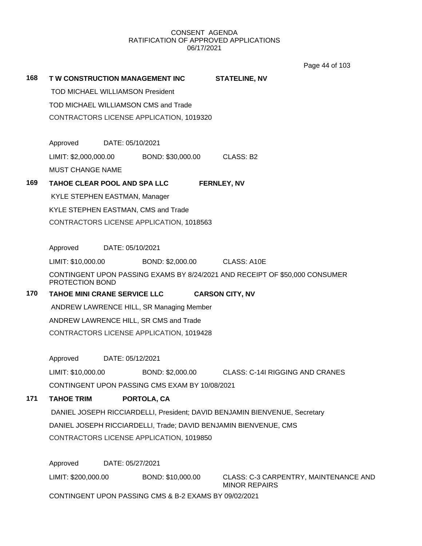Page 44 of 103

| 168 | TW CONSTRUCTION MANAGEMENT INC           |                  |                                                       | <b>STATELINE, NV</b>                                                        |  |
|-----|------------------------------------------|------------------|-------------------------------------------------------|-----------------------------------------------------------------------------|--|
|     | <b>TOD MICHAEL WILLIAMSON President</b>  |                  |                                                       |                                                                             |  |
|     |                                          |                  | TOD MICHAEL WILLIAMSON CMS and Trade                  |                                                                             |  |
|     |                                          |                  | CONTRACTORS LICENSE APPLICATION, 1019320              |                                                                             |  |
|     |                                          |                  |                                                       |                                                                             |  |
|     | Approved                                 | DATE: 05/10/2021 |                                                       |                                                                             |  |
|     | LIMIT: \$2,000,000.00                    |                  | BOND: \$30,000.00                                     | CLASS: B2                                                                   |  |
|     | <b>MUST CHANGE NAME</b>                  |                  |                                                       |                                                                             |  |
| 169 |                                          |                  | TAHOE CLEAR POOL AND SPA LLC                          | <b>FERNLEY, NV</b>                                                          |  |
|     | KYLE STEPHEN EASTMAN, Manager            |                  |                                                       |                                                                             |  |
|     |                                          |                  | KYLE STEPHEN EASTMAN, CMS and Trade                   |                                                                             |  |
|     |                                          |                  | CONTRACTORS LICENSE APPLICATION, 1018563              |                                                                             |  |
|     |                                          |                  |                                                       |                                                                             |  |
|     | Approved DATE: 05/10/2021                |                  |                                                       |                                                                             |  |
|     | LIMIT: \$10,000.00                       |                  | BOND: \$2,000.00 CLASS: A10E                          |                                                                             |  |
|     | PROTECTION BOND                          |                  |                                                       | CONTINGENT UPON PASSING EXAMS BY 8/24/2021 AND RECEIPT OF \$50,000 CONSUMER |  |
| 170 | TAHOE MINI CRANE SERVICE LLC             |                  |                                                       | <b>CARSON CITY, NV</b>                                                      |  |
|     | ANDREW LAWRENCE HILL, SR Managing Member |                  |                                                       |                                                                             |  |
|     |                                          |                  | ANDREW LAWRENCE HILL, SR CMS and Trade                |                                                                             |  |
|     |                                          |                  | CONTRACTORS LICENSE APPLICATION, 1019428              |                                                                             |  |
|     | Approved                                 | DATE: 05/12/2021 |                                                       |                                                                             |  |
|     | LIMIT: \$10,000.00                       |                  | BOND: \$2,000.00                                      | <b>CLASS: C-14I RIGGING AND CRANES</b>                                      |  |
|     |                                          |                  | CONTINGENT UPON PASSING CMS EXAM BY 10/08/2021        |                                                                             |  |
| 171 | <b>TAHOE TRIM</b>                        |                  | PORTOLA, CA                                           |                                                                             |  |
|     |                                          |                  |                                                       | DANIEL JOSEPH RICCIARDELLI, President; DAVID BENJAMIN BIENVENUE, Secretary  |  |
|     |                                          |                  |                                                       | DANIEL JOSEPH RICCIARDELLI, Trade; DAVID BENJAMIN BIENVENUE, CMS            |  |
|     |                                          |                  | CONTRACTORS LICENSE APPLICATION, 1019850              |                                                                             |  |
|     |                                          |                  |                                                       |                                                                             |  |
|     | Approved                                 | DATE: 05/27/2021 |                                                       |                                                                             |  |
|     | LIMIT: \$200,000.00                      |                  | BOND: \$10,000.00                                     | CLASS: C-3 CARPENTRY, MAINTENANCE AND<br><b>MINOR REPAIRS</b>               |  |
|     |                                          |                  | CONTINGENT UPON PASSING CMS & B-2 EXAMS BY 09/02/2021 |                                                                             |  |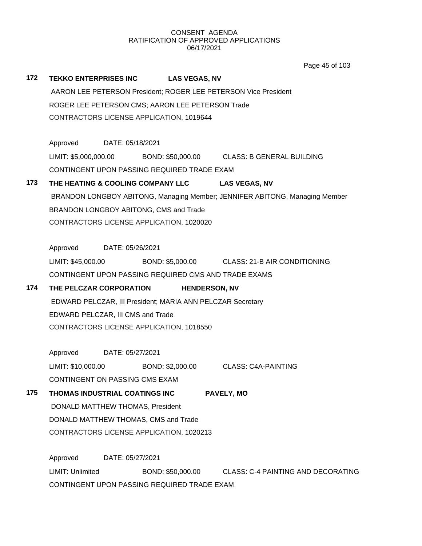**172 TEKKO ENTERPRISES INC LAS VEGAS, NV** AARON LEE PETERSON President; ROGER LEE PETERSON Vice President ROGER LEE PETERSON CMS; AARON LEE PETERSON Trade CONTRACTORS LICENSE APPLICATION, 1019644 Approved DATE: 05/18/2021 LIMIT: \$5,000,000.00 BOND: \$50,000.00 CLASS: B GENERAL BUILDING CONTINGENT UPON PASSING REQUIRED TRADE EXAM **173 THE HEATING & COOLING COMPANY LLC LAS VEGAS, NV** BRANDON LONGBOY ABITONG, Managing Member; JENNIFER ABITONG, Managing Member BRANDON LONGBOY ABITONG, CMS and Trade CONTRACTORS LICENSE APPLICATION, 1020020 Approved DATE: 05/26/2021 LIMIT: \$45,000.00 BOND: \$5,000.00 CLASS: 21-B AIR CONDITIONING CONTINGENT UPON PASSING REQUIRED CMS AND TRADE EXAMS **174 THE PELCZAR CORPORATION HENDERSON, NV** EDWARD PELCZAR, III President; MARIA ANN PELCZAR Secretary EDWARD PELCZAR, III CMS and Trade CONTRACTORS LICENSE APPLICATION, 1018550 Approved DATE: 05/27/2021 LIMIT: \$10,000.00 BOND: \$2,000.00 CLASS: C4A-PAINTING CONTINGENT ON PASSING CMS EXAM **175 THOMAS INDUSTRIAL COATINGS INC PAVELY, MO** DONALD MATTHEW THOMAS, President DONALD MATTHEW THOMAS, CMS and Trade CONTRACTORS LICENSE APPLICATION, 1020213 Approved DATE: 05/27/2021 LIMIT: Unlimited BOND: \$50,000.00 CLASS: C-4 PAINTING AND DECORATING Page 45 of 103

CONTINGENT UPON PASSING REQUIRED TRADE EXAM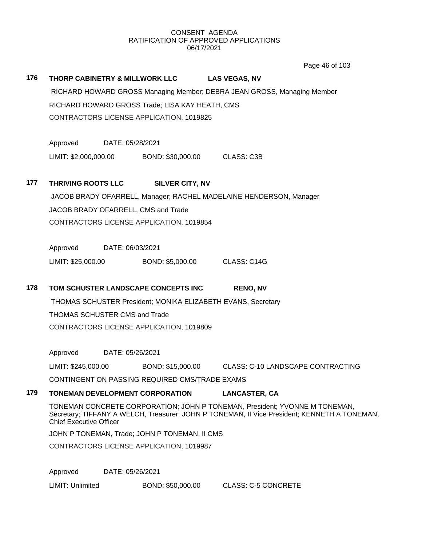Page 46 of 103

| 176 | THORP CABINETRY & MILLWORK LLC |                  |                                                 | <b>LAS VEGAS, NV</b>                                                                                                                                                       |  |
|-----|--------------------------------|------------------|-------------------------------------------------|----------------------------------------------------------------------------------------------------------------------------------------------------------------------------|--|
|     |                                |                  |                                                 | RICHARD HOWARD GROSS Managing Member; DEBRA JEAN GROSS, Managing Member                                                                                                    |  |
|     |                                |                  | RICHARD HOWARD GROSS Trade; LISA KAY HEATH, CMS |                                                                                                                                                                            |  |
|     |                                |                  | CONTRACTORS LICENSE APPLICATION, 1019825        |                                                                                                                                                                            |  |
|     | Approved                       | DATE: 05/28/2021 |                                                 |                                                                                                                                                                            |  |
|     | LIMIT: \$2,000,000.00          |                  | BOND: \$30,000.00                               | <b>CLASS: C3B</b>                                                                                                                                                          |  |
| 177 | <b>THRIVING ROOTS LLC</b>      |                  | <b>SILVER CITY, NV</b>                          |                                                                                                                                                                            |  |
|     |                                |                  |                                                 | JACOB BRADY OFARRELL, Manager; RACHEL MADELAINE HENDERSON, Manager                                                                                                         |  |
|     |                                |                  | JACOB BRADY OFARRELL, CMS and Trade             |                                                                                                                                                                            |  |
|     |                                |                  | CONTRACTORS LICENSE APPLICATION, 1019854        |                                                                                                                                                                            |  |
|     | Approved                       | DATE: 06/03/2021 |                                                 |                                                                                                                                                                            |  |
|     | LIMIT: \$25,000.00             |                  | BOND: \$5,000.00                                | CLASS: C14G                                                                                                                                                                |  |
| 178 |                                |                  | TOM SCHUSTER LANDSCAPE CONCEPTS INC             | <b>RENO, NV</b>                                                                                                                                                            |  |
|     |                                |                  |                                                 | THOMAS SCHUSTER President; MONIKA ELIZABETH EVANS, Secretary                                                                                                               |  |
|     | THOMAS SCHUSTER CMS and Trade  |                  |                                                 |                                                                                                                                                                            |  |
|     |                                |                  | CONTRACTORS LICENSE APPLICATION, 1019809        |                                                                                                                                                                            |  |
|     | Approved                       | DATE: 05/26/2021 |                                                 |                                                                                                                                                                            |  |
|     | LIMIT: \$245,000.00            |                  | BOND: \$15,000.00                               | <b>CLASS: C-10 LANDSCAPE CONTRACTING</b>                                                                                                                                   |  |
|     |                                |                  | CONTINGENT ON PASSING REQUIRED CMS/TRADE EXAMS  |                                                                                                                                                                            |  |
| 179 |                                |                  | <b>TONEMAN DEVELOPMENT CORPORATION</b>          | <b>LANCASTER, CA</b>                                                                                                                                                       |  |
|     | <b>Chief Executive Officer</b> |                  |                                                 | TONEMAN CONCRETE CORPORATION; JOHN P TONEMAN, President; YVONNE M TONEMAN,<br>Secretary; TIFFANY A WELCH, Treasurer; JOHN P TONEMAN, II Vice President; KENNETH A TONEMAN, |  |
|     |                                |                  | JOHN P TONEMAN, Trade; JOHN P TONEMAN, II CMS   |                                                                                                                                                                            |  |
|     |                                |                  | CONTRACTORS LICENSE APPLICATION, 1019987        |                                                                                                                                                                            |  |
|     |                                |                  |                                                 |                                                                                                                                                                            |  |

Approved DATE: 05/26/2021

LIMIT: Unlimited BOND: \$50,000.00 CLASS: C-5 CONCRETE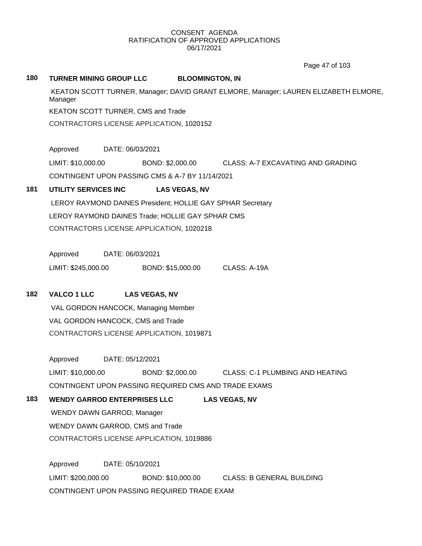Page 47 of 103

#### **180 TURNER MINING GROUP LLC BLOOMINGTON, IN**

KEATON SCOTT TURNER, Manager; DAVID GRANT ELMORE, Manager; LAUREN ELIZABETH ELMORE, Manager KEATON SCOTT TURNER, CMS and Trade CONTRACTORS LICENSE APPLICATION, 1020152

Approved DATE: 06/03/2021

LIMIT: \$10,000.00 BOND: \$2,000.00 CLASS: A-7 EXCAVATING AND GRADING CONTINGENT UPON PASSING CMS & A-7 BY 11/14/2021

## **181 UTILITY SERVICES INC LAS VEGAS, NV**

LEROY RAYMOND DAINES President; HOLLIE GAY SPHAR Secretary LEROY RAYMOND DAINES Trade; HOLLIE GAY SPHAR CMS CONTRACTORS LICENSE APPLICATION, 1020218

Approved DATE: 06/03/2021

LIMIT: \$245,000.00 BOND: \$15,000.00 CLASS: A-19A

## **182 VALCO 1 LLC LAS VEGAS, NV**

VAL GORDON HANCOCK, Managing Member VAL GORDON HANCOCK, CMS and Trade CONTRACTORS LICENSE APPLICATION, 1019871

Approved DATE: 05/12/2021 LIMIT: \$10,000.00 BOND: \$2,000.00 CLASS: C-1 PLUMBING AND HEATING CONTINGENT UPON PASSING REQUIRED CMS AND TRADE EXAMS

## **183 WENDY GARROD ENTERPRISES LLC LAS VEGAS, NV**

WENDY DAWN GARROD, Manager WENDY DAWN GARROD, CMS and Trade CONTRACTORS LICENSE APPLICATION, 1019886

Approved DATE: 05/10/2021 LIMIT: \$200,000.00 BOND: \$10,000.00 CLASS: B GENERAL BUILDING CONTINGENT UPON PASSING REQUIRED TRADE EXAM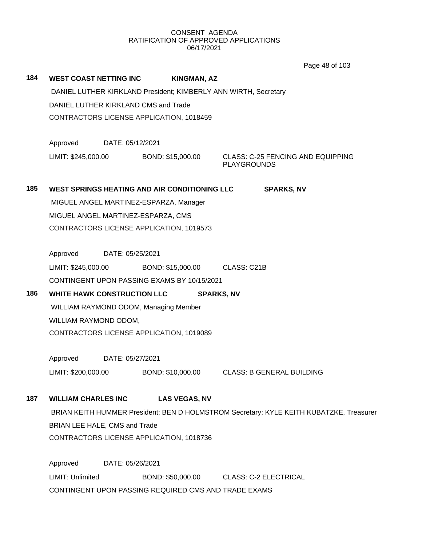Page 48 of 103

|     |                                    |                  |                                               | Page 48 of 103                                                                          |
|-----|------------------------------------|------------------|-----------------------------------------------|-----------------------------------------------------------------------------------------|
| 184 | WEST COAST NETTING INC             |                  | <b>KINGMAN, AZ</b>                            |                                                                                         |
|     |                                    |                  |                                               | DANIEL LUTHER KIRKLAND President; KIMBERLY ANN WIRTH, Secretary                         |
|     |                                    |                  | DANIEL LUTHER KIRKLAND CMS and Trade          |                                                                                         |
|     |                                    |                  | CONTRACTORS LICENSE APPLICATION, 1018459      |                                                                                         |
|     |                                    |                  |                                               |                                                                                         |
|     | Approved                           | DATE: 05/12/2021 |                                               |                                                                                         |
|     | LIMIT: \$245,000.00                |                  | BOND: \$15,000.00                             | <b>CLASS: C-25 FENCING AND EQUIPPING</b><br><b>PLAYGROUNDS</b>                          |
|     |                                    |                  |                                               |                                                                                         |
| 185 |                                    |                  | WEST SPRINGS HEATING AND AIR CONDITIONING LLC | <b>SPARKS, NV</b>                                                                       |
|     |                                    |                  | MIGUEL ANGEL MARTINEZ-ESPARZA, Manager        |                                                                                         |
|     |                                    |                  | MIGUEL ANGEL MARTINEZ-ESPARZA, CMS            |                                                                                         |
|     |                                    |                  | CONTRACTORS LICENSE APPLICATION, 1019573      |                                                                                         |
|     |                                    |                  |                                               |                                                                                         |
|     | Approved                           | DATE: 05/25/2021 |                                               |                                                                                         |
|     | LIMIT: \$245,000.00                |                  | BOND: \$15,000.00 CLASS: C21B                 |                                                                                         |
|     |                                    |                  | CONTINGENT UPON PASSING EXAMS BY 10/15/2021   |                                                                                         |
| 186 | <b>WHITE HAWK CONSTRUCTION LLC</b> |                  |                                               | <b>SPARKS, NV</b>                                                                       |
|     |                                    |                  | WILLIAM RAYMOND ODOM, Managing Member         |                                                                                         |
|     | WILLIAM RAYMOND ODOM,              |                  |                                               |                                                                                         |
|     |                                    |                  | CONTRACTORS LICENSE APPLICATION, 1019089      |                                                                                         |
|     | Approved                           | DATE: 05/27/2021 |                                               |                                                                                         |
|     | LIMIT: \$200,000.00                |                  | BOND: \$10,000.00                             | CLASS: B GENERAL BUILDING                                                               |
|     |                                    |                  |                                               |                                                                                         |
| 187 | <b>WILLIAM CHARLES INC</b>         |                  | <b>LAS VEGAS, NV</b>                          |                                                                                         |
|     |                                    |                  |                                               | BRIAN KEITH HUMMER President; BEN D HOLMSTROM Secretary; KYLE KEITH KUBATZKE, Treasurer |
|     | BRIAN LEE HALE, CMS and Trade      |                  |                                               |                                                                                         |
|     |                                    |                  | CONTRACTORS LICENSE APPLICATION, 1018736      |                                                                                         |
|     |                                    |                  |                                               |                                                                                         |
|     | Approved                           | DATE: 05/26/2021 |                                               |                                                                                         |
|     | LIMIT: Unlimited                   |                  | BOND: \$50,000.00                             | <b>CLASS: C-2 ELECTRICAL</b>                                                            |

CONTINGENT UPON PASSING REQUIRED CMS AND TRADE EXAMS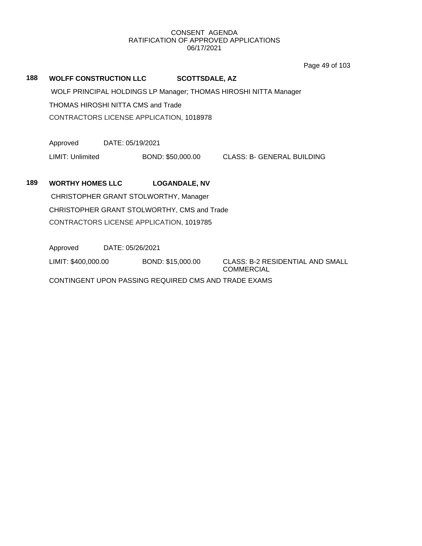Page 49 of 103

## **188 WOLFF CONSTRUCTION LLC SCOTTSDALE, AZ**

WOLF PRINCIPAL HOLDINGS LP Manager; THOMAS HIROSHI NITTA Manager THOMAS HIROSHI NITTA CMS and Trade CONTRACTORS LICENSE APPLICATION, 1018978

Approved DATE: 05/19/2021

LIMIT: Unlimited BOND: \$50,000.00 CLASS: B- GENERAL BUILDING

## **189 WORTHY HOMES LLC LOGANDALE, NV**

CHRISTOPHER GRANT STOLWORTHY, Manager CHRISTOPHER GRANT STOLWORTHY, CMS and Trade CONTRACTORS LICENSE APPLICATION, 1019785

Approved DATE: 05/26/2021

LIMIT: \$400,000.00 BOND: \$15,000.00 CLASS: B-2 RESIDENTIAL AND SMALL

COMMERCIAL

CONTINGENT UPON PASSING REQUIRED CMS AND TRADE EXAMS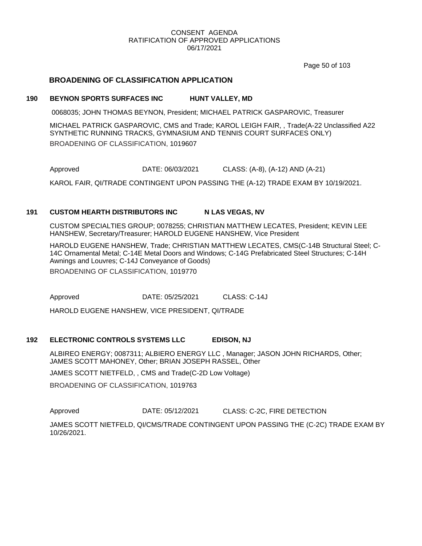Page 50 of 103

## **BROADENING OF CLASSIFICATION APPLICATION**

#### **190 BEYNON SPORTS SURFACES INC HUNT VALLEY, MD**

0068035; JOHN THOMAS BEYNON, President; MICHAEL PATRICK GASPAROVIC, Treasurer

MICHAEL PATRICK GASPAROVIC, CMS and Trade; KAROL LEIGH FAIR, , Trade(A-22 Unclassified A22 SYNTHETIC RUNNING TRACKS, GYMNASIUM AND TENNIS COURT SURFACES ONLY) BROADENING OF CLASSIFICATION, 1019607

Approved DATE: 06/03/2021 CLASS: (A-8), (A-12) AND (A-21)

KAROL FAIR, QI/TRADE CONTINGENT UPON PASSING THE (A-12) TRADE EXAM BY 10/19/2021.

### **191 CUSTOM HEARTH DISTRIBUTORS INC N LAS VEGAS, NV**

CUSTOM SPECIALTIES GROUP; 0078255; CHRISTIAN MATTHEW LECATES, President; KEVIN LEE HANSHEW, Secretary/Treasurer; HAROLD EUGENE HANSHEW, Vice President

HAROLD EUGENE HANSHEW, Trade; CHRISTIAN MATTHEW LECATES, CMS(C-14B Structural Steel; C-14C Ornamental Metal; C-14E Metal Doors and Windows; C-14G Prefabricated Steel Structures; C-14H Awnings and Louvres; C-14J Conveyance of Goods) BROADENING OF CLASSIFICATION, 1019770

Approved DATE: 05/25/2021 CLASS: C-14J

HAROLD EUGENE HANSHEW, VICE PRESIDENT, QI/TRADE

#### **192 ELECTRONIC CONTROLS SYSTEMS LLC EDISON, NJ**

ALBIREO ENERGY; 0087311; ALBIERO ENERGY LLC , Manager; JASON JOHN RICHARDS, Other; JAMES SCOTT MAHONEY, Other; BRIAN JOSEPH RASSEL, Other

JAMES SCOTT NIETFELD, , CMS and Trade(C-2D Low Voltage)

BROADENING OF CLASSIFICATION, 1019763

Approved **DATE: 05/12/2021** CLASS: C-2C, FIRE DETECTION

JAMES SCOTT NIETFELD, QI/CMS/TRADE CONTINGENT UPON PASSING THE (C-2C) TRADE EXAM BY 10/26/2021.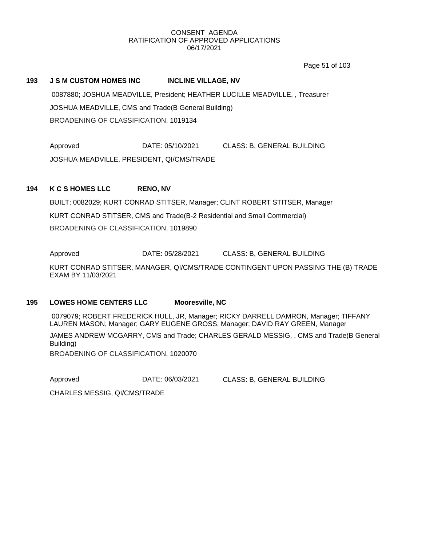Page 51 of 103

#### **193 J S M CUSTOM HOMES INC INCLINE VILLAGE, NV**

0087880; JOSHUA MEADVILLE, President; HEATHER LUCILLE MEADVILLE, , Treasurer JOSHUA MEADVILLE, CMS and Trade(B General Building) BROADENING OF CLASSIFICATION, 1019134

Approved DATE: 05/10/2021 CLASS: B, GENERAL BUILDING JOSHUA MEADVILLE, PRESIDENT, QI/CMS/TRADE

#### **194 K C S HOMES LLC RENO, NV**

BUILT; 0082029; KURT CONRAD STITSER, Manager; CLINT ROBERT STITSER, Manager KURT CONRAD STITSER, CMS and Trade(B-2 Residential and Small Commercial) BROADENING OF CLASSIFICATION, 1019890

Approved DATE: 05/28/2021 CLASS: B, GENERAL BUILDING

KURT CONRAD STITSER, MANAGER, QI/CMS/TRADE CONTINGENT UPON PASSING THE (B) TRADE EXAM BY 11/03/2021

#### **195 LOWES HOME CENTERS LLC Mooresville, NC**

0079079; ROBERT FREDERICK HULL, JR, Manager; RICKY DARRELL DAMRON, Manager; TIFFANY LAUREN MASON, Manager; GARY EUGENE GROSS, Manager; DAVID RAY GREEN, Manager

JAMES ANDREW MCGARRY, CMS and Trade; CHARLES GERALD MESSIG, , CMS and Trade(B General Building)

BROADENING OF CLASSIFICATION, 1020070

Approved DATE: 06/03/2021 CLASS: B, GENERAL BUILDING

CHARLES MESSIG, QI/CMS/TRADE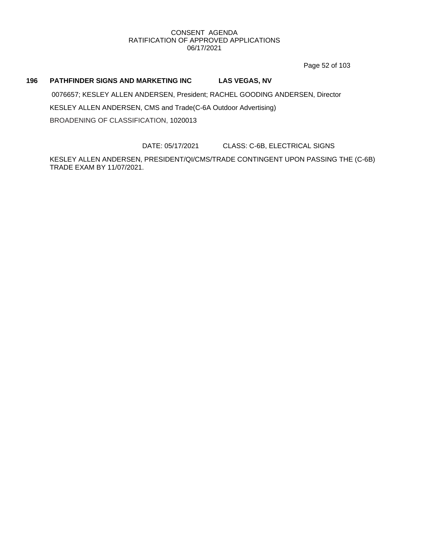Page 52 of 103

## **196 PATHFINDER SIGNS AND MARKETING INC LAS VEGAS, NV**

0076657; KESLEY ALLEN ANDERSEN, President; RACHEL GOODING ANDERSEN, Director KESLEY ALLEN ANDERSEN, CMS and Trade(C-6A Outdoor Advertising) BROADENING OF CLASSIFICATION, 1020013

DATE: 05/17/2021 CLASS: C-6B, ELECTRICAL SIGNS

KESLEY ALLEN ANDERSEN, PRESIDENT/QI/CMS/TRADE CONTINGENT UPON PASSING THE (C-6B) TRADE EXAM BY 11/07/2021.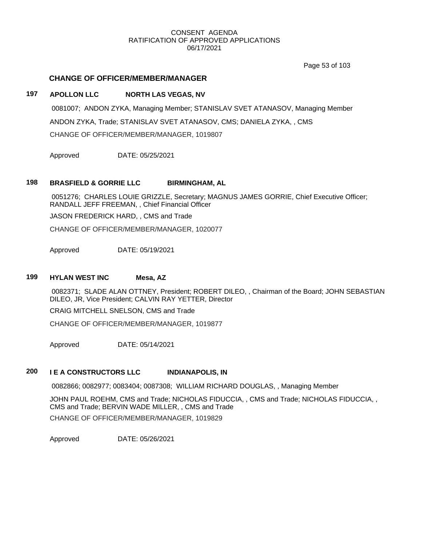Page 53 of 103

### **CHANGE OF OFFICER/MEMBER/MANAGER**

### **197 APOLLON LLC NORTH LAS VEGAS, NV**

0081007; ANDON ZYKA, Managing Member; STANISLAV SVET ATANASOV, Managing Member ANDON ZYKA, Trade; STANISLAV SVET ATANASOV, CMS; DANIELA ZYKA, , CMS CHANGE OF OFFICER/MEMBER/MANAGER, 1019807

Approved DATE: 05/25/2021

#### **198 BRASFIELD & GORRIE LLC BIRMINGHAM, AL**

0051276; CHARLES LOUIE GRIZZLE, Secretary; MAGNUS JAMES GORRIE, Chief Executive Officer; RANDALL JEFF FREEMAN, , Chief Financial Officer

JASON FREDERICK HARD, , CMS and Trade

CHANGE OF OFFICER/MEMBER/MANAGER, 1020077

Approved DATE: 05/19/2021

## **199 HYLAN WEST INC Mesa, AZ**

0082371; SLADE ALAN OTTNEY, President; ROBERT DILEO, , Chairman of the Board; JOHN SEBASTIAN DILEO, JR, Vice President; CALVIN RAY YETTER, Director

CRAIG MITCHELL SNELSON, CMS and Trade

CHANGE OF OFFICER/MEMBER/MANAGER, 1019877

Approved DATE: 05/14/2021

## **200 I E A CONSTRUCTORS LLC INDIANAPOLIS, IN**

0082866; 0082977; 0083404; 0087308; WILLIAM RICHARD DOUGLAS, , Managing Member

JOHN PAUL ROEHM, CMS and Trade; NICHOLAS FIDUCCIA, , CMS and Trade; NICHOLAS FIDUCCIA, , CMS and Trade; BERVIN WADE MILLER, , CMS and Trade CHANGE OF OFFICER/MEMBER/MANAGER, 1019829

Approved DATE: 05/26/2021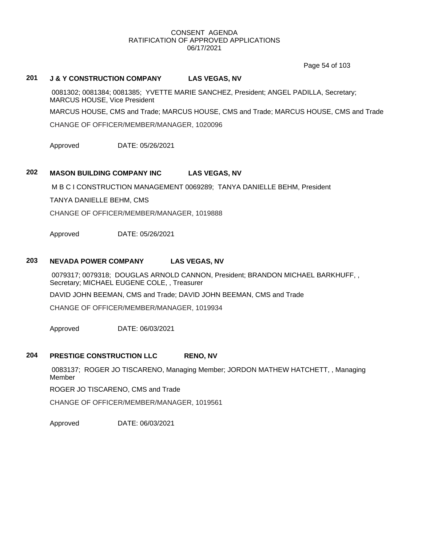Page 54 of 103

## **201 J & Y CONSTRUCTION COMPANY LAS VEGAS, NV**

0081302; 0081384; 0081385; YVETTE MARIE SANCHEZ, President; ANGEL PADILLA, Secretary; MARCUS HOUSE, Vice President

MARCUS HOUSE, CMS and Trade; MARCUS HOUSE, CMS and Trade; MARCUS HOUSE, CMS and Trade

CHANGE OF OFFICER/MEMBER/MANAGER, 1020096

Approved DATE: 05/26/2021

## **202 MASON BUILDING COMPANY INC LAS VEGAS, NV**

M B C I CONSTRUCTION MANAGEMENT 0069289; TANYA DANIELLE BEHM, President

TANYA DANIELLE BEHM, CMS

CHANGE OF OFFICER/MEMBER/MANAGER, 1019888

Approved DATE: 05/26/2021

#### **203 NEVADA POWER COMPANY LAS VEGAS, NV**

0079317; 0079318; DOUGLAS ARNOLD CANNON, President; BRANDON MICHAEL BARKHUFF, , Secretary; MICHAEL EUGENE COLE, , Treasurer

DAVID JOHN BEEMAN, CMS and Trade; DAVID JOHN BEEMAN, CMS and Trade

CHANGE OF OFFICER/MEMBER/MANAGER, 1019934

Approved DATE: 06/03/2021

## **204 PRESTIGE CONSTRUCTION LLC RENO, NV**

0083137; ROGER JO TISCARENO, Managing Member; JORDON MATHEW HATCHETT, , Managing Member

ROGER JO TISCARENO, CMS and Trade

CHANGE OF OFFICER/MEMBER/MANAGER, 1019561

Approved DATE: 06/03/2021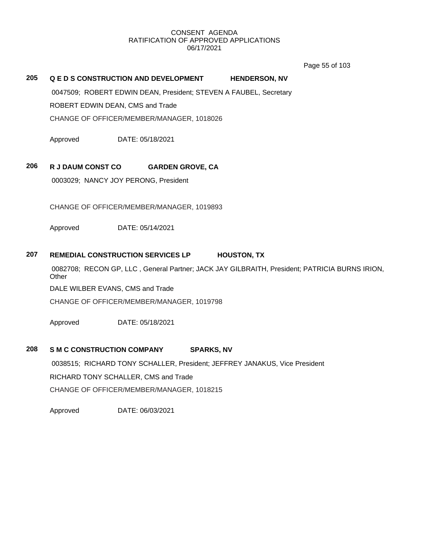Page 55 of 103

## **205 Q E D S CONSTRUCTION AND DEVELOPMENT HENDERSON, NV**

0047509; ROBERT EDWIN DEAN, President; STEVEN A FAUBEL, Secretary ROBERT EDWIN DEAN, CMS and Trade

CHANGE OF OFFICER/MEMBER/MANAGER, 1018026

Approved DATE: 05/18/2021

## **206 R J DAUM CONST CO GARDEN GROVE, CA**

0003029; NANCY JOY PERONG, President

CHANGE OF OFFICER/MEMBER/MANAGER, 1019893

Approved DATE: 05/14/2021

## **207 REMEDIAL CONSTRUCTION SERVICES LP HOUSTON, TX**

0082708; RECON GP, LLC , General Partner; JACK JAY GILBRAITH, President; PATRICIA BURNS IRION, **Other** 

DALE WILBER EVANS, CMS and Trade

CHANGE OF OFFICER/MEMBER/MANAGER, 1019798

Approved DATE: 05/18/2021

## **208 S M C CONSTRUCTION COMPANY SPARKS, NV**

0038515; RICHARD TONY SCHALLER, President; JEFFREY JANAKUS, Vice President RICHARD TONY SCHALLER, CMS and Trade CHANGE OF OFFICER/MEMBER/MANAGER, 1018215

Approved DATE: 06/03/2021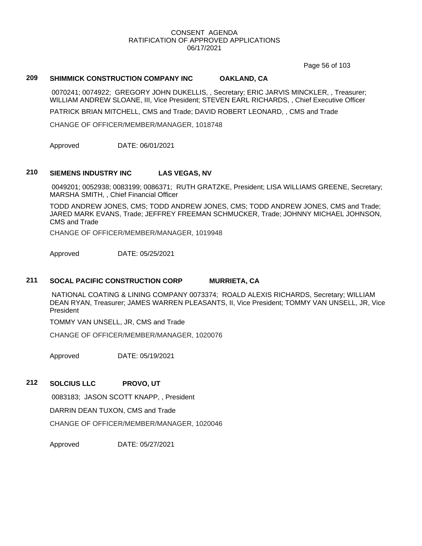Page 56 of 103

## **209 SHIMMICK CONSTRUCTION COMPANY INC OAKLAND, CA**

0070241; 0074922; GREGORY JOHN DUKELLIS, , Secretary; ERIC JARVIS MINCKLER, , Treasurer; WILLIAM ANDREW SLOANE, III, Vice President; STEVEN EARL RICHARDS, , Chief Executive Officer

PATRICK BRIAN MITCHELL, CMS and Trade; DAVID ROBERT LEONARD, , CMS and Trade

CHANGE OF OFFICER/MEMBER/MANAGER, 1018748

Approved DATE: 06/01/2021

#### **210 SIEMENS INDUSTRY INC LAS VEGAS, NV**

0049201; 0052938; 0083199; 0086371; RUTH GRATZKE, President; LISA WILLIAMS GREENE, Secretary; MARSHA SMITH, , Chief Financial Officer

TODD ANDREW JONES, CMS; TODD ANDREW JONES, CMS; TODD ANDREW JONES, CMS and Trade; JARED MARK EVANS, Trade; JEFFREY FREEMAN SCHMUCKER, Trade; JOHNNY MICHAEL JOHNSON, CMS and Trade

CHANGE OF OFFICER/MEMBER/MANAGER, 1019948

Approved DATE: 05/25/2021

#### **211 SOCAL PACIFIC CONSTRUCTION CORP MURRIETA, CA**

NATIONAL COATING & LINING COMPANY 0073374; ROALD ALEXIS RICHARDS, Secretary; WILLIAM DEAN RYAN, Treasurer; JAMES WARREN PLEASANTS, II, Vice President; TOMMY VAN UNSELL, JR, Vice President

TOMMY VAN UNSELL, JR, CMS and Trade

CHANGE OF OFFICER/MEMBER/MANAGER, 1020076

Approved DATE: 05/19/2021

#### **212 SOLCIUS LLC PROVO, UT**

0083183; JASON SCOTT KNAPP, , President

DARRIN DEAN TUXON, CMS and Trade

CHANGE OF OFFICER/MEMBER/MANAGER, 1020046

Approved DATE: 05/27/2021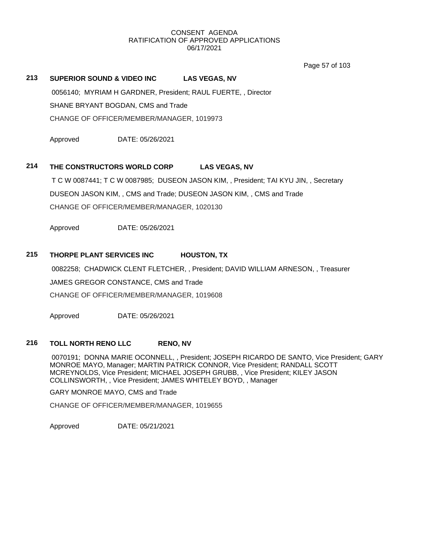Page 57 of 103

#### **213 SUPERIOR SOUND & VIDEO INC LAS VEGAS, NV**

0056140; MYRIAM H GARDNER, President; RAUL FUERTE, , Director SHANE BRYANT BOGDAN, CMS and Trade CHANGE OF OFFICER/MEMBER/MANAGER, 1019973

Approved DATE: 05/26/2021

#### **214 THE CONSTRUCTORS WORLD CORP LAS VEGAS, NV**

T C W 0087441; T C W 0087985; DUSEON JASON KIM, , President; TAI KYU JIN, , Secretary DUSEON JASON KIM, , CMS and Trade; DUSEON JASON KIM, , CMS and Trade CHANGE OF OFFICER/MEMBER/MANAGER, 1020130

Approved DATE: 05/26/2021

### **215 THORPE PLANT SERVICES INC HOUSTON, TX**

0082258; CHADWICK CLENT FLETCHER, , President; DAVID WILLIAM ARNESON, , Treasurer

JAMES GREGOR CONSTANCE, CMS and Trade

CHANGE OF OFFICER/MEMBER/MANAGER, 1019608

Approved DATE: 05/26/2021

## **216 TOLL NORTH RENO LLC RENO, NV**

0070191; DONNA MARIE OCONNELL, , President; JOSEPH RICARDO DE SANTO, Vice President; GARY MONROE MAYO, Manager; MARTIN PATRICK CONNOR, Vice President; RANDALL SCOTT MCREYNOLDS, Vice President; MICHAEL JOSEPH GRUBB, , Vice President; KILEY JASON COLLINSWORTH, , Vice President; JAMES WHITELEY BOYD, , Manager

GARY MONROE MAYO, CMS and Trade

CHANGE OF OFFICER/MEMBER/MANAGER, 1019655

Approved DATE: 05/21/2021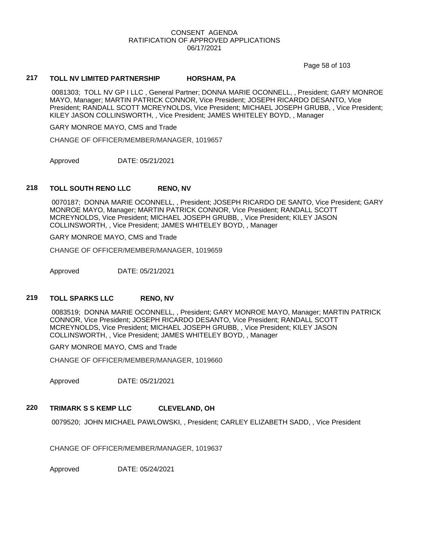Page 58 of 103

#### **217 TOLL NV LIMITED PARTNERSHIP HORSHAM, PA**

0081303; TOLL NV GP I LLC , General Partner; DONNA MARIE OCONNELL, , President; GARY MONROE MAYO, Manager; MARTIN PATRICK CONNOR, Vice President; JOSEPH RICARDO DESANTO, Vice President; RANDALL SCOTT MCREYNOLDS, Vice President; MICHAEL JOSEPH GRUBB, , Vice President; KILEY JASON COLLINSWORTH, , Vice President; JAMES WHITELEY BOYD, , Manager

GARY MONROE MAYO, CMS and Trade

CHANGE OF OFFICER/MEMBER/MANAGER, 1019657

Approved DATE: 05/21/2021

#### **218 TOLL SOUTH RENO LLC RENO, NV**

0070187; DONNA MARIE OCONNELL, , President; JOSEPH RICARDO DE SANTO, Vice President; GARY MONROE MAYO, Manager; MARTIN PATRICK CONNOR, Vice President; RANDALL SCOTT MCREYNOLDS, Vice President; MICHAEL JOSEPH GRUBB, , Vice President; KILEY JASON COLLINSWORTH, , Vice President; JAMES WHITELEY BOYD, , Manager

GARY MONROE MAYO, CMS and Trade

CHANGE OF OFFICER/MEMBER/MANAGER, 1019659

Approved DATE: 05/21/2021

### **219 TOLL SPARKS LLC RENO, NV**

0083519; DONNA MARIE OCONNELL, , President; GARY MONROE MAYO, Manager; MARTIN PATRICK CONNOR, Vice President; JOSEPH RICARDO DESANTO, Vice President; RANDALL SCOTT MCREYNOLDS, Vice President; MICHAEL JOSEPH GRUBB, , Vice President; KILEY JASON COLLINSWORTH, , Vice President; JAMES WHITELEY BOYD, , Manager

GARY MONROE MAYO, CMS and Trade

CHANGE OF OFFICER/MEMBER/MANAGER, 1019660

Approved DATE: 05/21/2021

## **220 TRIMARK S S KEMP LLC CLEVELAND, OH**

0079520; JOHN MICHAEL PAWLOWSKI, , President; CARLEY ELIZABETH SADD, , Vice President

CHANGE OF OFFICER/MEMBER/MANAGER, 1019637

Approved DATE: 05/24/2021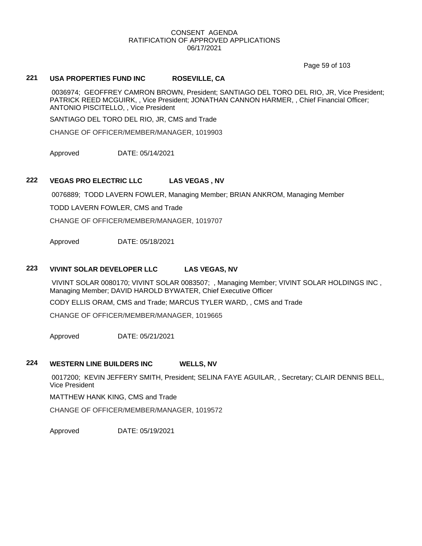Page 59 of 103

## **221 USA PROPERTIES FUND INC ROSEVILLE, CA**

0036974; GEOFFREY CAMRON BROWN, President; SANTIAGO DEL TORO DEL RIO, JR, Vice President; PATRICK REED MCGUIRK, , Vice President; JONATHAN CANNON HARMER, , Chief Financial Officer; ANTONIO PISCITELLO, , Vice President

SANTIAGO DEL TORO DEL RIO, JR, CMS and Trade

CHANGE OF OFFICER/MEMBER/MANAGER, 1019903

Approved DATE: 05/14/2021

#### **222 VEGAS PRO ELECTRIC LLC LAS VEGAS , NV**

0076889; TODD LAVERN FOWLER, Managing Member; BRIAN ANKROM, Managing Member

TODD LAVERN FOWLER, CMS and Trade

CHANGE OF OFFICER/MEMBER/MANAGER, 1019707

Approved DATE: 05/18/2021

#### **223 VIVINT SOLAR DEVELOPER LLC LAS VEGAS, NV**

VIVINT SOLAR 0080170; VIVINT SOLAR 0083507; , Managing Member; VIVINT SOLAR HOLDINGS INC , Managing Member; DAVID HAROLD BYWATER, Chief Executive Officer

CODY ELLIS ORAM, CMS and Trade; MARCUS TYLER WARD, , CMS and Trade

CHANGE OF OFFICER/MEMBER/MANAGER, 1019665

Approved DATE: 05/21/2021

## **224 WESTERN LINE BUILDERS INC WELLS, NV**

0017200; KEVIN JEFFERY SMITH, President; SELINA FAYE AGUILAR, , Secretary; CLAIR DENNIS BELL, Vice President

MATTHEW HANK KING, CMS and Trade

CHANGE OF OFFICER/MEMBER/MANAGER, 1019572

Approved DATE: 05/19/2021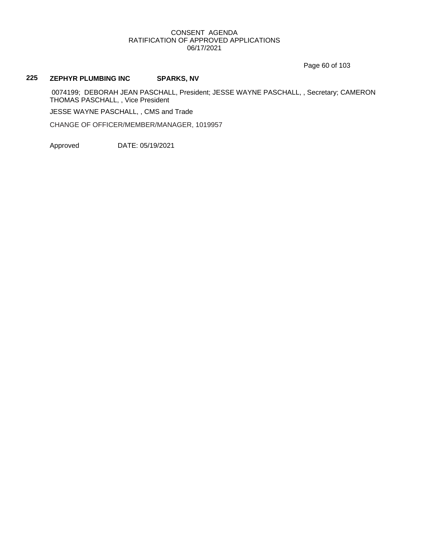Page 60 of 103

## **225 ZEPHYR PLUMBING INC SPARKS, NV**

0074199; DEBORAH JEAN PASCHALL, President; JESSE WAYNE PASCHALL, , Secretary; CAMERON THOMAS PASCHALL, , Vice President

JESSE WAYNE PASCHALL, , CMS and Trade

CHANGE OF OFFICER/MEMBER/MANAGER, 1019957

Approved DATE: 05/19/2021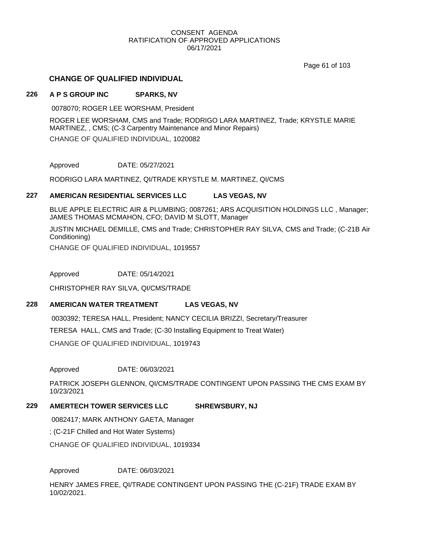Page 61 of 103

## **CHANGE OF QUALIFIED INDIVIDUAL**

#### **226 A P S GROUP INC SPARKS, NV**

0078070; ROGER LEE WORSHAM, President

ROGER LEE WORSHAM, CMS and Trade; RODRIGO LARA MARTINEZ, Trade; KRYSTLE MARIE MARTINEZ, , CMS; (C-3 Carpentry Maintenance and Minor Repairs) CHANGE OF QUALIFIED INDIVIDUAL, 1020082

Approved DATE: 05/27/2021

RODRIGO LARA MARTINEZ, QI/TRADE KRYSTLE M. MARTINEZ, QI/CMS

#### **227 AMERICAN RESIDENTIAL SERVICES LLC LAS VEGAS, NV**

BLUE APPLE ELECTRIC AIR & PLUMBING; 0087261; ARS ACQUISITION HOLDINGS LLC , Manager; JAMES THOMAS MCMAHON, CFO; DAVID M SLOTT, Manager

JUSTIN MICHAEL DEMILLE, CMS and Trade; CHRISTOPHER RAY SILVA, CMS and Trade; (C-21B Air Conditioning)

CHANGE OF QUALIFIED INDIVIDUAL, 1019557

Approved DATE: 05/14/2021

CHRISTOPHER RAY SILVA, QI/CMS/TRADE

## **228 AMERICAN WATER TREATMENT LAS VEGAS, NV**

0030392; TERESA HALL, President; NANCY CECILIA BRIZZI, Secretary/Treasurer TERESA HALL, CMS and Trade; (C-30 Installing Equipment to Treat Water) CHANGE OF QUALIFIED INDIVIDUAL, 1019743

Approved DATE: 06/03/2021

PATRICK JOSEPH GLENNON, QI/CMS/TRADE CONTINGENT UPON PASSING THE CMS EXAM BY 10/23/2021

## **229 AMERTECH TOWER SERVICES LLC SHREWSBURY, NJ**

0082417; MARK ANTHONY GAETA, Manager

; (C-21F Chilled and Hot Water Systems)

CHANGE OF QUALIFIED INDIVIDUAL, 1019334

Approved DATE: 06/03/2021

HENRY JAMES FREE, QI/TRADE CONTINGENT UPON PASSING THE (C-21F) TRADE EXAM BY 10/02/2021.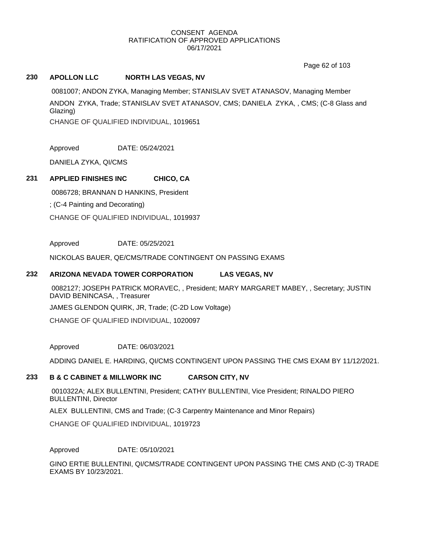Page 62 of 103

## **230 APOLLON LLC NORTH LAS VEGAS, NV**

0081007; ANDON ZYKA, Managing Member; STANISLAV SVET ATANASOV, Managing Member ANDON ZYKA, Trade; STANISLAV SVET ATANASOV, CMS; DANIELA ZYKA, , CMS; (C-8 Glass and Glazing)

CHANGE OF QUALIFIED INDIVIDUAL, 1019651

Approved DATE: 05/24/2021

DANIELA ZYKA, QI/CMS

## **231 APPLIED FINISHES INC CHICO, CA**

0086728; BRANNAN D HANKINS, President ; (C-4 Painting and Decorating) CHANGE OF QUALIFIED INDIVIDUAL, 1019937

Approved DATE: 05/25/2021

NICKOLAS BAUER, QE/CMS/TRADE CONTINGENT ON PASSING EXAMS

#### **232 ARIZONA NEVADA TOWER CORPORATION LAS VEGAS, NV**

0082127; JOSEPH PATRICK MORAVEC, , President; MARY MARGARET MABEY, , Secretary; JUSTIN DAVID BENINCASA, , Treasurer

JAMES GLENDON QUIRK, JR, Trade; (C-2D Low Voltage)

CHANGE OF QUALIFIED INDIVIDUAL, 1020097

Approved DATE: 06/03/2021

ADDING DANIEL E. HARDING, QI/CMS CONTINGENT UPON PASSING THE CMS EXAM BY 11/12/2021.

## **233 B & C CABINET & MILLWORK INC CARSON CITY, NV**

0010322A; ALEX BULLENTINI, President; CATHY BULLENTINI, Vice President; RINALDO PIERO BULLENTINI, Director

ALEX BULLENTINI, CMS and Trade; (C-3 Carpentry Maintenance and Minor Repairs)

CHANGE OF QUALIFIED INDIVIDUAL, 1019723

Approved DATE: 05/10/2021

GINO ERTIE BULLENTINI, QI/CMS/TRADE CONTINGENT UPON PASSING THE CMS AND (C-3) TRADE EXAMS BY 10/23/2021.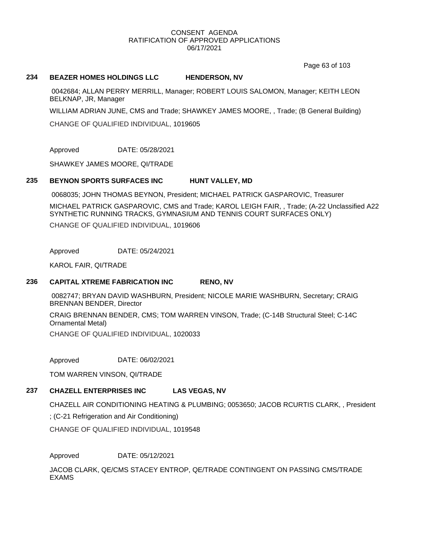Page 63 of 103

#### **234 BEAZER HOMES HOLDINGS LLC HENDERSON, NV**

0042684; ALLAN PERRY MERRILL, Manager; ROBERT LOUIS SALOMON, Manager; KEITH LEON BELKNAP, JR, Manager

WILLIAM ADRIAN JUNE, CMS and Trade; SHAWKEY JAMES MOORE, , Trade; (B General Building)

CHANGE OF QUALIFIED INDIVIDUAL, 1019605

Approved DATE: 05/28/2021

SHAWKEY JAMES MOORE, QI/TRADE

#### **235 BEYNON SPORTS SURFACES INC HUNT VALLEY, MD**

0068035; JOHN THOMAS BEYNON, President; MICHAEL PATRICK GASPAROVIC, Treasurer

MICHAEL PATRICK GASPAROVIC, CMS and Trade; KAROL LEIGH FAIR, , Trade; (A-22 Unclassified A22 SYNTHETIC RUNNING TRACKS, GYMNASIUM AND TENNIS COURT SURFACES ONLY) CHANGE OF QUALIFIED INDIVIDUAL, 1019606

Approved DATE: 05/24/2021

KAROL FAIR, QI/TRADE

#### **236 CAPITAL XTREME FABRICATION INC RENO, NV**

0082747; BRYAN DAVID WASHBURN, President; NICOLE MARIE WASHBURN, Secretary; CRAIG BRENNAN BENDER, Director

CRAIG BRENNAN BENDER, CMS; TOM WARREN VINSON, Trade; (C-14B Structural Steel; C-14C Ornamental Metal)

CHANGE OF QUALIFIED INDIVIDUAL, 1020033

Approved DATE: 06/02/2021

TOM WARREN VINSON, QI/TRADE

## **237 CHAZELL ENTERPRISES INC LAS VEGAS, NV**

CHAZELL AIR CONDITIONING HEATING & PLUMBING; 0053650; JACOB RCURTIS CLARK, , President

; (C-21 Refrigeration and Air Conditioning)

CHANGE OF QUALIFIED INDIVIDUAL, 1019548

Approved DATE: 05/12/2021

JACOB CLARK, QE/CMS STACEY ENTROP, QE/TRADE CONTINGENT ON PASSING CMS/TRADE EXAMS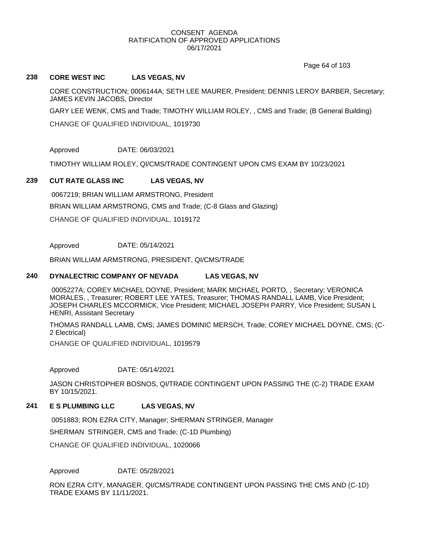Page 64 of 103

#### **238 CORE WEST INC LAS VEGAS, NV**

CORE CONSTRUCTION; 0006144A; SETH LEE MAURER, President; DENNIS LEROY BARBER, Secretary; JAMES KEVIN JACOBS, Director

GARY LEE WENK, CMS and Trade; TIMOTHY WILLIAM ROLEY, , CMS and Trade; (B General Building)

CHANGE OF QUALIFIED INDIVIDUAL, 1019730

Approved DATE: 06/03/2021

TIMOTHY WILLIAM ROLEY, QI/CMS/TRADE CONTINGENT UPON CMS EXAM BY 10/23/2021

#### **239 CUT RATE GLASS INC LAS VEGAS, NV**

0067219; BRIAN WILLIAM ARMSTRONG, President BRIAN WILLIAM ARMSTRONG, CMS and Trade; (C-8 Glass and Glazing) CHANGE OF QUALIFIED INDIVIDUAL, 1019172

Approved DATE: 05/14/2021

BRIAN WILLIAM ARMSTRONG, PRESIDENT, QI/CMS/TRADE

#### **240 DYNALECTRIC COMPANY OF NEVADA LAS VEGAS, NV**

0005227A; COREY MICHAEL DOYNE, President; MARK MICHAEL PORTO, , Secretary; VERONICA MORALES, , Treasurer; ROBERT LEE YATES, Treasurer; THOMAS RANDALL LAMB, Vice President; JOSEPH CHARLES MCCORMICK, Vice President; MICHAEL JOSEPH PARRY, Vice President; SUSAN L HENRI, Assistant Secretary

THOMAS RANDALL LAMB, CMS; JAMES DOMINIC MERSCH, Trade; COREY MICHAEL DOYNE, CMS; (C-2 Electrical)

CHANGE OF QUALIFIED INDIVIDUAL, 1019579

Approved DATE: 05/14/2021

JASON CHRISTOPHER BOSNOS, QI/TRADE CONTINGENT UPON PASSING THE (C-2) TRADE EXAM BY 10/15/2021.

## **241 E S PLUMBING LLC LAS VEGAS, NV**

0051883; RON EZRA CITY, Manager; SHERMAN STRINGER, Manager

SHERMAN STRINGER, CMS and Trade; (C-1D Plumbing)

CHANGE OF QUALIFIED INDIVIDUAL, 1020066

Approved DATE: 05/28/2021

RON EZRA CITY, MANAGER, QI/CMS/TRADE CONTINGENT UPON PASSING THE CMS AND (C-1D) TRADE EXAMS BY 11/11/2021.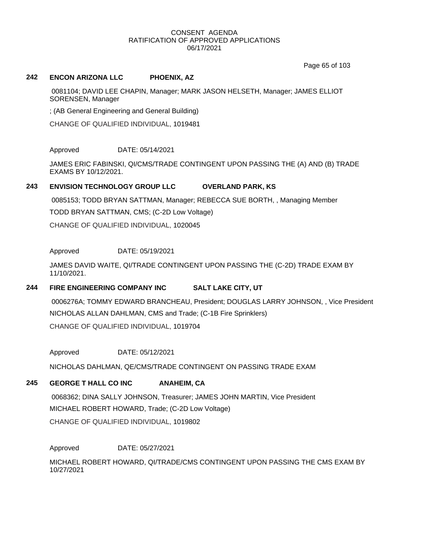Page 65 of 103

#### **242 ENCON ARIZONA LLC PHOENIX, AZ**

0081104; DAVID LEE CHAPIN, Manager; MARK JASON HELSETH, Manager; JAMES ELLIOT SORENSEN, Manager

; (AB General Engineering and General Building)

CHANGE OF QUALIFIED INDIVIDUAL, 1019481

Approved DATE: 05/14/2021

JAMES ERIC FABINSKI, QI/CMS/TRADE CONTINGENT UPON PASSING THE (A) AND (B) TRADE EXAMS BY 10/12/2021.

## **243 ENVISION TECHNOLOGY GROUP LLC OVERLAND PARK, KS**

0085153; TODD BRYAN SATTMAN, Manager; REBECCA SUE BORTH, , Managing Member TODD BRYAN SATTMAN, CMS; (C-2D Low Voltage) CHANGE OF QUALIFIED INDIVIDUAL, 1020045

Approved DATE: 05/19/2021

JAMES DAVID WAITE, QI/TRADE CONTINGENT UPON PASSING THE (C-2D) TRADE EXAM BY 11/10/2021.

## **244 FIRE ENGINEERING COMPANY INC SALT LAKE CITY, UT**

0006276A; TOMMY EDWARD BRANCHEAU, President; DOUGLAS LARRY JOHNSON, , Vice President NICHOLAS ALLAN DAHLMAN, CMS and Trade; (C-1B Fire Sprinklers) CHANGE OF QUALIFIED INDIVIDUAL, 1019704

Approved DATE: 05/12/2021

NICHOLAS DAHLMAN, QE/CMS/TRADE CONTINGENT ON PASSING TRADE EXAM

## **245 GEORGE T HALL CO INC ANAHEIM, CA**

0068362; DINA SALLY JOHNSON, Treasurer; JAMES JOHN MARTIN, Vice President MICHAEL ROBERT HOWARD, Trade; (C-2D Low Voltage)

CHANGE OF QUALIFIED INDIVIDUAL, 1019802

## Approved DATE: 05/27/2021

MICHAEL ROBERT HOWARD, QI/TRADE/CMS CONTINGENT UPON PASSING THE CMS EXAM BY 10/27/2021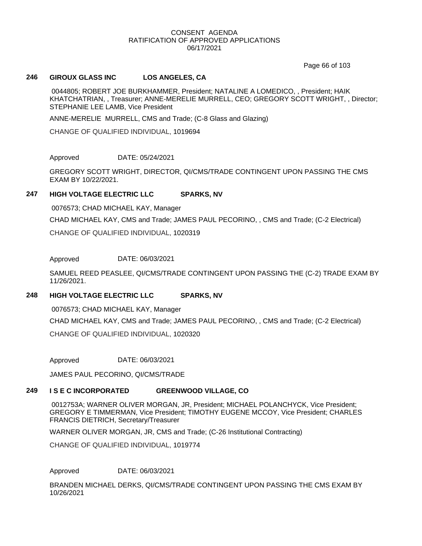Page 66 of 103

#### **246 GIROUX GLASS INC LOS ANGELES, CA**

0044805; ROBERT JOE BURKHAMMER, President; NATALINE A LOMEDICO, , President; HAIK KHATCHATRIAN, , Treasurer; ANNE-MERELIE MURRELL, CEO; GREGORY SCOTT WRIGHT, , Director; STEPHANIE LEE LAMB, Vice President

ANNE-MERELIE MURRELL, CMS and Trade; (C-8 Glass and Glazing)

CHANGE OF QUALIFIED INDIVIDUAL, 1019694

Approved DATE: 05/24/2021

GREGORY SCOTT WRIGHT, DIRECTOR, QI/CMS/TRADE CONTINGENT UPON PASSING THE CMS EXAM BY 10/22/2021.

### **247 HIGH VOLTAGE ELECTRIC LLC SPARKS, NV**

0076573; CHAD MICHAEL KAY, Manager CHAD MICHAEL KAY, CMS and Trade; JAMES PAUL PECORINO, , CMS and Trade; (C-2 Electrical) CHANGE OF QUALIFIED INDIVIDUAL, 1020319

Approved DATE: 06/03/2021

SAMUEL REED PEASLEE, QI/CMS/TRADE CONTINGENT UPON PASSING THE (C-2) TRADE EXAM BY 11/26/2021.

#### **248 HIGH VOLTAGE ELECTRIC LLC SPARKS, NV**

0076573; CHAD MICHAEL KAY, Manager CHAD MICHAEL KAY, CMS and Trade; JAMES PAUL PECORINO, , CMS and Trade; (C-2 Electrical) CHANGE OF QUALIFIED INDIVIDUAL, 1020320

Approved DATE: 06/03/2021

JAMES PAUL PECORINO, QI/CMS/TRADE

## **249 I S E C INCORPORATED GREENWOOD VILLAGE, CO**

0012753A; WARNER OLIVER MORGAN, JR, President; MICHAEL POLANCHYCK, Vice President; GREGORY E TIMMERMAN, Vice President; TIMOTHY EUGENE MCCOY, Vice President; CHARLES FRANCIS DIETRICH, Secretary/Treasurer

WARNER OLIVER MORGAN, JR, CMS and Trade; (C-26 Institutional Contracting)

CHANGE OF QUALIFIED INDIVIDUAL, 1019774

Approved DATE: 06/03/2021

BRANDEN MICHAEL DERKS, QI/CMS/TRADE CONTINGENT UPON PASSING THE CMS EXAM BY 10/26/2021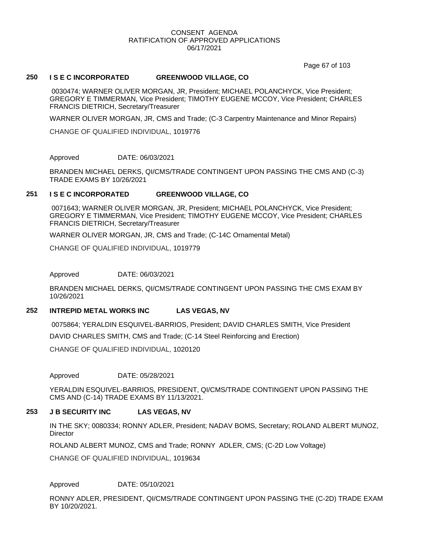Page 67 of 103

#### **250 I S E C INCORPORATED GREENWOOD VILLAGE, CO**

0030474; WARNER OLIVER MORGAN, JR, President; MICHAEL POLANCHYCK, Vice President; GREGORY E TIMMERMAN, Vice President; TIMOTHY EUGENE MCCOY, Vice President; CHARLES FRANCIS DIETRICH, Secretary/Treasurer

WARNER OLIVER MORGAN, JR, CMS and Trade; (C-3 Carpentry Maintenance and Minor Repairs)

CHANGE OF QUALIFIED INDIVIDUAL, 1019776

Approved DATE: 06/03/2021

BRANDEN MICHAEL DERKS, QI/CMS/TRADE CONTINGENT UPON PASSING THE CMS AND (C-3) TRADE EXAMS BY 10/26/2021

#### **251 I S E C INCORPORATED GREENWOOD VILLAGE, CO**

0071643; WARNER OLIVER MORGAN, JR, President; MICHAEL POLANCHYCK, Vice President; GREGORY E TIMMERMAN, Vice President; TIMOTHY EUGENE MCCOY, Vice President; CHARLES FRANCIS DIETRICH, Secretary/Treasurer

WARNER OLIVER MORGAN, JR, CMS and Trade; (C-14C Ornamental Metal)

CHANGE OF QUALIFIED INDIVIDUAL, 1019779

Approved DATE: 06/03/2021

BRANDEN MICHAEL DERKS, QI/CMS/TRADE CONTINGENT UPON PASSING THE CMS EXAM BY 10/26/2021

#### **252 INTREPID METAL WORKS INC LAS VEGAS, NV**

0075864; YERALDIN ESQUIVEL-BARRIOS, President; DAVID CHARLES SMITH, Vice President

DAVID CHARLES SMITH, CMS and Trade; (C-14 Steel Reinforcing and Erection)

CHANGE OF QUALIFIED INDIVIDUAL, 1020120

Approved DATE: 05/28/2021

YERALDIN ESQUIVEL-BARRIOS, PRESIDENT, QI/CMS/TRADE CONTINGENT UPON PASSING THE CMS AND (C-14) TRADE EXAMS BY 11/13/2021.

#### **253 J B SECURITY INC LAS VEGAS, NV**

IN THE SKY; 0080334; RONNY ADLER, President; NADAV BOMS, Secretary; ROLAND ALBERT MUNOZ, **Director** 

ROLAND ALBERT MUNOZ, CMS and Trade; RONNY ADLER, CMS; (C-2D Low Voltage)

CHANGE OF QUALIFIED INDIVIDUAL, 1019634

Approved DATE: 05/10/2021

RONNY ADLER, PRESIDENT, QI/CMS/TRADE CONTINGENT UPON PASSING THE (C-2D) TRADE EXAM BY 10/20/2021.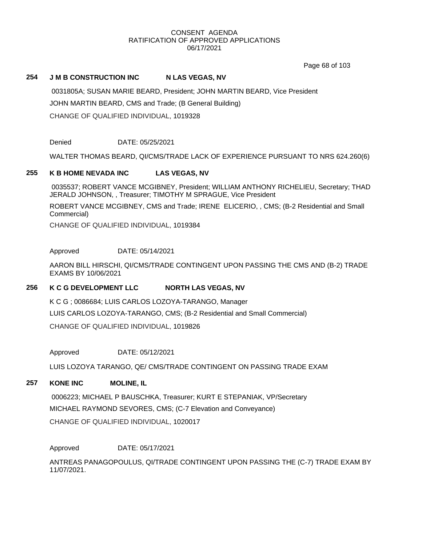Page 68 of 103

### 254 **J M B CONSTRUCTION INC N LAS VEGAS, NV**

0031805A; SUSAN MARIE BEARD, President; JOHN MARTIN BEARD, Vice President JOHN MARTIN BEARD, CMS and Trade; (B General Building) CHANGE OF QUALIFIED INDIVIDUAL, 1019328

Denied DATE: 05/25/2021

WALTER THOMAS BEARD, QI/CMS/TRADE LACK OF EXPERIENCE PURSUANT TO NRS 624.260(6)

#### **255 K B HOME NEVADA INC LAS VEGAS, NV**

0035537; ROBERT VANCE MCGIBNEY, President; WILLIAM ANTHONY RICHELIEU, Secretary; THAD JERALD JOHNSON, , Treasurer; TIMOTHY M SPRAGUE, Vice President

ROBERT VANCE MCGIBNEY, CMS and Trade; IRENE ELICERIO, , CMS; (B-2 Residential and Small Commercial)

CHANGE OF QUALIFIED INDIVIDUAL, 1019384

Approved DATE: 05/14/2021

AARON BILL HIRSCHI, QI/CMS/TRADE CONTINGENT UPON PASSING THE CMS AND (B-2) TRADE EXAMS BY 10/06/2021

#### **256 K C G DEVELOPMENT LLC NORTH LAS VEGAS, NV**

K C G ; 0086684; LUIS CARLOS LOZOYA-TARANGO, Manager LUIS CARLOS LOZOYA-TARANGO, CMS; (B-2 Residential and Small Commercial) CHANGE OF QUALIFIED INDIVIDUAL, 1019826

Approved DATE: 05/12/2021

LUIS LOZOYA TARANGO, QE/ CMS/TRADE CONTINGENT ON PASSING TRADE EXAM

## **257 KONE INC MOLINE, IL**

0006223; MICHAEL P BAUSCHKA, Treasurer; KURT E STEPANIAK, VP/Secretary MICHAEL RAYMOND SEVORES, CMS; (C-7 Elevation and Conveyance)

CHANGE OF QUALIFIED INDIVIDUAL, 1020017

Approved DATE: 05/17/2021

ANTREAS PANAGOPOULUS, QI/TRADE CONTINGENT UPON PASSING THE (C-7) TRADE EXAM BY 11/07/2021.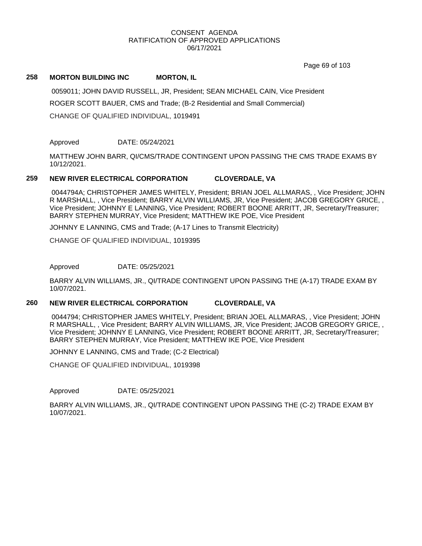Page 69 of 103

#### **258 MORTON BUILDING INC MORTON, IL**

0059011; JOHN DAVID RUSSELL, JR, President; SEAN MICHAEL CAIN, Vice President ROGER SCOTT BAUER, CMS and Trade; (B-2 Residential and Small Commercial) CHANGE OF QUALIFIED INDIVIDUAL, 1019491

#### Approved DATE: 05/24/2021

MATTHEW JOHN BARR, QI/CMS/TRADE CONTINGENT UPON PASSING THE CMS TRADE EXAMS BY 10/12/2021.

### **259 NEW RIVER ELECTRICAL CORPORATION CLOVERDALE, VA**

0044794A; CHRISTOPHER JAMES WHITELY, President; BRIAN JOEL ALLMARAS, , Vice President; JOHN R MARSHALL, , Vice President; BARRY ALVIN WILLIAMS, JR, Vice President; JACOB GREGORY GRICE, , Vice President; JOHNNY E LANNING, Vice President; ROBERT BOONE ARRITT, JR, Secretary/Treasurer; BARRY STEPHEN MURRAY, Vice President; MATTHEW IKE POE, Vice President

JOHNNY E LANNING, CMS and Trade; (A-17 Lines to Transmit Electricity)

CHANGE OF QUALIFIED INDIVIDUAL, 1019395

Approved DATE: 05/25/2021

BARRY ALVIN WILLIAMS, JR., QI/TRADE CONTINGENT UPON PASSING THE (A-17) TRADE EXAM BY 10/07/2021.

## **260 NEW RIVER ELECTRICAL CORPORATION CLOVERDALE, VA**

0044794; CHRISTOPHER JAMES WHITELY, President; BRIAN JOEL ALLMARAS, , Vice President; JOHN R MARSHALL, , Vice President; BARRY ALVIN WILLIAMS, JR, Vice President; JACOB GREGORY GRICE, , Vice President; JOHNNY E LANNING, Vice President; ROBERT BOONE ARRITT, JR, Secretary/Treasurer; BARRY STEPHEN MURRAY, Vice President; MATTHEW IKE POE, Vice President

JOHNNY E LANNING, CMS and Trade; (C-2 Electrical)

CHANGE OF QUALIFIED INDIVIDUAL, 1019398

Approved DATE: 05/25/2021

BARRY ALVIN WILLIAMS, JR., QI/TRADE CONTINGENT UPON PASSING THE (C-2) TRADE EXAM BY 10/07/2021.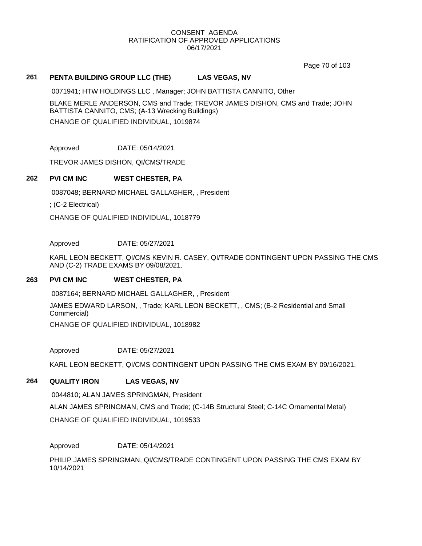Page 70 of 103

## **261 PENTA BUILDING GROUP LLC (THE) LAS VEGAS, NV**

0071941; HTW HOLDINGS LLC , Manager; JOHN BATTISTA CANNITO, Other

BLAKE MERLE ANDERSON, CMS and Trade; TREVOR JAMES DISHON, CMS and Trade; JOHN BATTISTA CANNITO, CMS; (A-13 Wrecking Buildings)

CHANGE OF QUALIFIED INDIVIDUAL, 1019874

Approved DATE: 05/14/2021

TREVOR JAMES DISHON, QI/CMS/TRADE

## **262 PVI CM INC WEST CHESTER, PA**

0087048; BERNARD MICHAEL GALLAGHER, , President

; (C-2 Electrical)

CHANGE OF QUALIFIED INDIVIDUAL, 1018779

#### Approved DATE: 05/27/2021

KARL LEON BECKETT, QI/CMS KEVIN R. CASEY, QI/TRADE CONTINGENT UPON PASSING THE CMS AND (C-2) TRADE EXAMS BY 09/08/2021.

#### **263 PVI CM INC WEST CHESTER, PA**

0087164; BERNARD MICHAEL GALLAGHER, , President

JAMES EDWARD LARSON, , Trade; KARL LEON BECKETT, , CMS; (B-2 Residential and Small Commercial)

CHANGE OF QUALIFIED INDIVIDUAL, 1018982

Approved DATE: 05/27/2021

KARL LEON BECKETT, QI/CMS CONTINGENT UPON PASSING THE CMS EXAM BY 09/16/2021.

#### **264 QUALITY IRON LAS VEGAS, NV**

0044810; ALAN JAMES SPRINGMAN, President ALAN JAMES SPRINGMAN, CMS and Trade; (C-14B Structural Steel; C-14C Ornamental Metal)

CHANGE OF QUALIFIED INDIVIDUAL, 1019533

#### Approved DATE: 05/14/2021

PHILIP JAMES SPRINGMAN, QI/CMS/TRADE CONTINGENT UPON PASSING THE CMS EXAM BY 10/14/2021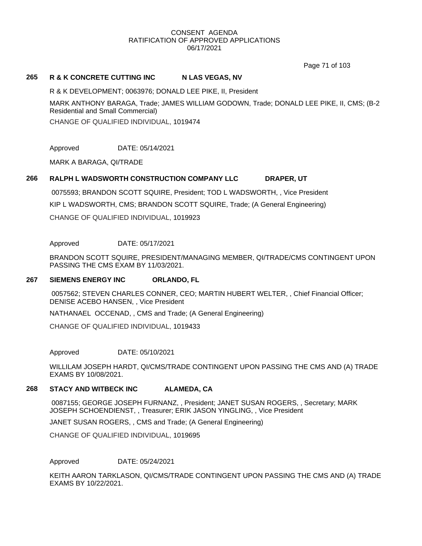Page 71 of 103

### 265 R & K CONCRETE CUTTING INC N LAS VEGAS, NV

R & K DEVELOPMENT; 0063976; DONALD LEE PIKE, II, President

MARK ANTHONY BARAGA, Trade; JAMES WILLIAM GODOWN, Trade; DONALD LEE PIKE, II, CMS; (B-2 Residential and Small Commercial)

CHANGE OF QUALIFIED INDIVIDUAL, 1019474

Approved DATE: 05/14/2021

MARK A BARAGA, QI/TRADE

## **266 RALPH L WADSWORTH CONSTRUCTION COMPANY LLC DRAPER, UT**

0075593; BRANDON SCOTT SQUIRE, President; TOD L WADSWORTH, , Vice President KIP L WADSWORTH, CMS; BRANDON SCOTT SQUIRE, Trade; (A General Engineering) CHANGE OF QUALIFIED INDIVIDUAL, 1019923

Approved DATE: 05/17/2021

BRANDON SCOTT SQUIRE, PRESIDENT/MANAGING MEMBER, QI/TRADE/CMS CONTINGENT UPON PASSING THE CMS EXAM BY 11/03/2021.

#### **267 SIEMENS ENERGY INC ORLANDO, FL**

0057562; STEVEN CHARLES CONNER, CEO; MARTIN HUBERT WELTER, , Chief Financial Officer; DENISE ACEBO HANSEN, , Vice President

NATHANAEL OCCENAD, , CMS and Trade; (A General Engineering)

CHANGE OF QUALIFIED INDIVIDUAL, 1019433

Approved DATE: 05/10/2021

WILLILAM JOSEPH HARDT, QI/CMS/TRADE CONTINGENT UPON PASSING THE CMS AND (A) TRADE EXAMS BY 10/08/2021.

#### **268 STACY AND WITBECK INC ALAMEDA, CA**

0087155; GEORGE JOSEPH FURNANZ, , President; JANET SUSAN ROGERS, , Secretary; MARK JOSEPH SCHOENDIENST, , Treasurer; ERIK JASON YINGLING, , Vice President

JANET SUSAN ROGERS, , CMS and Trade; (A General Engineering)

CHANGE OF QUALIFIED INDIVIDUAL, 1019695

Approved DATE: 05/24/2021

KEITH AARON TARKLASON, QI/CMS/TRADE CONTINGENT UPON PASSING THE CMS AND (A) TRADE EXAMS BY 10/22/2021.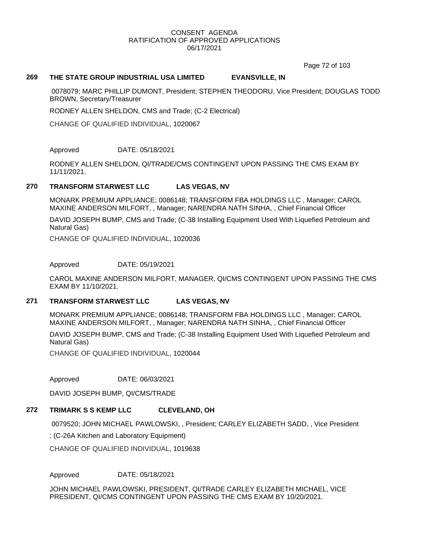Page 72 of 103

## **269 THE STATE GROUP INDUSTRIAL USA LIMITED EVANSVILLE, IN**

0078079; MARC PHILLIP DUMONT, President; STEPHEN THEODORU, Vice President; DOUGLAS TODD BROWN, Secretary/Treasurer

RODNEY ALLEN SHELDON, CMS and Trade; (C-2 Electrical)

CHANGE OF QUALIFIED INDIVIDUAL, 1020067

Approved DATE: 05/18/2021

RODNEY ALLEN SHELDON, QI/TRADE/CMS CONTINGENT UPON PASSING THE CMS EXAM BY 11/11/2021.

## **270 TRANSFORM STARWEST LLC LAS VEGAS, NV**

MONARK PREMIUM APPLIANCE; 0086148; TRANSFORM FBA HOLDINGS LLC , Manager; CAROL MAXINE ANDERSON MILFORT, , Manager; NARENDRA NATH SINHA, , Chief Financial Officer

DAVID JOSEPH BUMP, CMS and Trade; (C-38 Installing Equipment Used With Liquefied Petroleum and Natural Gas)

CHANGE OF QUALIFIED INDIVIDUAL, 1020036

Approved DATE: 05/19/2021

CAROL MAXINE ANDERSON MILFORT, MANAGER, QI/CMS CONTINGENT UPON PASSING THE CMS EXAM BY 11/10/2021.

#### **271 TRANSFORM STARWEST LLC LAS VEGAS, NV**

MONARK PREMIUM APPLIANCE; 0086148; TRANSFORM FBA HOLDINGS LLC , Manager; CAROL MAXINE ANDERSON MILFORT, , Manager; NARENDRA NATH SINHA, , Chief Financial Officer

DAVID JOSEPH BUMP, CMS and Trade; (C-38 Installing Equipment Used With Liquefied Petroleum and Natural Gas)

CHANGE OF QUALIFIED INDIVIDUAL, 1020044

Approved DATE: 06/03/2021

DAVID JOSEPH BUMP, QI/CMS/TRADE

# **272 TRIMARK S S KEMP LLC CLEVELAND, OH**

0079520; JOHN MICHAEL PAWLOWSKI, , President; CARLEY ELIZABETH SADD, , Vice President

; (C-26A Kitchen and Laboratory Equipment)

CHANGE OF QUALIFIED INDIVIDUAL, 1019638

Approved DATE: 05/18/2021

JOHN MICHAEL PAWLOWSKI, PRESIDENT, QI/TRADE CARLEY ELIZABETH MICHAEL, VICE PRESIDENT, QI/CMS CONTINGENT UPON PASSING THE CMS EXAM BY 10/20/2021.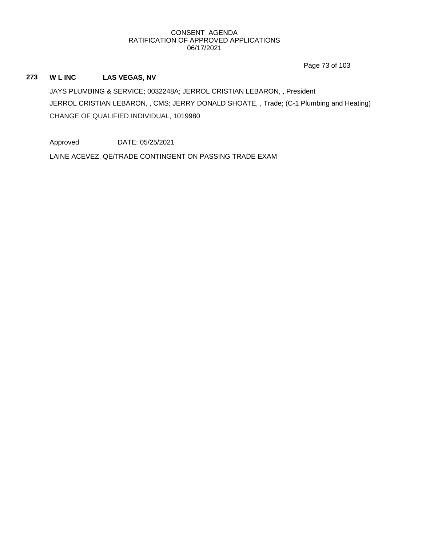Page 73 of 103

## **273 W L INC LAS VEGAS, NV**

JAYS PLUMBING & SERVICE; 0032248A; JERROL CRISTIAN LEBARON, , President JERROL CRISTIAN LEBARON, , CMS; JERRY DONALD SHOATE, , Trade; (C-1 Plumbing and Heating) CHANGE OF QUALIFIED INDIVIDUAL, 1019980

Approved DATE: 05/25/2021

LAINE ACEVEZ, QE/TRADE CONTINGENT ON PASSING TRADE EXAM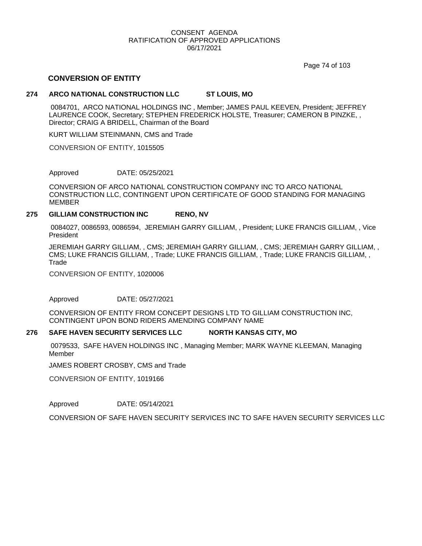Page 74 of 103

## **CONVERSION OF ENTITY**

## **274 ARCO NATIONAL CONSTRUCTION LLC ST LOUIS, MO**

0084701, ARCO NATIONAL HOLDINGS INC , Member; JAMES PAUL KEEVEN, President; JEFFREY LAURENCE COOK, Secretary; STEPHEN FREDERICK HOLSTE, Treasurer; CAMERON B PINZKE, , Director; CRAIG A BRIDELL, Chairman of the Board

KURT WILLIAM STEINMANN, CMS and Trade

CONVERSION OF ENTITY, 1015505

Approved DATE: 05/25/2021

CONVERSION OF ARCO NATIONAL CONSTRUCTION COMPANY INC TO ARCO NATIONAL CONSTRUCTION LLC, CONTINGENT UPON CERTIFICATE OF GOOD STANDING FOR MANAGING MEMBER

#### **275 GILLIAM CONSTRUCTION INC RENO, NV**

0084027, 0086593, 0086594, JEREMIAH GARRY GILLIAM, , President; LUKE FRANCIS GILLIAM, , Vice President

JEREMIAH GARRY GILLIAM, , CMS; JEREMIAH GARRY GILLIAM, , CMS; JEREMIAH GARRY GILLIAM, , CMS; LUKE FRANCIS GILLIAM, , Trade; LUKE FRANCIS GILLIAM, , Trade; LUKE FRANCIS GILLIAM, , **Trade** 

CONVERSION OF ENTITY, 1020006

Approved DATE: 05/27/2021

CONVERSION OF ENTITY FROM CONCEPT DESIGNS LTD TO GILLIAM CONSTRUCTION INC, CONTINGENT UPON BOND RIDERS AMENDING COMPANY NAME

#### **276 SAFE HAVEN SECURITY SERVICES LLC NORTH KANSAS CITY, MO**

0079533, SAFE HAVEN HOLDINGS INC , Managing Member; MARK WAYNE KLEEMAN, Managing Member

JAMES ROBERT CROSBY, CMS and Trade

CONVERSION OF ENTITY, 1019166

Approved DATE: 05/14/2021

CONVERSION OF SAFE HAVEN SECURITY SERVICES INC TO SAFE HAVEN SECURITY SERVICES LLC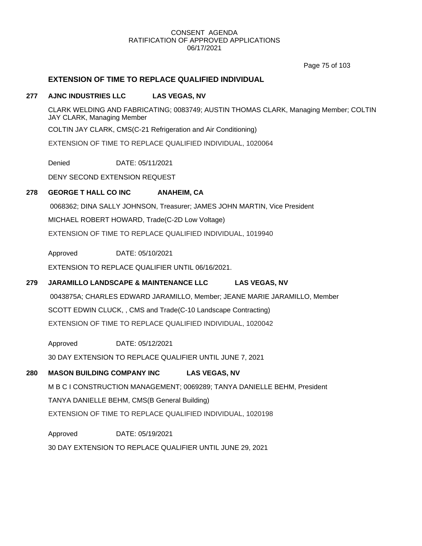Page 75 of 103

## **EXTENSION OF TIME TO REPLACE QUALIFIED INDIVIDUAL**

### **277 AJNC INDUSTRIES LLC LAS VEGAS, NV**

CLARK WELDING AND FABRICATING; 0083749; AUSTIN THOMAS CLARK, Managing Member; COLTIN JAY CLARK, Managing Member

COLTIN JAY CLARK, CMS(C-21 Refrigeration and Air Conditioning)

EXTENSION OF TIME TO REPLACE QUALIFIED INDIVIDUAL, 1020064

Denied DATE: 05/11/2021

DENY SECOND EXTENSION REQUEST

## **278 GEORGE T HALL CO INC ANAHEIM, CA**

0068362; DINA SALLY JOHNSON, Treasurer; JAMES JOHN MARTIN, Vice President MICHAEL ROBERT HOWARD, Trade(C-2D Low Voltage) EXTENSION OF TIME TO REPLACE QUALIFIED INDIVIDUAL, 1019940

Approved DATE: 05/10/2021

EXTENSION TO REPLACE QUALIFIER UNTIL 06/16/2021.

## **279 JARAMILLO LANDSCAPE & MAINTENANCE LLC LAS VEGAS, NV**

0043875A; CHARLES EDWARD JARAMILLO, Member; JEANE MARIE JARAMILLO, Member SCOTT EDWIN CLUCK, , CMS and Trade(C-10 Landscape Contracting) EXTENSION OF TIME TO REPLACE QUALIFIED INDIVIDUAL, 1020042

Approved 30 DAY EXTENSION TO REPLACE QUALIFIER UNTIL JUNE 7, 2021 DATE: 05/12/2021

## **280 MASON BUILDING COMPANY INC LAS VEGAS, NV**

M B C I CONSTRUCTION MANAGEMENT; 0069289; TANYA DANIELLE BEHM, President TANYA DANIELLE BEHM, CMS(B General Building) EXTENSION OF TIME TO REPLACE QUALIFIED INDIVIDUAL, 1020198

Approved DATE: 05/19/2021

30 DAY EXTENSION TO REPLACE QUALIFIER UNTIL JUNE 29, 2021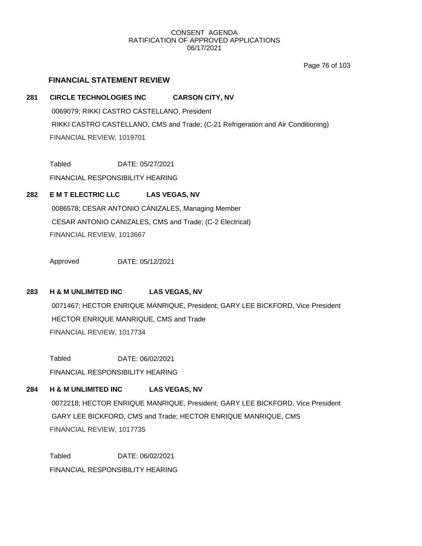Page 76 of 103

## **FINANCIAL STATEMENT REVIEW**

## **281 CIRCLE TECHNOLOGIES INC CARSON CITY, NV**

0069079; RIKKI CASTRO CASTELLANO, President RIKKI CASTRO CASTELLANO, CMS and Trade; (C-21 Refrigeration and Air Conditioning) FINANCIAL REVIEW, 1019701

Tabled DATE: 05/27/2021

FINANCIAL RESPONSIBILITY HEARING

## **282 E M T ELECTRIC LLC LAS VEGAS, NV**

0086578; CESAR ANTONIO CANIZALES, Managing Member CESAR ANTONIO CANIZALES, CMS and Trade; (C-2 Electrical) FINANCIAL REVIEW, 1013667

Approved DATE: 05/12/2021

## **283 H & M UNLIMITED INC LAS VEGAS, NV**

0071467; HECTOR ENRIQUE MANRIQUE, President; GARY LEE BICKFORD, Vice President HECTOR ENRIQUE MANRIQUE, CMS and Trade FINANCIAL REVIEW, 1017734

Tabled DATE: 06/02/2021 FINANCIAL RESPONSIBILITY HEARING

## **284 H & M UNLIMITED INC LAS VEGAS, NV**

0072218; HECTOR ENRIQUE MANRIQUE, President; GARY LEE BICKFORD, Vice President GARY LEE BICKFORD, CMS and Trade; HECTOR ENRIQUE MANRIQUE, CMS FINANCIAL REVIEW, 1017735

Tabled DATE: 06/02/2021 FINANCIAL RESPONSIBILITY HEARING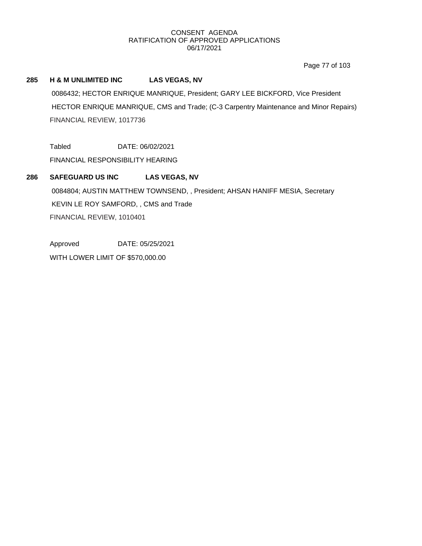Page 77 of 103

## **285 H & M UNLIMITED INC LAS VEGAS, NV**

0086432; HECTOR ENRIQUE MANRIQUE, President; GARY LEE BICKFORD, Vice President HECTOR ENRIQUE MANRIQUE, CMS and Trade; (C-3 Carpentry Maintenance and Minor Repairs) FINANCIAL REVIEW, 1017736

Tabled DATE: 06/02/2021

FINANCIAL RESPONSIBILITY HEARING

## **286 SAFEGUARD US INC LAS VEGAS, NV**

0084804; AUSTIN MATTHEW TOWNSEND, , President; AHSAN HANIFF MESIA, Secretary KEVIN LE ROY SAMFORD, , CMS and Trade FINANCIAL REVIEW, 1010401

Approved DATE: 05/25/2021

WITH LOWER LIMIT OF \$570,000.00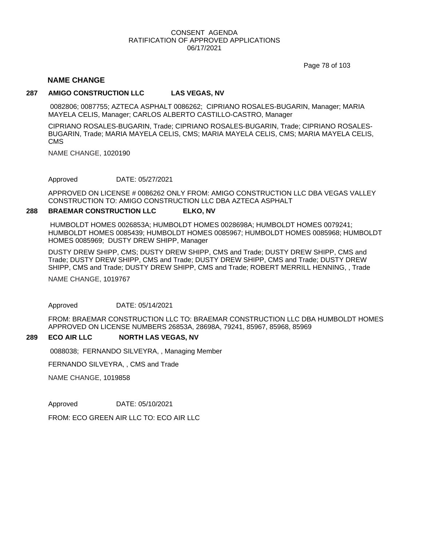Page 78 of 103

### **NAME CHANGE**

#### **287 AMIGO CONSTRUCTION LLC LAS VEGAS, NV**

0082806; 0087755; AZTECA ASPHALT 0086262; CIPRIANO ROSALES-BUGARIN, Manager; MARIA MAYELA CELIS, Manager; CARLOS ALBERTO CASTILLO-CASTRO, Manager

CIPRIANO ROSALES-BUGARIN, Trade; CIPRIANO ROSALES-BUGARIN, Trade; CIPRIANO ROSALES-BUGARIN, Trade; MARIA MAYELA CELIS, CMS; MARIA MAYELA CELIS, CMS; MARIA MAYELA CELIS, CMS

NAME CHANGE, 1020190

Approved DATE: 05/27/2021

APPROVED ON LICENSE # 0086262 ONLY FROM: AMIGO CONSTRUCTION LLC DBA VEGAS VALLEY CONSTRUCTION TO: AMIGO CONSTRUCTION LLC DBA AZTECA ASPHALT

#### **288 BRAEMAR CONSTRUCTION LLC ELKO, NV**

HUMBOLDT HOMES 0026853A; HUMBOLDT HOMES 0028698A; HUMBOLDT HOMES 0079241; HUMBOLDT HOMES 0085439; HUMBOLDT HOMES 0085967; HUMBOLDT HOMES 0085968; HUMBOLDT HOMES 0085969; DUSTY DREW SHIPP, Manager

DUSTY DREW SHIPP, CMS; DUSTY DREW SHIPP, CMS and Trade; DUSTY DREW SHIPP, CMS and Trade; DUSTY DREW SHIPP, CMS and Trade; DUSTY DREW SHIPP, CMS and Trade; DUSTY DREW SHIPP, CMS and Trade; DUSTY DREW SHIPP, CMS and Trade; ROBERT MERRILL HENNING, , Trade

NAME CHANGE, 1019767

Approved DATE: 05/14/2021

FROM: BRAEMAR CONSTRUCTION LLC TO: BRAEMAR CONSTRUCTION LLC DBA HUMBOLDT HOMES APPROVED ON LICENSE NUMBERS 26853A, 28698A, 79241, 85967, 85968, 85969

#### **289 ECO AIR LLC NORTH LAS VEGAS, NV**

0088038; FERNANDO SILVEYRA, , Managing Member

FERNANDO SILVEYRA, , CMS and Trade

NAME CHANGE, 1019858

Approved DATE: 05/10/2021

FROM: ECO GREEN AIR LLC TO: ECO AIR LLC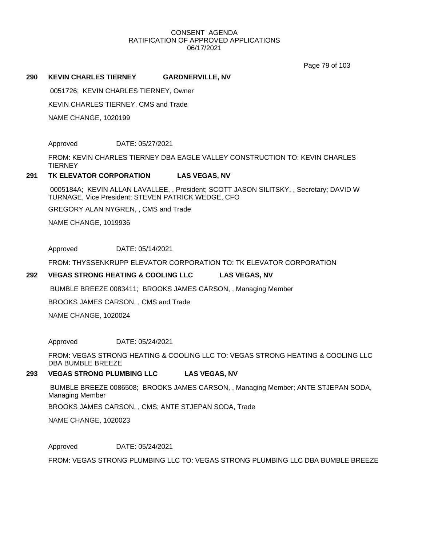Page 79 of 103

#### **290 KEVIN CHARLES TIERNEY GARDNERVILLE, NV**

0051726; KEVIN CHARLES TIERNEY, Owner

KEVIN CHARLES TIERNEY, CMS and Trade

NAME CHANGE, 1020199

Approved DATE: 05/27/2021

FROM: KEVIN CHARLES TIERNEY DBA EAGLE VALLEY CONSTRUCTION TO: KEVIN CHARLES **TIERNEY** 

#### **291 TK ELEVATOR CORPORATION LAS VEGAS, NV**

0005184A; KEVIN ALLAN LAVALLEE, , President; SCOTT JASON SILITSKY, , Secretary; DAVID W TURNAGE, Vice President; STEVEN PATRICK WEDGE, CFO

GREGORY ALAN NYGREN, , CMS and Trade

NAME CHANGE, 1019936

Approved DATE: 05/14/2021

FROM: THYSSENKRUPP ELEVATOR CORPORATION TO: TK ELEVATOR CORPORATION

#### **292 VEGAS STRONG HEATING & COOLING LLC LAS VEGAS, NV**

BUMBLE BREEZE 0083411; BROOKS JAMES CARSON, , Managing Member

BROOKS JAMES CARSON, , CMS and Trade

NAME CHANGE, 1020024

Approved DATE: 05/24/2021

FROM: VEGAS STRONG HEATING & COOLING LLC TO: VEGAS STRONG HEATING & COOLING LLC DBA BUMBLE BREEZE

#### **293 VEGAS STRONG PLUMBING LLC LAS VEGAS, NV**

BUMBLE BREEZE 0086508; BROOKS JAMES CARSON, , Managing Member; ANTE STJEPAN SODA, Managing Member

BROOKS JAMES CARSON, , CMS; ANTE STJEPAN SODA, Trade

NAME CHANGE, 1020023

Approved DATE: 05/24/2021

FROM: VEGAS STRONG PLUMBING LLC TO: VEGAS STRONG PLUMBING LLC DBA BUMBLE BREEZE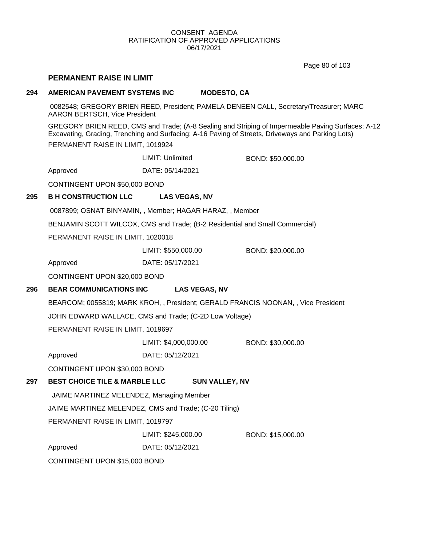Page 80 of 103

## **PERMANENT RAISE IN LIMIT**

#### **294 AMERICAN PAVEMENT SYSTEMS INC MODESTO, CA**

0082548; GREGORY BRIEN REED, President; PAMELA DENEEN CALL, Secretary/Treasurer; MARC AARON BERTSCH, Vice President

GREGORY BRIEN REED, CMS and Trade; (A-8 Sealing and Striping of Impermeable Paving Surfaces; A-12 Excavating, Grading, Trenching and Surfacing; A-16 Paving of Streets, Driveways and Parking Lots) PERMANENT RAISE IN LIMIT, 1019924

LIMIT: Unlimited BOND: \$50,000.00

Approved DATE: 05/14/2021

CONTINGENT UPON \$50,000 BOND

## **295 B H CONSTRUCTION LLC LAS VEGAS, NV**

0087899; OSNAT BINYAMIN, , Member; HAGAR HARAZ, , Member

BENJAMIN SCOTT WILCOX, CMS and Trade; (B-2 Residential and Small Commercial)

PERMANENT RAISE IN LIMIT, 1020018

LIMIT: \$550,000.00 BOND: \$20,000.00

Approved DATE: 05/17/2021

CONTINGENT UPON \$20,000 BOND

#### **296 BEAR COMMUNICATIONS INC LAS VEGAS, NV**

BEARCOM; 0055819; MARK KROH, , President; GERALD FRANCIS NOONAN, , Vice President

JOHN EDWARD WALLACE, CMS and Trade; (C-2D Low Voltage)

PERMANENT RAISE IN LIMIT, 1019697

LIMIT: \$4,000,000.00 BOND: \$30,000.00

Approved DATE: 05/12/2021

CONTINGENT UPON \$30,000 BOND

### **297 BEST CHOICE TILE & MARBLE LLC SUN VALLEY, NV**

JAIME MARTINEZ MELENDEZ, Managing Member

JAIME MARTINEZ MELENDEZ, CMS and Trade; (C-20 Tiling)

PERMANENT RAISE IN LIMIT, 1019797

LIMIT: \$245,000.00 BOND: \$15,000.00

Approved DATE: 05/12/2021

CONTINGENT UPON \$15,000 BOND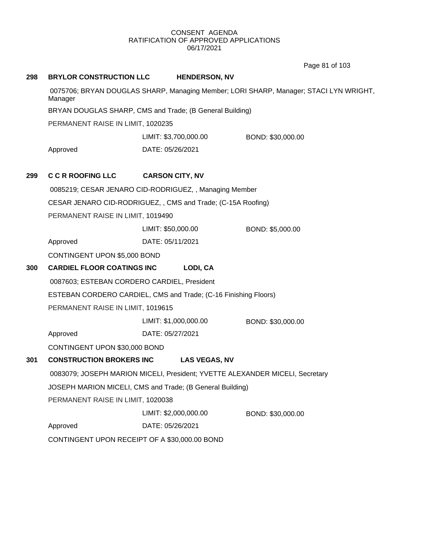Page 81 of 103

| 298                                                                                                                                                                            | <b>BRYLOR CONSTRUCTION LLC</b>                                                                       |                    | <b>HENDERSON, NV</b>   |                   |  |
|--------------------------------------------------------------------------------------------------------------------------------------------------------------------------------|------------------------------------------------------------------------------------------------------|--------------------|------------------------|-------------------|--|
|                                                                                                                                                                                | 0075706; BRYAN DOUGLAS SHARP, Managing Member; LORI SHARP, Manager; STACI LYN WRIGHT,<br>Manager     |                    |                        |                   |  |
|                                                                                                                                                                                | BRYAN DOUGLAS SHARP, CMS and Trade; (B General Building)                                             |                    |                        |                   |  |
| PERMANENT RAISE IN LIMIT, 1020235                                                                                                                                              |                                                                                                      |                    |                        |                   |  |
|                                                                                                                                                                                |                                                                                                      |                    | LIMIT: \$3,700,000.00  | BOND: \$30,000.00 |  |
|                                                                                                                                                                                | Approved                                                                                             | DATE: 05/26/2021   |                        |                   |  |
| 299                                                                                                                                                                            | <b>C C R ROOFING LLC</b>                                                                             |                    | <b>CARSON CITY, NV</b> |                   |  |
|                                                                                                                                                                                | 0085219; CESAR JENARO CID-RODRIGUEZ, , Managing Member                                               |                    |                        |                   |  |
| CESAR JENARO CID-RODRIGUEZ, , CMS and Trade; (C-15A Roofing)                                                                                                                   |                                                                                                      |                    |                        |                   |  |
| PERMANENT RAISE IN LIMIT, 1019490                                                                                                                                              |                                                                                                      |                    |                        |                   |  |
|                                                                                                                                                                                |                                                                                                      | LIMIT: \$50,000.00 |                        | BOND: \$5,000.00  |  |
|                                                                                                                                                                                | Approved                                                                                             | DATE: 05/11/2021   |                        |                   |  |
|                                                                                                                                                                                | CONTINGENT UPON \$5,000 BOND                                                                         |                    |                        |                   |  |
| 300                                                                                                                                                                            | <b>CARDIEL FLOOR COATINGS INC</b>                                                                    |                    | LODI, CA               |                   |  |
|                                                                                                                                                                                | 0087603; ESTEBAN CORDERO CARDIEL, President                                                          |                    |                        |                   |  |
|                                                                                                                                                                                | ESTEBAN CORDERO CARDIEL, CMS and Trade; (C-16 Finishing Floors)<br>PERMANENT RAISE IN LIMIT, 1019615 |                    |                        |                   |  |
|                                                                                                                                                                                |                                                                                                      |                    |                        |                   |  |
|                                                                                                                                                                                |                                                                                                      |                    | LIMIT: \$1,000,000.00  | BOND: \$30,000.00 |  |
|                                                                                                                                                                                | Approved                                                                                             | DATE: 05/27/2021   |                        |                   |  |
|                                                                                                                                                                                | CONTINGENT UPON \$30,000 BOND                                                                        |                    |                        |                   |  |
| 301                                                                                                                                                                            | <b>CONSTRUCTION BROKERS INC</b>                                                                      |                    | <b>LAS VEGAS, NV</b>   |                   |  |
| 0083079; JOSEPH MARION MICELI, President; YVETTE ALEXANDER MICELI, Secretary<br>JOSEPH MARION MICELI, CMS and Trade; (B General Building)<br>PERMANENT RAISE IN LIMIT, 1020038 |                                                                                                      |                    |                        |                   |  |
|                                                                                                                                                                                |                                                                                                      |                    |                        |                   |  |
|                                                                                                                                                                                |                                                                                                      |                    |                        |                   |  |
|                                                                                                                                                                                |                                                                                                      |                    | LIMIT: \$2,000,000.00  | BOND: \$30,000.00 |  |
|                                                                                                                                                                                | Approved                                                                                             | DATE: 05/26/2021   |                        |                   |  |
|                                                                                                                                                                                | CONTINGENT UPON RECEIPT OF A \$30,000.00 BOND                                                        |                    |                        |                   |  |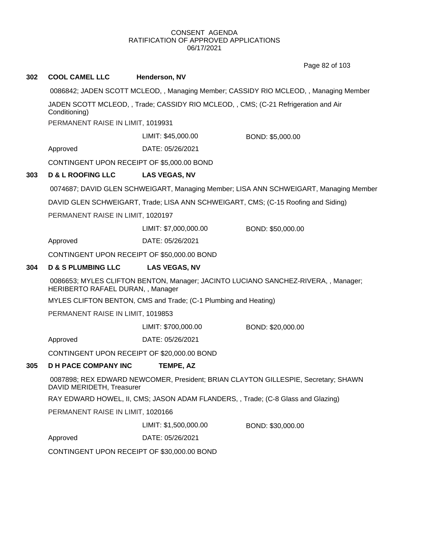Page 82 of 103

|     |                                                                                                                 |                                                                                       | Page 82 or 103                                                                        |  |  |  |
|-----|-----------------------------------------------------------------------------------------------------------------|---------------------------------------------------------------------------------------|---------------------------------------------------------------------------------------|--|--|--|
| 302 | <b>COOL CAMEL LLC</b>                                                                                           | Henderson, NV                                                                         |                                                                                       |  |  |  |
|     |                                                                                                                 | 0086842; JADEN SCOTT MCLEOD, , Managing Member; CASSIDY RIO MCLEOD, , Managing Member |                                                                                       |  |  |  |
|     | Conditioning)                                                                                                   | JADEN SCOTT MCLEOD, , Trade; CASSIDY RIO MCLEOD, , CMS; (C-21 Refrigeration and Air   |                                                                                       |  |  |  |
|     | PERMANENT RAISE IN LIMIT, 1019931                                                                               |                                                                                       |                                                                                       |  |  |  |
|     |                                                                                                                 | LIMIT: \$45,000.00                                                                    | BOND: \$5,000.00                                                                      |  |  |  |
|     | Approved                                                                                                        | DATE: 05/26/2021                                                                      |                                                                                       |  |  |  |
|     | CONTINGENT UPON RECEIPT OF \$5,000.00 BOND                                                                      |                                                                                       |                                                                                       |  |  |  |
| 303 | <b>D &amp; L ROOFING LLC</b>                                                                                    | <b>LAS VEGAS, NV</b>                                                                  |                                                                                       |  |  |  |
|     |                                                                                                                 |                                                                                       | 0074687; DAVID GLEN SCHWEIGART, Managing Member; LISA ANN SCHWEIGART, Managing Member |  |  |  |
|     |                                                                                                                 |                                                                                       | DAVID GLEN SCHWEIGART, Trade; LISA ANN SCHWEIGART, CMS; (C-15 Roofing and Siding)     |  |  |  |
|     | PERMANENT RAISE IN LIMIT, 1020197                                                                               |                                                                                       |                                                                                       |  |  |  |
|     |                                                                                                                 | LIMIT: \$7,000,000.00                                                                 | BOND: \$50,000.00                                                                     |  |  |  |
|     | Approved                                                                                                        | DATE: 05/26/2021                                                                      |                                                                                       |  |  |  |
|     | CONTINGENT UPON RECEIPT OF \$50,000.00 BOND                                                                     |                                                                                       |                                                                                       |  |  |  |
| 304 | <b>D &amp; S PLUMBING LLC</b>                                                                                   | <b>LAS VEGAS, NV</b>                                                                  |                                                                                       |  |  |  |
|     | HERIBERTO RAFAEL DURAN, , Manager                                                                               |                                                                                       | 0086653; MYLES CLIFTON BENTON, Manager; JACINTO LUCIANO SANCHEZ-RIVERA, , Manager;    |  |  |  |
|     |                                                                                                                 | MYLES CLIFTON BENTON, CMS and Trade; (C-1 Plumbing and Heating)                       |                                                                                       |  |  |  |
|     | PERMANENT RAISE IN LIMIT, 1019853                                                                               |                                                                                       |                                                                                       |  |  |  |
|     |                                                                                                                 | LIMIT: \$700,000.00                                                                   | BOND: \$20,000.00                                                                     |  |  |  |
|     | Approved                                                                                                        | DATE: 05/26/2021                                                                      |                                                                                       |  |  |  |
|     | CONTINGENT UPON RECEIPT OF \$20,000.00 BOND                                                                     |                                                                                       |                                                                                       |  |  |  |
| 305 | <b>D H PACE COMPANY INC</b>                                                                                     | TEMPE, AZ                                                                             |                                                                                       |  |  |  |
|     | 0087898; REX EDWARD NEWCOMER, President; BRIAN CLAYTON GILLESPIE, Secretary; SHAWN<br>DAVID MERIDETH, Treasurer |                                                                                       |                                                                                       |  |  |  |
|     | RAY EDWARD HOWEL, II, CMS; JASON ADAM FLANDERS, , Trade; (C-8 Glass and Glazing)                                |                                                                                       |                                                                                       |  |  |  |
|     | PERMANENT RAISE IN LIMIT, 1020166                                                                               |                                                                                       |                                                                                       |  |  |  |
|     |                                                                                                                 | LIMIT: \$1,500,000.00                                                                 | BOND: \$30,000.00                                                                     |  |  |  |
|     | Approved                                                                                                        | DATE: 05/26/2021                                                                      |                                                                                       |  |  |  |
|     | CONTINGENT UPON RECEIPT OF \$30,000.00 BOND                                                                     |                                                                                       |                                                                                       |  |  |  |
|     |                                                                                                                 |                                                                                       |                                                                                       |  |  |  |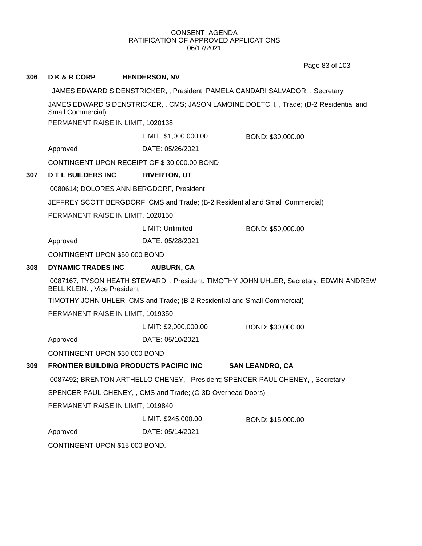Page 83 of 103

| 306                                                                       | <b>DK&amp;RCORP</b>                                                                                                           | <b>HENDERSON, NV</b>                           |                        |  |  |
|---------------------------------------------------------------------------|-------------------------------------------------------------------------------------------------------------------------------|------------------------------------------------|------------------------|--|--|
|                                                                           | JAMES EDWARD SIDENSTRICKER,, President; PAMELA CANDARI SALVADOR,, Secretary                                                   |                                                |                        |  |  |
|                                                                           | JAMES EDWARD SIDENSTRICKER,, CMS; JASON LAMOINE DOETCH,, Trade; (B-2 Residential and<br>Small Commercial)                     |                                                |                        |  |  |
|                                                                           | PERMANENT RAISE IN LIMIT, 1020138                                                                                             |                                                |                        |  |  |
|                                                                           |                                                                                                                               | LIMIT: \$1,000,000.00                          | BOND: \$30,000.00      |  |  |
|                                                                           | Approved                                                                                                                      | DATE: 05/26/2021                               |                        |  |  |
|                                                                           |                                                                                                                               | CONTINGENT UPON RECEIPT OF \$30,000.00 BOND    |                        |  |  |
| 307                                                                       | <b>D T L BUILDERS INC</b>                                                                                                     | <b>RIVERTON, UT</b>                            |                        |  |  |
|                                                                           |                                                                                                                               | 0080614; DOLORES ANN BERGDORF, President       |                        |  |  |
|                                                                           | JEFFREY SCOTT BERGDORF, CMS and Trade; (B-2 Residential and Small Commercial)                                                 |                                                |                        |  |  |
|                                                                           | PERMANENT RAISE IN LIMIT, 1020150                                                                                             |                                                |                        |  |  |
|                                                                           |                                                                                                                               | LIMIT: Unlimited                               | BOND: \$50,000.00      |  |  |
|                                                                           | Approved                                                                                                                      | DATE: 05/28/2021                               |                        |  |  |
|                                                                           | CONTINGENT UPON \$50,000 BOND                                                                                                 |                                                |                        |  |  |
| 308                                                                       | <b>DYNAMIC TRADES INC</b>                                                                                                     | <b>AUBURN, CA</b>                              |                        |  |  |
|                                                                           | 0087167; TYSON HEATH STEWARD, , President; TIMOTHY JOHN UHLER, Secretary; EDWIN ANDREW<br><b>BELL KLEIN, , Vice President</b> |                                                |                        |  |  |
| TIMOTHY JOHN UHLER, CMS and Trade; (B-2 Residential and Small Commercial) |                                                                                                                               |                                                |                        |  |  |
| PERMANENT RAISE IN LIMIT, 1019350                                         |                                                                                                                               |                                                |                        |  |  |
|                                                                           |                                                                                                                               | LIMIT: \$2,000,000.00                          | BOND: \$30,000.00      |  |  |
|                                                                           | Approved                                                                                                                      | DATE: 05/10/2021                               |                        |  |  |
|                                                                           | CONTINGENT UPON \$30,000 BOND                                                                                                 |                                                |                        |  |  |
| 309                                                                       |                                                                                                                               | <b>FRONTIER BUILDING PRODUCTS PACIFIC INC.</b> | <b>SAN LEANDRO, CA</b> |  |  |
|                                                                           | 0087492; BRENTON ARTHELLO CHENEY, , President; SPENCER PAUL CHENEY, , Secretary                                               |                                                |                        |  |  |
|                                                                           | SPENCER PAUL CHENEY, , CMS and Trade; (C-3D Overhead Doors)                                                                   |                                                |                        |  |  |
|                                                                           | PERMANENT RAISE IN LIMIT, 1019840                                                                                             |                                                |                        |  |  |
|                                                                           |                                                                                                                               | LIMIT: \$245,000.00                            | BOND: \$15,000.00      |  |  |
|                                                                           | Approved                                                                                                                      | DATE: 05/14/2021                               |                        |  |  |
|                                                                           | CONTINGENT UPON \$15,000 BOND.                                                                                                |                                                |                        |  |  |
|                                                                           |                                                                                                                               |                                                |                        |  |  |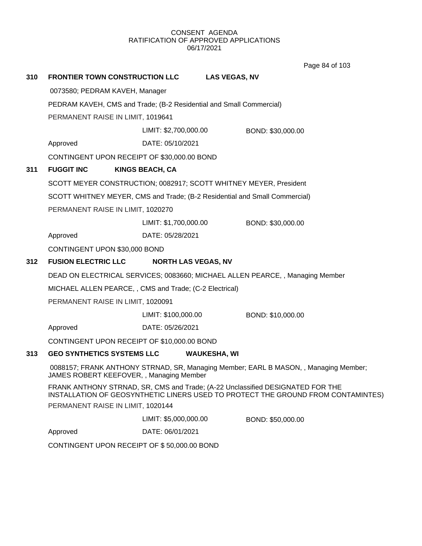Page 84 of 103

| 310                                                                        |                                                                                                                                                                    | FRONTIER TOWN CONSTRUCTION LLC                         | <b>LAS VEGAS, NV</b>       |                   |  |  |
|----------------------------------------------------------------------------|--------------------------------------------------------------------------------------------------------------------------------------------------------------------|--------------------------------------------------------|----------------------------|-------------------|--|--|
|                                                                            |                                                                                                                                                                    | 0073580; PEDRAM KAVEH, Manager                         |                            |                   |  |  |
|                                                                            | PEDRAM KAVEH, CMS and Trade; (B-2 Residential and Small Commercial)                                                                                                |                                                        |                            |                   |  |  |
|                                                                            | PERMANENT RAISE IN LIMIT, 1019641                                                                                                                                  |                                                        |                            |                   |  |  |
|                                                                            |                                                                                                                                                                    |                                                        | LIMIT: \$2,700,000.00      | BOND: \$30,000.00 |  |  |
|                                                                            | Approved                                                                                                                                                           | DATE: 05/10/2021                                       |                            |                   |  |  |
|                                                                            |                                                                                                                                                                    | CONTINGENT UPON RECEIPT OF \$30,000.00 BOND            |                            |                   |  |  |
| 311                                                                        | <b>FUGGIT INC</b>                                                                                                                                                  | <b>KINGS BEACH, CA</b>                                 |                            |                   |  |  |
|                                                                            | SCOTT MEYER CONSTRUCTION; 0082917; SCOTT WHITNEY MEYER, President                                                                                                  |                                                        |                            |                   |  |  |
| SCOTT WHITNEY MEYER, CMS and Trade; (B-2 Residential and Small Commercial) |                                                                                                                                                                    |                                                        |                            |                   |  |  |
|                                                                            |                                                                                                                                                                    | PERMANENT RAISE IN LIMIT, 1020270                      |                            |                   |  |  |
|                                                                            |                                                                                                                                                                    | LIMIT: \$1,700,000.00                                  |                            | BOND: \$30,000.00 |  |  |
|                                                                            | Approved                                                                                                                                                           | DATE: 05/28/2021                                       |                            |                   |  |  |
|                                                                            | CONTINGENT UPON \$30,000 BOND                                                                                                                                      |                                                        |                            |                   |  |  |
| 312                                                                        | <b>FUSION ELECTRIC LLC</b>                                                                                                                                         |                                                        | <b>NORTH LAS VEGAS, NV</b> |                   |  |  |
|                                                                            | DEAD ON ELECTRICAL SERVICES; 0083660; MICHAEL ALLEN PEARCE, , Managing Member                                                                                      |                                                        |                            |                   |  |  |
|                                                                            |                                                                                                                                                                    | MICHAEL ALLEN PEARCE,, CMS and Trade; (C-2 Electrical) |                            |                   |  |  |
| PERMANENT RAISE IN LIMIT, 1020091                                          |                                                                                                                                                                    |                                                        |                            |                   |  |  |
|                                                                            |                                                                                                                                                                    | LIMIT: \$100,000.00                                    |                            | BOND: \$10,000.00 |  |  |
|                                                                            | Approved                                                                                                                                                           | DATE: 05/26/2021                                       |                            |                   |  |  |
| CONTINGENT UPON RECEIPT OF \$10,000.00 BOND                                |                                                                                                                                                                    |                                                        |                            |                   |  |  |
| 313                                                                        |                                                                                                                                                                    | <b>GEO SYNTHETICS SYSTEMS LLC</b>                      | <b>WAUKESHA, WI</b>        |                   |  |  |
|                                                                            | 0088157; FRANK ANTHONY STRNAD, SR, Managing Member; EARL B MASON, , Managing Member;<br>JAMES ROBERT KEEFOVER, , Managing Member                                   |                                                        |                            |                   |  |  |
|                                                                            | FRANK ANTHONY STRNAD, SR, CMS and Trade; (A-22 Unclassified DESIGNATED FOR THE<br>INSTALLATION OF GEOSYNTHETIC LINERS USED TO PROTECT THE GROUND FROM CONTAMINTES) |                                                        |                            |                   |  |  |
|                                                                            | PERMANENT RAISE IN LIMIT, 1020144                                                                                                                                  |                                                        |                            |                   |  |  |
|                                                                            |                                                                                                                                                                    | LIMIT: \$5,000,000.00                                  |                            | BOND: \$50,000.00 |  |  |
|                                                                            | Approved                                                                                                                                                           | DATE: 06/01/2021                                       |                            |                   |  |  |
|                                                                            | CONTINGENT UPON RECEIPT OF \$50,000.00 BOND                                                                                                                        |                                                        |                            |                   |  |  |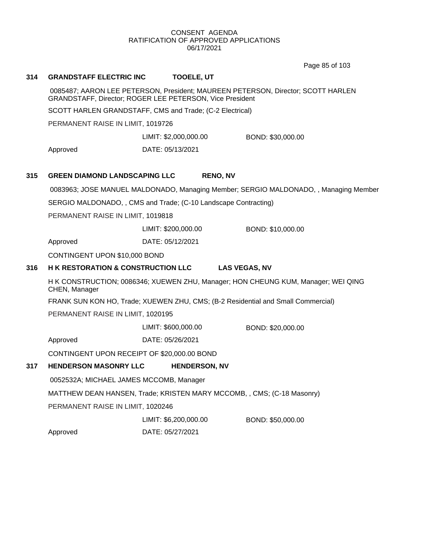Page 85 of 103

## **314 GRANDSTAFF ELECTRIC INC TOOELE, UT**

0085487; AARON LEE PETERSON, President; MAUREEN PETERSON, Director; SCOTT HARLEN GRANDSTAFF, Director; ROGER LEE PETERSON, Vice President

SCOTT HARLEN GRANDSTAFF, CMS and Trade; (C-2 Electrical)

PERMANENT RAISE IN LIMIT, 1019726

LIMIT: \$2,000,000.00 BOND: \$30,000.00

Approved DATE: 05/13/2021

## **315 GREEN DIAMOND LANDSCAPING LLC RENO, NV**

0083963; JOSE MANUEL MALDONADO, Managing Member; SERGIO MALDONADO, , Managing Member

SERGIO MALDONADO, , CMS and Trade; (C-10 Landscape Contracting)

PERMANENT RAISE IN LIMIT, 1019818

LIMIT: \$200,000.00 BOND: \$10,000.00

Approved DATE: 05/12/2021

CONTINGENT UPON \$10,000 BOND

#### **316 H K RESTORATION & CONSTRUCTION LLC LAS VEGAS, NV**

H K CONSTRUCTION; 0086346; XUEWEN ZHU, Manager; HON CHEUNG KUM, Manager; WEI QING CHEN, Manager

FRANK SUN KON HO, Trade; XUEWEN ZHU, CMS; (B-2 Residential and Small Commercial)

PERMANENT RAISE IN LIMIT, 1020195

LIMIT: \$600,000.00 BOND: \$20,000.00

Approved DATE: 05/26/2021

CONTINGENT UPON RECEIPT OF \$20,000.00 BOND

#### **317 HENDERSON MASONRY LLC HENDERSON, NV**

0052532A; MICHAEL JAMES MCCOMB, Manager

MATTHEW DEAN HANSEN, Trade; KRISTEN MARY MCCOMB, , CMS; (C-18 Masonry)

PERMANENT RAISE IN LIMIT, 1020246

LIMIT: \$6,200,000.00 BOND: \$50,000.00

Approved DATE: 05/27/2021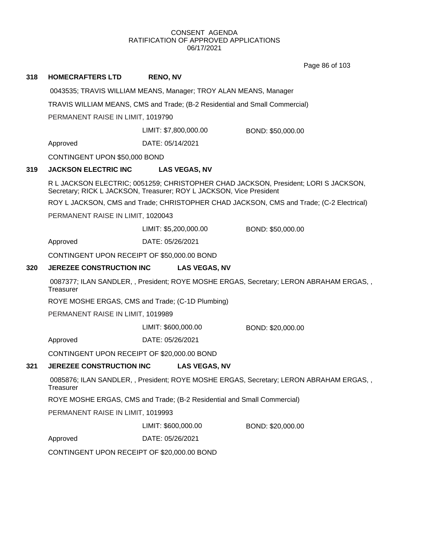Page 86 of 103

### **318 HOMECRAFTERS LTD RENO, NV**

0043535; TRAVIS WILLIAM MEANS, Manager; TROY ALAN MEANS, Manager

TRAVIS WILLIAM MEANS, CMS and Trade; (B-2 Residential and Small Commercial)

PERMANENT RAISE IN LIMIT, 1019790

LIMIT: \$7,800,000.00 BOND: \$50,000.00

Approved DATE: 05/14/2021

CONTINGENT UPON \$50,000 BOND

## **319 JACKSON ELECTRIC INC LAS VEGAS, NV**

R L JACKSON ELECTRIC; 0051259; CHRISTOPHER CHAD JACKSON, President; LORI S JACKSON, Secretary; RICK L JACKSON, Treasurer; ROY L JACKSON, Vice President

ROY L JACKSON, CMS and Trade; CHRISTOPHER CHAD JACKSON, CMS and Trade; (C-2 Electrical)

PERMANENT RAISE IN LIMIT, 1020043

LIMIT: \$5,200,000.00 BOND: \$50,000.00

Approved DATE: 05/26/2021

CONTINGENT UPON RECEIPT OF \$50,000.00 BOND

## **320 JEREZEE CONSTRUCTION INC LAS VEGAS, NV**

0087377; ILAN SANDLER, , President; ROYE MOSHE ERGAS, Secretary; LERON ABRAHAM ERGAS, , **Treasurer** 

ROYE MOSHE ERGAS, CMS and Trade; (C-1D Plumbing)

PERMANENT RAISE IN LIMIT, 1019989

LIMIT: \$600,000.00 BOND: \$20,000.00

Approved DATE: 05/26/2021

CONTINGENT UPON RECEIPT OF \$20,000.00 BOND

#### **321 JEREZEE CONSTRUCTION INC LAS VEGAS, NV**

0085876; ILAN SANDLER, , President; ROYE MOSHE ERGAS, Secretary; LERON ABRAHAM ERGAS, , **Treasurer** 

ROYE MOSHE ERGAS, CMS and Trade; (B-2 Residential and Small Commercial)

PERMANENT RAISE IN LIMIT, 1019993

LIMIT: \$600,000.00 BOND: \$20,000.00

Approved DATE: 05/26/2021

CONTINGENT UPON RECEIPT OF \$20,000.00 BOND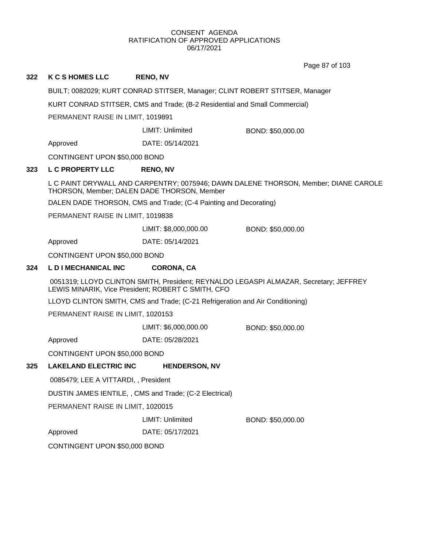Page 87 of 103

## **322 K C S HOMES LLC RENO, NV**

BUILT; 0082029; KURT CONRAD STITSER, Manager; CLINT ROBERT STITSER, Manager

KURT CONRAD STITSER, CMS and Trade; (B-2 Residential and Small Commercial)

PERMANENT RAISE IN LIMIT, 1019891

LIMIT: Unlimited BOND: \$50,000.00

Approved DATE: 05/14/2021

CONTINGENT UPON \$50,000 BOND

## **323 L C PROPERTY LLC RENO, NV**

L C PAINT DRYWALL AND CARPENTRY; 0075946; DAWN DALENE THORSON, Member; DIANE CAROLE THORSON, Member; DALEN DADE THORSON, Member

DALEN DADE THORSON, CMS and Trade; (C-4 Painting and Decorating)

PERMANENT RAISE IN LIMIT, 1019838

LIMIT: \$8,000,000.00 BOND: \$50,000.00

Approved DATE: 05/14/2021

CONTINGENT UPON \$50,000 BOND

## **324 L D I MECHANICAL INC CORONA, CA**

0051319; LLOYD CLINTON SMITH, President; REYNALDO LEGASPI ALMAZAR, Secretary; JEFFREY LEWIS MINARIK, Vice President; ROBERT C SMITH, CFO

LLOYD CLINTON SMITH, CMS and Trade; (C-21 Refrigeration and Air Conditioning)

PERMANENT RAISE IN LIMIT, 1020153

LIMIT: \$6,000,000.00 BOND: \$50,000.00

Approved DATE: 05/28/2021

CONTINGENT UPON \$50,000 BOND

# **325 LAKELAND ELECTRIC INC HENDERSON, NV**

0085479; LEE A VITTARDI, , President

DUSTIN JAMES IENTILE, , CMS and Trade; (C-2 Electrical)

PERMANENT RAISE IN LIMIT, 1020015

LIMIT: Unlimited BOND: \$50,000.00

Approved DATE: 05/17/2021

CONTINGENT UPON \$50,000 BOND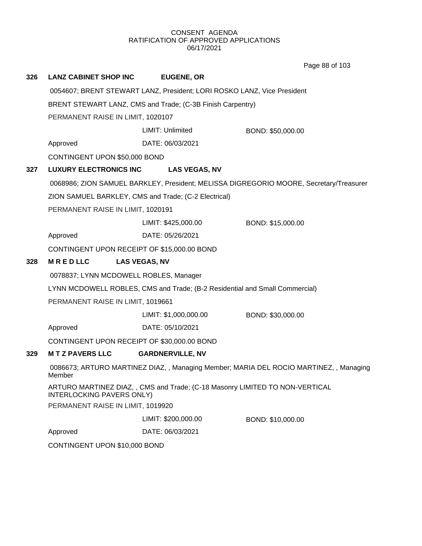**326 LANZ CABINET SHOP INC EUGENE, OR** 0054607; BRENT STEWART LANZ, President; LORI ROSKO LANZ, Vice President BRENT STEWART LANZ, CMS and Trade; (C-3B Finish Carpentry) PERMANENT RAISE IN LIMIT, 1020107 Approved DATE: 06/03/2021 LIMIT: Unlimited BOND: \$50,000.00 CONTINGENT UPON \$50,000 BOND **327 LUXURY ELECTRONICS INC LAS VEGAS, NV** 0068986; ZION SAMUEL BARKLEY, President; MELISSA DIGREGORIO MOORE, Secretary/Treasurer ZION SAMUEL BARKLEY, CMS and Trade; (C-2 Electrical) PERMANENT RAISE IN LIMIT, 1020191 Approved DATE: 05/26/2021 LIMIT: \$425,000.00 BOND: \$15,000.00 CONTINGENT UPON RECEIPT OF \$15,000.00 BOND **328 M R E D LLC LAS VEGAS, NV** 0078837; LYNN MCDOWELL ROBLES, Manager LYNN MCDOWELL ROBLES, CMS and Trade; (B-2 Residential and Small Commercial) PERMANENT RAISE IN LIMIT, 1019661 Approved DATE: 05/10/2021 LIMIT: \$1,000,000.00 BOND: \$30,000.00 CONTINGENT UPON RECEIPT OF \$30,000.00 BOND **329 M T Z PAVERS LLC GARDNERVILLE, NV** 0086673; ARTURO MARTINEZ DIAZ, , Managing Member; MARIA DEL ROCIO MARTINEZ, , Managing Member ARTURO MARTINEZ DIAZ, , CMS and Trade; (C-18 Masonry LIMITED TO NON-VERTICAL INTERLOCKING PAVERS ONLY) PERMANENT RAISE IN LIMIT, 1019920 Approved DATE: 06/03/2021 LIMIT: \$200,000.00 BOND: \$10,000.00 CONTINGENT UPON \$10,000 BOND Page 88 of 103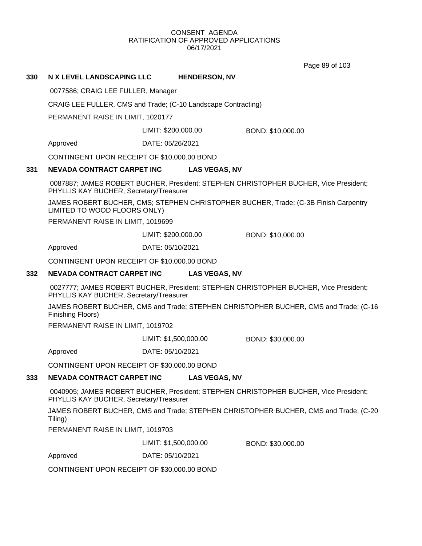Page 89 of 103

### **330 N X LEVEL LANDSCAPING LLC HENDERSON, NV**

0077586; CRAIG LEE FULLER, Manager

CRAIG LEE FULLER, CMS and Trade; (C-10 Landscape Contracting)

PERMANENT RAISE IN LIMIT, 1020177

LIMIT: \$200,000.00 BOND: \$10,000.00

Approved DATE: 05/26/2021

CONTINGENT UPON RECEIPT OF \$10,000.00 BOND

## **331 NEVADA CONTRACT CARPET INC LAS VEGAS, NV**

0087887; JAMES ROBERT BUCHER, President; STEPHEN CHRISTOPHER BUCHER, Vice President; PHYLLIS KAY BUCHER, Secretary/Treasurer

JAMES ROBERT BUCHER, CMS; STEPHEN CHRISTOPHER BUCHER, Trade; (C-3B Finish Carpentry LIMITED TO WOOD FLOORS ONLY)

PERMANENT RAISE IN LIMIT, 1019699

LIMIT: \$200,000.00 BOND: \$10,000.00

Approved DATE: 05/10/2021

CONTINGENT UPON RECEIPT OF \$10,000.00 BOND

## **332 NEVADA CONTRACT CARPET INC LAS VEGAS, NV**

0027777; JAMES ROBERT BUCHER, President; STEPHEN CHRISTOPHER BUCHER, Vice President; PHYLLIS KAY BUCHER, Secretary/Treasurer

JAMES ROBERT BUCHER, CMS and Trade; STEPHEN CHRISTOPHER BUCHER, CMS and Trade; (C-16 Finishing Floors)

PERMANENT RAISE IN LIMIT, 1019702

LIMIT: \$1,500,000.00 BOND: \$30,000.00

Approved DATE: 05/10/2021

CONTINGENT UPON RECEIPT OF \$30,000.00 BOND

## **333 NEVADA CONTRACT CARPET INC LAS VEGAS, NV**

0040905; JAMES ROBERT BUCHER, President; STEPHEN CHRISTOPHER BUCHER, Vice President; PHYLLIS KAY BUCHER, Secretary/Treasurer

JAMES ROBERT BUCHER, CMS and Trade; STEPHEN CHRISTOPHER BUCHER, CMS and Trade; (C-20 Tiling)

PERMANENT RAISE IN LIMIT, 1019703

LIMIT: \$1,500,000.00 BOND: \$30,000.00

Approved DATE: 05/10/2021

CONTINGENT UPON RECEIPT OF \$30,000.00 BOND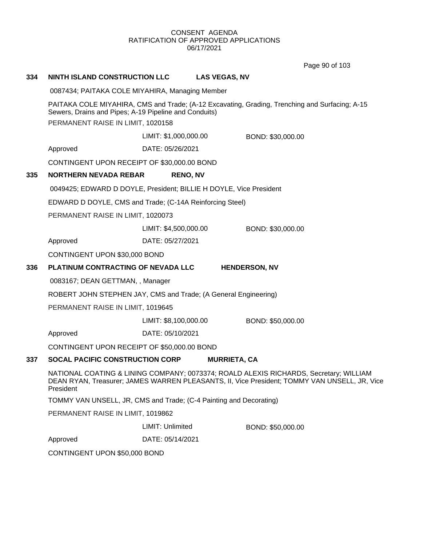Page 90 of 103

| 334                                                                                                                                                                                                | <b>NINTH ISLAND CONSTRUCTION LLC</b>                                                                                           |                         | <b>LAS VEGAS, NV</b> |                      |
|----------------------------------------------------------------------------------------------------------------------------------------------------------------------------------------------------|--------------------------------------------------------------------------------------------------------------------------------|-------------------------|----------------------|----------------------|
|                                                                                                                                                                                                    | 0087434; PAITAKA COLE MIYAHIRA, Managing Member                                                                                |                         |                      |                      |
| PAITAKA COLE MIYAHIRA, CMS and Trade; (A-12 Excavating, Grading, Trenching and Surfacing; A-15<br>Sewers, Drains and Pipes; A-19 Pipeline and Conduits)                                            |                                                                                                                                |                         |                      |                      |
|                                                                                                                                                                                                    | PERMANENT RAISE IN LIMIT, 1020158                                                                                              |                         |                      |                      |
|                                                                                                                                                                                                    |                                                                                                                                | LIMIT: \$1,000,000.00   |                      | BOND: \$30,000.00    |
|                                                                                                                                                                                                    | Approved                                                                                                                       | DATE: 05/26/2021        |                      |                      |
|                                                                                                                                                                                                    | CONTINGENT UPON RECEIPT OF \$30,000.00 BOND                                                                                    |                         |                      |                      |
| 335                                                                                                                                                                                                | <b>NORTHERN NEVADA REBAR</b>                                                                                                   | <b>RENO, NV</b>         |                      |                      |
|                                                                                                                                                                                                    | 0049425; EDWARD D DOYLE, President; BILLIE H DOYLE, Vice President<br>EDWARD D DOYLE, CMS and Trade; (C-14A Reinforcing Steel) |                         |                      |                      |
|                                                                                                                                                                                                    |                                                                                                                                |                         |                      |                      |
|                                                                                                                                                                                                    | PERMANENT RAISE IN LIMIT, 1020073                                                                                              |                         |                      |                      |
|                                                                                                                                                                                                    |                                                                                                                                | LIMIT: \$4,500,000.00   |                      | BOND: \$30,000.00    |
|                                                                                                                                                                                                    | Approved                                                                                                                       | DATE: 05/27/2021        |                      |                      |
|                                                                                                                                                                                                    | CONTINGENT UPON \$30,000 BOND                                                                                                  |                         |                      |                      |
| 336                                                                                                                                                                                                | PLATINUM CONTRACTING OF NEVADA LLC                                                                                             |                         |                      | <b>HENDERSON, NV</b> |
|                                                                                                                                                                                                    | 0083167; DEAN GETTMAN, , Manager<br>ROBERT JOHN STEPHEN JAY, CMS and Trade; (A General Engineering)                            |                         |                      |                      |
|                                                                                                                                                                                                    |                                                                                                                                |                         |                      |                      |
|                                                                                                                                                                                                    | PERMANENT RAISE IN LIMIT, 1019645                                                                                              |                         |                      |                      |
|                                                                                                                                                                                                    |                                                                                                                                | LIMIT: \$8,100,000.00   |                      | BOND: \$50,000.00    |
|                                                                                                                                                                                                    | Approved                                                                                                                       | DATE: 05/10/2021        |                      |                      |
|                                                                                                                                                                                                    | CONTINGENT UPON RECEIPT OF \$50,000.00 BOND                                                                                    |                         |                      |                      |
| 337                                                                                                                                                                                                | <b>SOCAL PACIFIC CONSTRUCTION CORP</b>                                                                                         |                         | <b>MURRIETA, CA</b>  |                      |
| NATIONAL COATING & LINING COMPANY; 0073374; ROALD ALEXIS RICHARDS, Secretary; WILLIAM<br>DEAN RYAN, Treasurer; JAMES WARREN PLEASANTS, II, Vice President; TOMMY VAN UNSELL, JR, Vice<br>President |                                                                                                                                |                         |                      |                      |
|                                                                                                                                                                                                    | TOMMY VAN UNSELL, JR, CMS and Trade; (C-4 Painting and Decorating)                                                             |                         |                      |                      |
| PERMANENT RAISE IN LIMIT, 1019862                                                                                                                                                                  |                                                                                                                                |                         |                      |                      |
|                                                                                                                                                                                                    |                                                                                                                                | <b>LIMIT: Unlimited</b> |                      | BOND: \$50,000.00    |
|                                                                                                                                                                                                    | Approved                                                                                                                       | DATE: 05/14/2021        |                      |                      |
|                                                                                                                                                                                                    | CONTINGENT UPON \$50,000 BOND                                                                                                  |                         |                      |                      |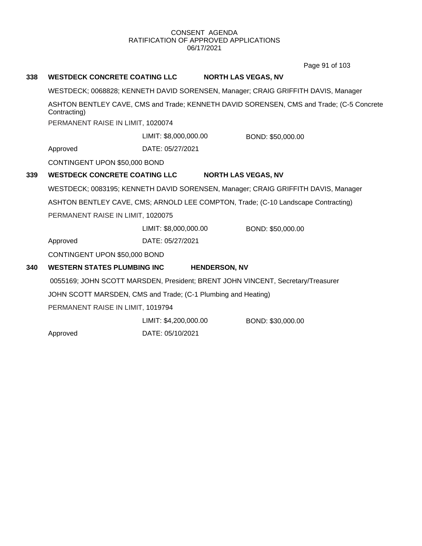Page 91 of 103

# **338 WESTDECK CONCRETE COATING LLC NORTH LAS VEGAS, NV** WESTDECK; 0068828; KENNETH DAVID SORENSEN, Manager; CRAIG GRIFFITH DAVIS, Manager ASHTON BENTLEY CAVE, CMS and Trade; KENNETH DAVID SORENSEN, CMS and Trade; (C-5 Concrete Contracting) PERMANENT RAISE IN LIMIT, 1020074 Approved DATE: 05/27/2021 LIMIT: \$8,000,000.00 BOND: \$50,000.00 CONTINGENT UPON \$50,000 BOND **339 WESTDECK CONCRETE COATING LLC NORTH LAS VEGAS, NV** WESTDECK; 0083195; KENNETH DAVID SORENSEN, Manager; CRAIG GRIFFITH DAVIS, Manager ASHTON BENTLEY CAVE, CMS; ARNOLD LEE COMPTON, Trade; (C-10 Landscape Contracting) PERMANENT RAISE IN LIMIT, 1020075 Approved DATE: 05/27/2021 LIMIT: \$8,000,000.00 BOND: \$50,000.00 CONTINGENT UPON \$50,000 BOND **340 WESTERN STATES PLUMBING INC HENDERSON, NV** 0055169; JOHN SCOTT MARSDEN, President; BRENT JOHN VINCENT, Secretary/Treasurer JOHN SCOTT MARSDEN, CMS and Trade; (C-1 Plumbing and Heating) PERMANENT RAISE IN LIMIT, 1019794 LIMIT: \$4,200,000.00 BOND: \$30,000.00

Approved DATE: 05/10/2021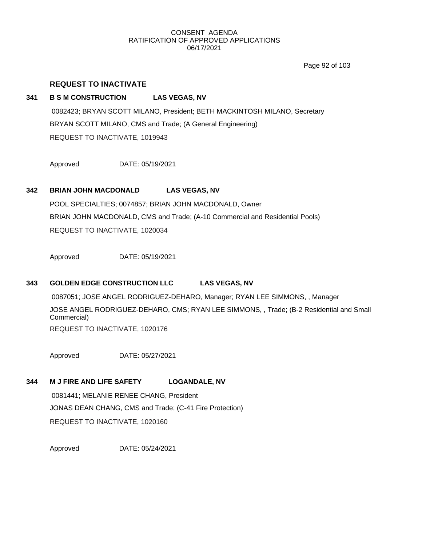Page 92 of 103

## **REQUEST TO INACTIVATE**

### **341 B S M CONSTRUCTION LAS VEGAS, NV**

0082423; BRYAN SCOTT MILANO, President; BETH MACKINTOSH MILANO, Secretary BRYAN SCOTT MILANO, CMS and Trade; (A General Engineering) REQUEST TO INACTIVATE, 1019943

Approved DATE: 05/19/2021

## **342 BRIAN JOHN MACDONALD LAS VEGAS, NV**

POOL SPECIALTIES; 0074857; BRIAN JOHN MACDONALD, Owner BRIAN JOHN MACDONALD, CMS and Trade; (A-10 Commercial and Residential Pools) REQUEST TO INACTIVATE, 1020034

Approved DATE: 05/19/2021

### **343 GOLDEN EDGE CONSTRUCTION LLC LAS VEGAS, NV**

0087051; JOSE ANGEL RODRIGUEZ-DEHARO, Manager; RYAN LEE SIMMONS, , Manager JOSE ANGEL RODRIGUEZ-DEHARO, CMS; RYAN LEE SIMMONS, , Trade; (B-2 Residential and Small Commercial) REQUEST TO INACTIVATE, 1020176

Approved DATE: 05/27/2021

## **344 M J FIRE AND LIFE SAFETY LOGANDALE, NV**

0081441; MELANIE RENEE CHANG, President JONAS DEAN CHANG, CMS and Trade; (C-41 Fire Protection) REQUEST TO INACTIVATE, 1020160

Approved DATE: 05/24/2021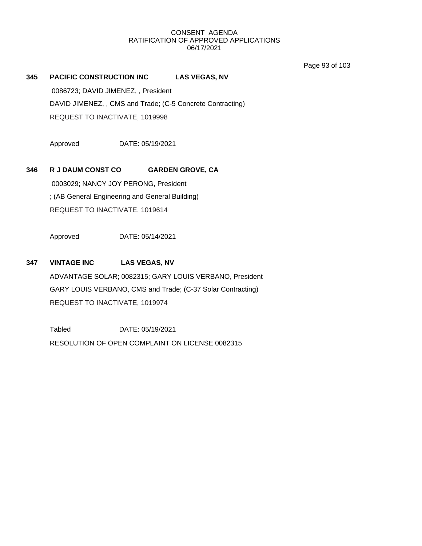Page 93 of 103

**345 PACIFIC CONSTRUCTION INC LAS VEGAS, NV**

0086723; DAVID JIMENEZ, , President DAVID JIMENEZ, , CMS and Trade; (C-5 Concrete Contracting) REQUEST TO INACTIVATE, 1019998

Approved DATE: 05/19/2021

**346 R J DAUM CONST CO GARDEN GROVE, CA**

0003029; NANCY JOY PERONG, President ; (AB General Engineering and General Building) REQUEST TO INACTIVATE, 1019614

Approved DATE: 05/14/2021

## **347 VINTAGE INC LAS VEGAS, NV**

ADVANTAGE SOLAR; 0082315; GARY LOUIS VERBANO, President GARY LOUIS VERBANO, CMS and Trade; (C-37 Solar Contracting) REQUEST TO INACTIVATE, 1019974

Tabled DATE: 05/19/2021 RESOLUTION OF OPEN COMPLAINT ON LICENSE 0082315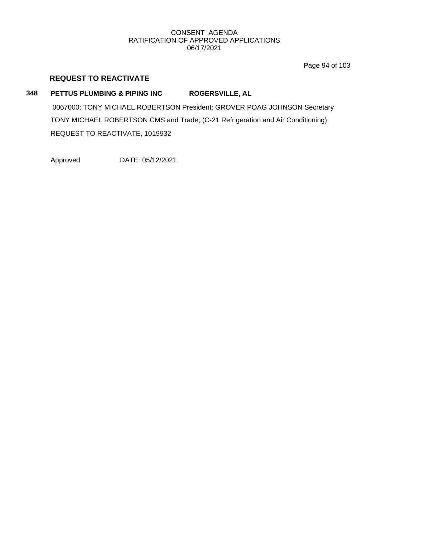Page 94 of 103

## **REQUEST TO REACTIVATE**

## **348 PETTUS PLUMBING & PIPING INC ROGERSVILLE, AL**

0067000; TONY MICHAEL ROBERTSON President; GROVER POAG JOHNSON Secretary TONY MICHAEL ROBERTSON CMS and Trade; (C-21 Refrigeration and Air Conditioning) REQUEST TO REACTIVATE, 1019932

Approved DATE: 05/12/2021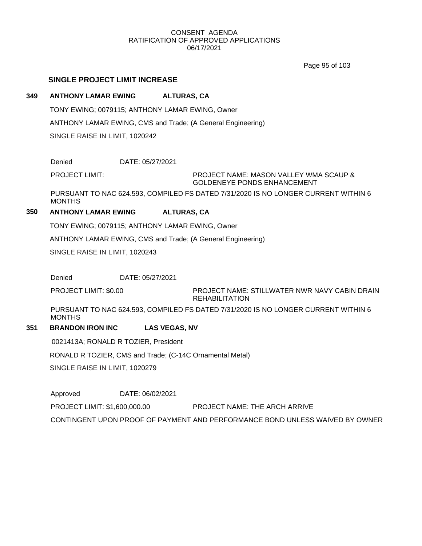Page 95 of 103

## **SINGLE PROJECT LIMIT INCREASE**

## **349 ANTHONY LAMAR EWING ALTURAS, CA**

TONY EWING; 0079115; ANTHONY LAMAR EWING, Owner ANTHONY LAMAR EWING, CMS and Trade; (A General Engineering) SINGLE RAISE IN LIMIT, 1020242

Denied DATE: 05/27/2021

PROJECT LIMIT:

PROJECT NAME: MASON VALLEY WMA SCAUP & GOLDENEYE PONDS ENHANCEMENT

PURSUANT TO NAC 624.593, COMPILED FS DATED 7/31/2020 IS NO LONGER CURRENT WITHIN 6 MONTHS

## **350 ANTHONY LAMAR EWING ALTURAS, CA**

TONY EWING; 0079115; ANTHONY LAMAR EWING, Owner

ANTHONY LAMAR EWING, CMS and Trade; (A General Engineering)

SINGLE RAISE IN LIMIT, 1020243

Denied DATE: 05/27/2021

PROJECT NAME: STILLWATER NWR NAVY CABIN DRAIN REHABILITATION PROJECT LIMIT: \$0.00

PURSUANT TO NAC 624.593, COMPILED FS DATED 7/31/2020 IS NO LONGER CURRENT WITHIN 6 MONTHS

## **351 BRANDON IRON INC LAS VEGAS, NV**

0021413A; RONALD R TOZIER, President

RONALD R TOZIER, CMS and Trade; (C-14C Ornamental Metal)

SINGLE RAISE IN LIMIT, 1020279

Approved DATE: 06/02/2021 PROJECT LIMIT: \$1,600,000.00 PROJECT NAME: THE ARCH ARRIVE CONTINGENT UPON PROOF OF PAYMENT AND PERFORMANCE BOND UNLESS WAIVED BY OWNER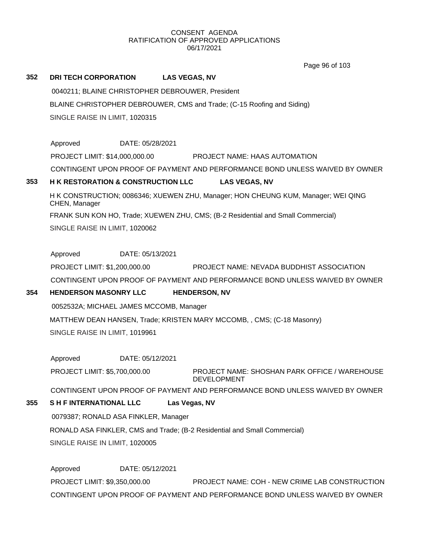Page 96 of 103

## **352 DRI TECH CORPORATION LAS VEGAS, NV**

0040211; BLAINE CHRISTOPHER DEBROUWER, President BLAINE CHRISTOPHER DEBROUWER, CMS and Trade; (C-15 Roofing and Siding) SINGLE RAISE IN LIMIT, 1020315

Approved DATE: 05/28/2021 PROJECT LIMIT: \$14,000,000.00 PROJECT NAME: HAAS AUTOMATION CONTINGENT UPON PROOF OF PAYMENT AND PERFORMANCE BOND UNLESS WAIVED BY OWNER

## **353 H K RESTORATION & CONSTRUCTION LLC LAS VEGAS, NV**

H K CONSTRUCTION; 0086346; XUEWEN ZHU, Manager; HON CHEUNG KUM, Manager; WEI QING CHEN, Manager FRANK SUN KON HO, Trade; XUEWEN ZHU, CMS; (B-2 Residential and Small Commercial) SINGLE RAISE IN LIMIT, 1020062

Approved DATE: 05/13/2021

PROJECT LIMIT: \$1,200,000.00 PROJECT NAME: NEVADA BUDDHIST ASSOCIATION CONTINGENT UPON PROOF OF PAYMENT AND PERFORMANCE BOND UNLESS WAIVED BY OWNER

# **354 HENDERSON MASONRY LLC HENDERSON, NV**

0052532A; MICHAEL JAMES MCCOMB, Manager

MATTHEW DEAN HANSEN, Trade; KRISTEN MARY MCCOMB, , CMS; (C-18 Masonry) SINGLE RAISE IN LIMIT, 1019961

Approved DATE: 05/12/2021

PROJECT NAME: SHOSHAN PARK OFFICE / WAREHOUSE DEVELOPMENT PROJECT LIMIT: \$5,700,000.00

CONTINGENT UPON PROOF OF PAYMENT AND PERFORMANCE BOND UNLESS WAIVED BY OWNER

## **355 S H F INTERNATIONAL LLC Las Vegas, NV**

0079387; RONALD ASA FINKLER, Manager RONALD ASA FINKLER, CMS and Trade; (B-2 Residential and Small Commercial) SINGLE RAISE IN LIMIT, 1020005

Approved DATE: 05/12/2021 PROJECT LIMIT: \$9,350,000.00 PROJECT NAME: COH - NEW CRIME LAB CONSTRUCTION CONTINGENT UPON PROOF OF PAYMENT AND PERFORMANCE BOND UNLESS WAIVED BY OWNER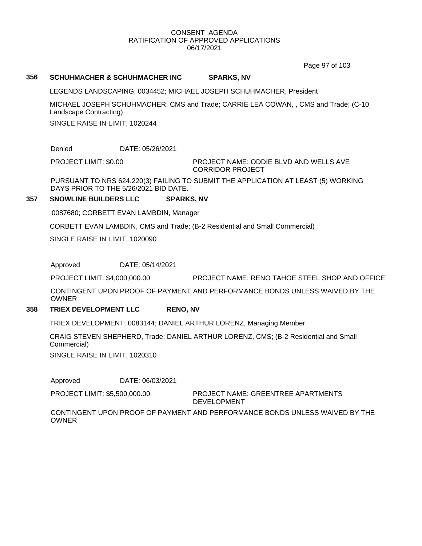Page 97 of 103

### **356 SCHUHMACHER & SCHUHMACHER INC SPARKS, NV**

LEGENDS LANDSCAPING; 0034452; MICHAEL JOSEPH SCHUHMACHER, President

MICHAEL JOSEPH SCHUHMACHER, CMS and Trade; CARRIE LEA COWAN, , CMS and Trade; (C-10 Landscape Contracting)

SINGLE RAISE IN LIMIT, 1020244

Denied DATE: 05/26/2021

PROJECT LIMIT: \$0.00

#### PROJECT NAME: ODDIE BLVD AND WELLS AVE CORRIDOR PROJECT

PURSUANT TO NRS 624.220(3) FAILING TO SUBMIT THE APPLICATION AT LEAST (5) WORKING DAYS PRIOR TO THE 5/26/2021 BID DATE.

## **357 SNOWLINE BUILDERS LLC SPARKS, NV**

0087680; CORBETT EVAN LAMBDIN, Manager

CORBETT EVAN LAMBDIN, CMS and Trade; (B-2 Residential and Small Commercial)

SINGLE RAISE IN LIMIT, 1020090

Approved DATE: 05/14/2021

PROJECT LIMIT: \$4,000,000.00 PROJECT NAME: RENO TAHOE STEEL SHOP AND OFFICE

CONTINGENT UPON PROOF OF PAYMENT AND PERFORMANCE BONDS UNLESS WAIVED BY THE OWNER

#### **358 TRIEX DEVELOPMENT LLC RENO, NV**

TRIEX DEVELOPMENT; 0083144; DANIEL ARTHUR LORENZ, Managing Member

CRAIG STEVEN SHEPHERD, Trade; DANIEL ARTHUR LORENZ, CMS; (B-2 Residential and Small Commercial)

SINGLE RAISE IN LIMIT, 1020310

Approved DATE: 06/03/2021

PROJECT LIMIT: \$5,500,000.00

PROJECT NAME: GREENTREE APARTMENTS DEVELOPMENT

CONTINGENT UPON PROOF OF PAYMENT AND PERFORMANCE BONDS UNLESS WAIVED BY THE **OWNER**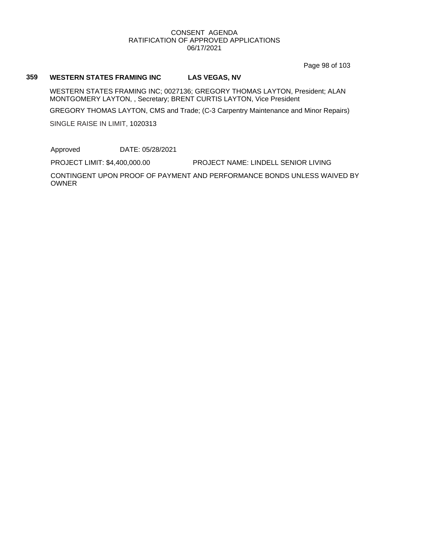Page 98 of 103

### **359 WESTERN STATES FRAMING INC LAS VEGAS, NV**

WESTERN STATES FRAMING INC; 0027136; GREGORY THOMAS LAYTON, President; ALAN MONTGOMERY LAYTON, , Secretary; BRENT CURTIS LAYTON, Vice President

GREGORY THOMAS LAYTON, CMS and Trade; (C-3 Carpentry Maintenance and Minor Repairs)

SINGLE RAISE IN LIMIT, 1020313

Approved DATE: 05/28/2021

PROJECT LIMIT: \$4,400,000.00 PROJECT NAME: LINDELL SENIOR LIVING

CONTINGENT UPON PROOF OF PAYMENT AND PERFORMANCE BONDS UNLESS WAIVED BY OWNER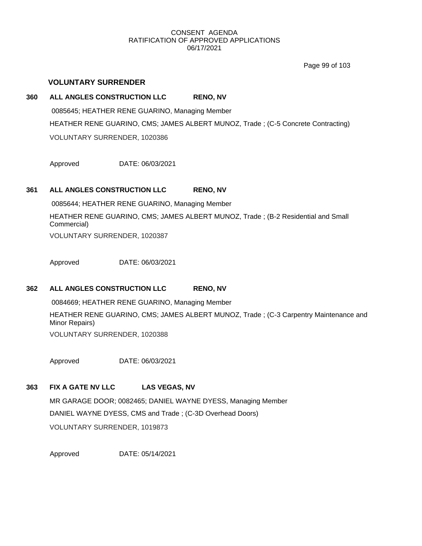Page 99 of 103

## **VOLUNTARY SURRENDER**

## **360 ALL ANGLES CONSTRUCTION LLC RENO, NV**

0085645; HEATHER RENE GUARINO, Managing Member HEATHER RENE GUARINO, CMS; JAMES ALBERT MUNOZ, Trade ; (C-5 Concrete Contracting) VOLUNTARY SURRENDER, 1020386

Approved DATE: 06/03/2021

## **361 ALL ANGLES CONSTRUCTION LLC RENO, NV**

0085644; HEATHER RENE GUARINO, Managing Member

HEATHER RENE GUARINO, CMS; JAMES ALBERT MUNOZ, Trade ; (B-2 Residential and Small Commercial)

VOLUNTARY SURRENDER, 1020387

Approved DATE: 06/03/2021

## **362 ALL ANGLES CONSTRUCTION LLC RENO, NV**

0084669; HEATHER RENE GUARINO, Managing Member HEATHER RENE GUARINO, CMS; JAMES ALBERT MUNOZ, Trade ; (C-3 Carpentry Maintenance and Minor Repairs) VOLUNTARY SURRENDER, 1020388

Approved DATE: 06/03/2021

## **363 FIX A GATE NV LLC LAS VEGAS, NV**

MR GARAGE DOOR; 0082465; DANIEL WAYNE DYESS, Managing Member DANIEL WAYNE DYESS, CMS and Trade ; (C-3D Overhead Doors) VOLUNTARY SURRENDER, 1019873

Approved DATE: 05/14/2021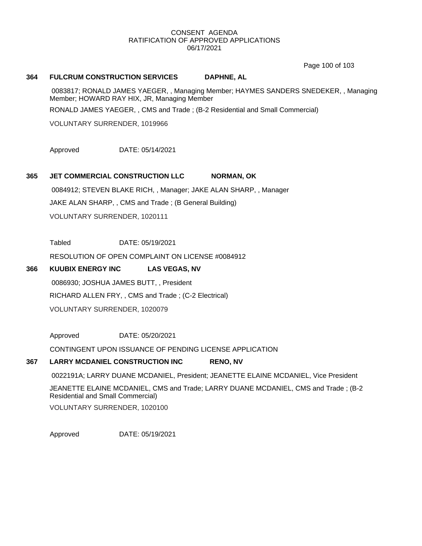Page 100 of 103

### **364 FULCRUM CONSTRUCTION SERVICES DAPHNE, AL**

0083817; RONALD JAMES YAEGER, , Managing Member; HAYMES SANDERS SNEDEKER, , Managing Member; HOWARD RAY HIX, JR, Managing Member

RONALD JAMES YAEGER, , CMS and Trade ; (B-2 Residential and Small Commercial)

VOLUNTARY SURRENDER, 1019966

Approved DATE: 05/14/2021

## **365 JET COMMERCIAL CONSTRUCTION LLC NORMAN, OK**

0084912; STEVEN BLAKE RICH, , Manager; JAKE ALAN SHARP, , Manager JAKE ALAN SHARP, , CMS and Trade ; (B General Building) VOLUNTARY SURRENDER, 1020111

Tabled DATE: 05/19/2021

RESOLUTION OF OPEN COMPLAINT ON LICENSE #0084912

## **366 KUUBIX ENERGY INC LAS VEGAS, NV**

0086930; JOSHUA JAMES BUTT, , President RICHARD ALLEN FRY, , CMS and Trade ; (C-2 Electrical) VOLUNTARY SURRENDER, 1020079

Approved DATE: 05/20/2021

CONTINGENT UPON ISSUANCE OF PENDING LICENSE APPLICATION

# **367 LARRY MCDANIEL CONSTRUCTION INC RENO, NV**

0022191A; LARRY DUANE MCDANIEL, President; JEANETTE ELAINE MCDANIEL, Vice President

JEANETTE ELAINE MCDANIEL, CMS and Trade; LARRY DUANE MCDANIEL, CMS and Trade ; (B-2 Residential and Small Commercial)

VOLUNTARY SURRENDER, 1020100

Approved DATE: 05/19/2021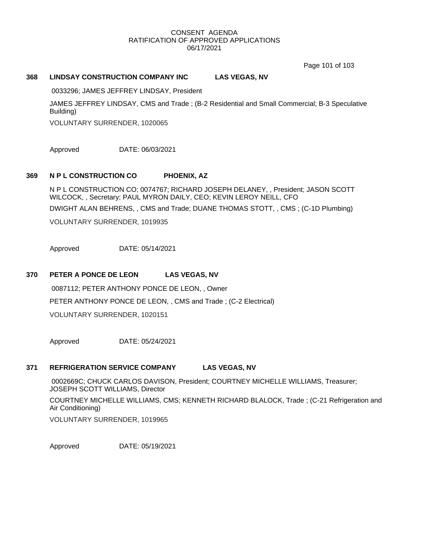Page 101 of 103

## **368 LINDSAY CONSTRUCTION COMPANY INC LAS VEGAS, NV**

0033296; JAMES JEFFREY LINDSAY, President

JAMES JEFFREY LINDSAY, CMS and Trade ; (B-2 Residential and Small Commercial; B-3 Speculative Building)

VOLUNTARY SURRENDER, 1020065

Approved DATE: 06/03/2021

## **369 N P L CONSTRUCTION CO PHOENIX, AZ**

N P L CONSTRUCTION CO; 0074767; RICHARD JOSEPH DELANEY, , President; JASON SCOTT WILCOCK, , Secretary; PAUL MYRON DAILY, CEO; KEVIN LEROY NEILL, CFO DWIGHT ALAN BEHRENS, , CMS and Trade; DUANE THOMAS STOTT, , CMS ; (C-1D Plumbing) VOLUNTARY SURRENDER, 1019935

Approved DATE: 05/14/2021

## **370 PETER A PONCE DE LEON LAS VEGAS, NV**

0087112; PETER ANTHONY PONCE DE LEON, , Owner PETER ANTHONY PONCE DE LEON, , CMS and Trade ; (C-2 Electrical) VOLUNTARY SURRENDER, 1020151

Approved DATE: 05/24/2021

## **371 REFRIGERATION SERVICE COMPANY LAS VEGAS, NV**

0002669C; CHUCK CARLOS DAVISON, President; COURTNEY MICHELLE WILLIAMS, Treasurer; JOSEPH SCOTT WILLIAMS, Director COURTNEY MICHELLE WILLIAMS, CMS; KENNETH RICHARD BLALOCK, Trade ; (C-21 Refrigeration and Air Conditioning) VOLUNTARY SURRENDER, 1019965

Approved DATE: 05/19/2021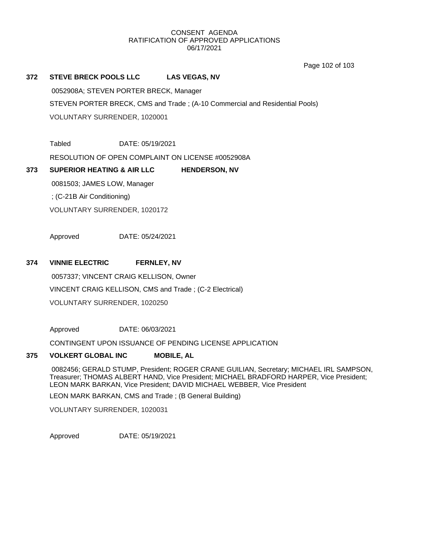Page 102 of 103

## **372 STEVE BRECK POOLS LLC LAS VEGAS, NV**

0052908A; STEVEN PORTER BRECK, Manager

STEVEN PORTER BRECK, CMS and Trade ; (A-10 Commercial and Residential Pools)

VOLUNTARY SURRENDER, 1020001

Tabled DATE: 05/19/2021

RESOLUTION OF OPEN COMPLAINT ON LICENSE #0052908A

## **373 SUPERIOR HEATING & AIR LLC HENDERSON, NV**

0081503; JAMES LOW, Manager ; (C-21B Air Conditioning)

VOLUNTARY SURRENDER, 1020172

Approved DATE: 05/24/2021

## **374 VINNIE ELECTRIC FERNLEY, NV**

0057337; VINCENT CRAIG KELLISON, Owner VINCENT CRAIG KELLISON, CMS and Trade ; (C-2 Electrical) VOLUNTARY SURRENDER, 1020250

Approved DATE: 06/03/2021

CONTINGENT UPON ISSUANCE OF PENDING LICENSE APPLICATION

#### **375 VOLKERT GLOBAL INC MOBILE, AL**

0082456; GERALD STUMP, President; ROGER CRANE GUILIAN, Secretary; MICHAEL IRL SAMPSON, Treasurer; THOMAS ALBERT HAND, Vice President; MICHAEL BRADFORD HARPER, Vice President; LEON MARK BARKAN, Vice President; DAVID MICHAEL WEBBER, Vice President

LEON MARK BARKAN, CMS and Trade ; (B General Building)

VOLUNTARY SURRENDER, 1020031

Approved DATE: 05/19/2021